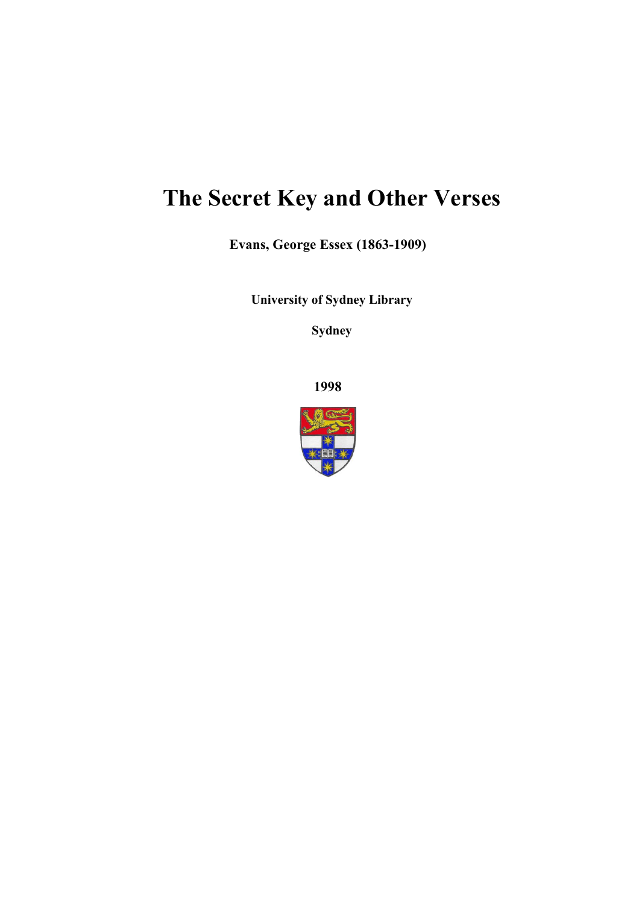# **The Secret Key and Other Verses**

**Evans, George Essex (1863-1909)**

**University of Sydney Library** 

**Sydney** 

**1998**

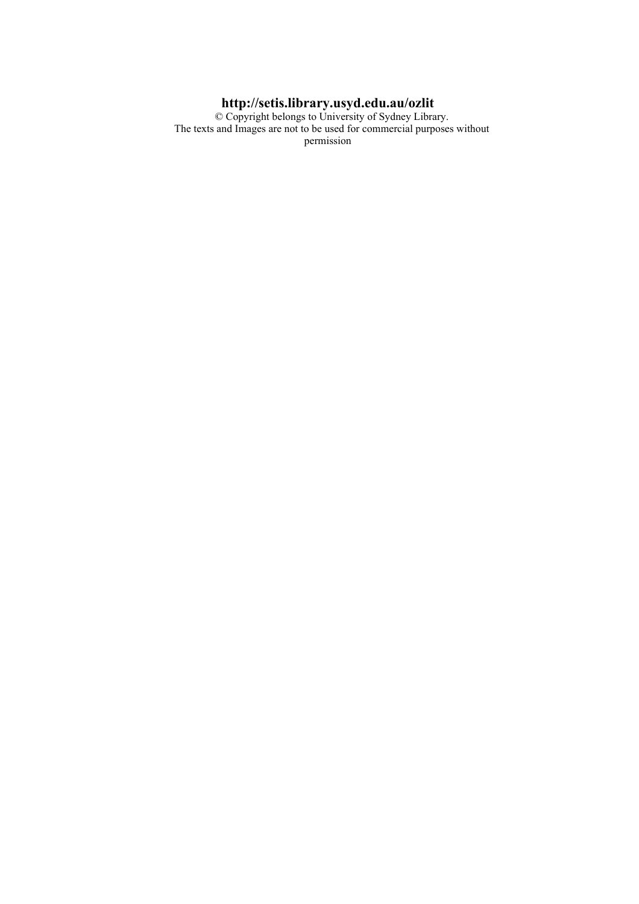#### **http://setis.library.usyd.edu.au/ozlit**

 © Copyright belongs to University of Sydney Library. The texts and Images are not to be used for commercial purposes without permission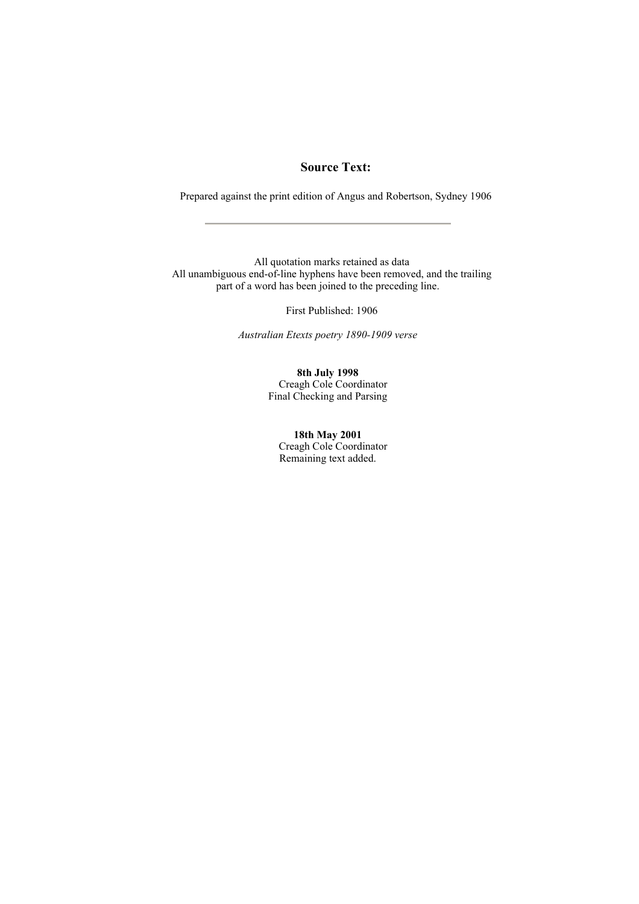#### **Source Text:**

Prepared against the print edition of Angus and Robertson, Sydney 1906

 All quotation marks retained as data All unambiguous end-of-line hyphens have been removed, and the trailing part of a word has been joined to the preceding line.

First Published: 1906

*Australian Etexts poetry 1890-1909 verse*

#### **8th July 1998**

 Creagh Cole Coordinator Final Checking and Parsing

#### **18th May 2001**

 Creagh Cole Coordinator Remaining text added.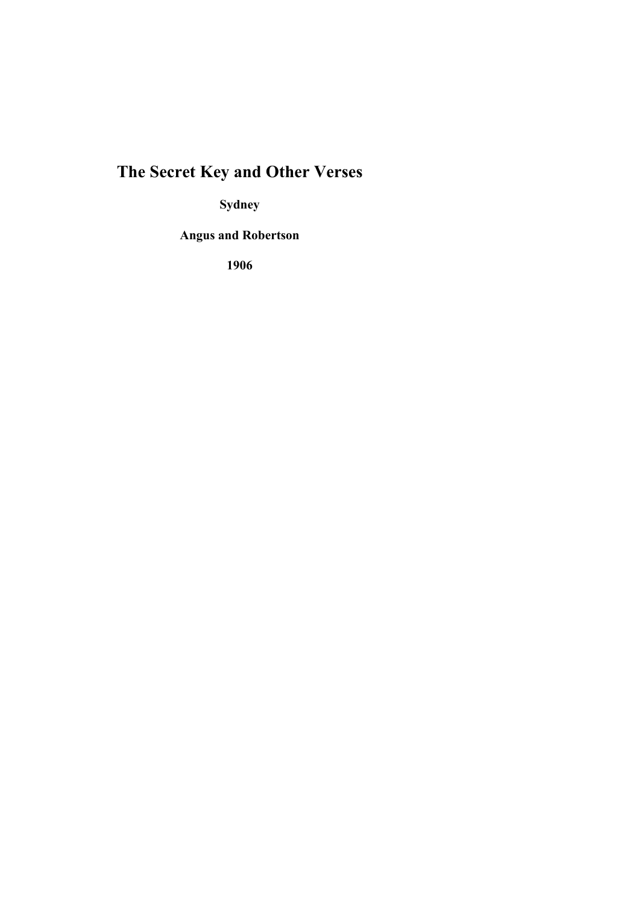# **The Secret Key and Other Verses**

**Sydney** 

**Angus and Robertson** 

**1906**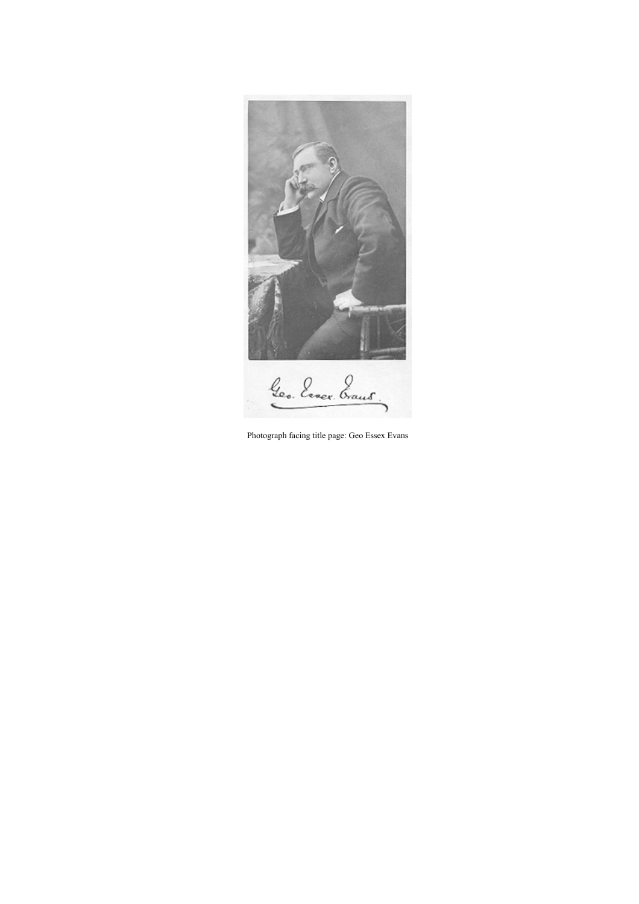

Photograph facing title page: Geo Essex Evans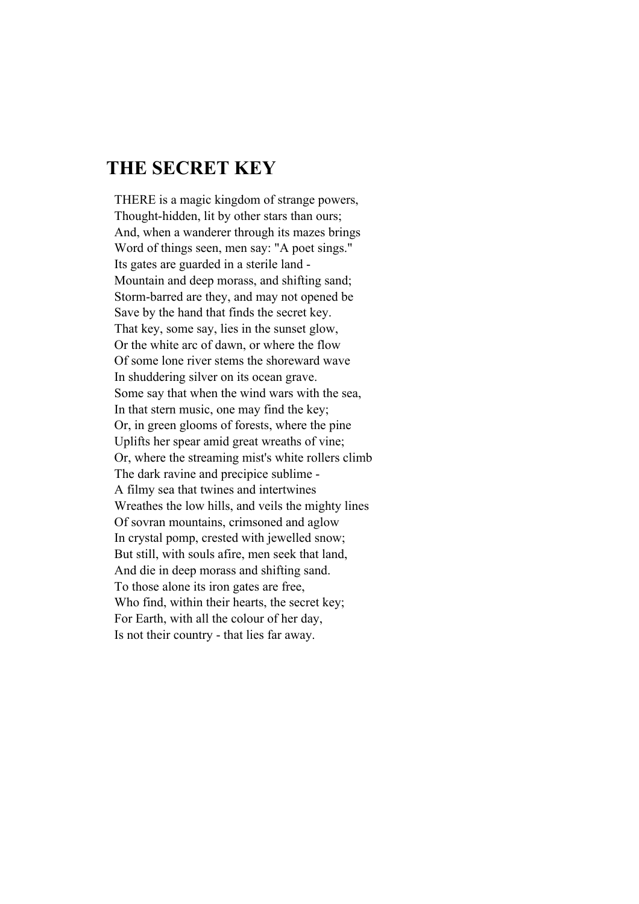#### **THE SECRET KEY**

THERE is a magic kingdom of strange powers, Thought-hidden, lit by other stars than ours; And, when a wanderer through its mazes brings Word of things seen, men say: "A poet sings." Its gates are guarded in a sterile land - Mountain and deep morass, and shifting sand; Storm-barred are they, and may not opened be Save by the hand that finds the secret key. That key, some say, lies in the sunset glow, Or the white arc of dawn, or where the flow Of some lone river stems the shoreward wave In shuddering silver on its ocean grave. Some say that when the wind wars with the sea, In that stern music, one may find the key; Or, in green glooms of forests, where the pine Uplifts her spear amid great wreaths of vine; Or, where the streaming mist's white rollers climb The dark ravine and precipice sublime - A filmy sea that twines and intertwines Wreathes the low hills, and veils the mighty lines Of sovran mountains, crimsoned and aglow In crystal pomp, crested with jewelled snow; But still, with souls afire, men seek that land, And die in deep morass and shifting sand. To those alone its iron gates are free, Who find, within their hearts, the secret key; For Earth, with all the colour of her day, Is not their country - that lies far away.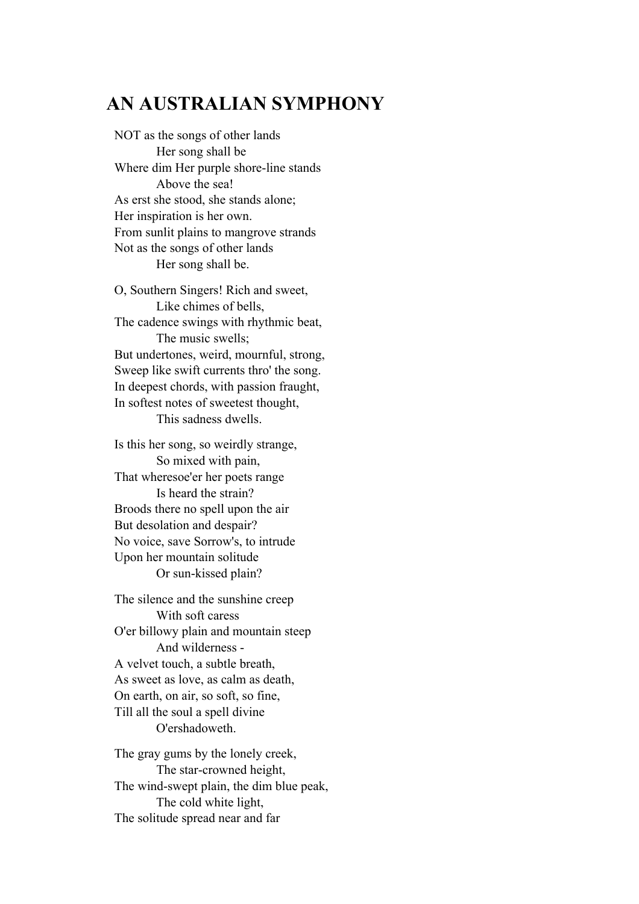### **AN AUSTRALIAN SYMPHONY**

NOT as the songs of other lands Her song shall be Where dim Her purple shore-line stands Above the sea! As erst she stood, she stands alone; Her inspiration is her own. From sunlit plains to mangrove strands Not as the songs of other lands Her song shall be.

O, Southern Singers! Rich and sweet, Like chimes of bells, The cadence swings with rhythmic beat, The music swells; But undertones, weird, mournful, strong, Sweep like swift currents thro' the song. In deepest chords, with passion fraught, In softest notes of sweetest thought, This sadness dwells.

Is this her song, so weirdly strange, So mixed with pain, That wheresoe'er her poets range Is heard the strain? Broods there no spell upon the air But desolation and despair? No voice, save Sorrow's, to intrude Upon her mountain solitude Or sun-kissed plain?

The silence and the sunshine creep With soft caress O'er billowy plain and mountain steep And wilderness - A velvet touch, a subtle breath, As sweet as love, as calm as death, On earth, on air, so soft, so fine, Till all the soul a spell divine O'ershadoweth.

The gray gums by the lonely creek, The star-crowned height, The wind-swept plain, the dim blue peak, The cold white light, The solitude spread near and far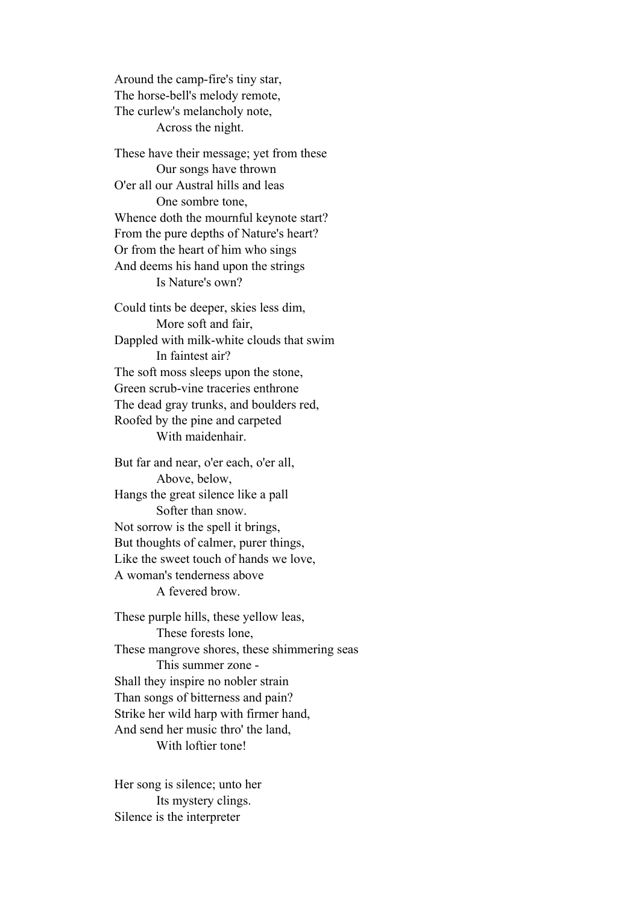Around the camp-fire's tiny star, The horse-bell's melody remote, The curlew's melancholy note, Across the night.

These have their message; yet from these Our songs have thrown O'er all our Austral hills and leas One sombre tone, Whence doth the mournful keynote start? From the pure depths of Nature's heart? Or from the heart of him who sings And deems his hand upon the strings Is Nature's own?

Could tints be deeper, skies less dim, More soft and fair, Dappled with milk-white clouds that swim In faintest air? The soft moss sleeps upon the stone, Green scrub-vine traceries enthrone The dead gray trunks, and boulders red, Roofed by the pine and carpeted With maidenhair.

But far and near, o'er each, o'er all, Above, below, Hangs the great silence like a pall Softer than snow. Not sorrow is the spell it brings, But thoughts of calmer, purer things, Like the sweet touch of hands we love, A woman's tenderness above A fevered brow.

These purple hills, these yellow leas, These forests lone, These mangrove shores, these shimmering seas This summer zone - Shall they inspire no nobler strain Than songs of bitterness and pain? Strike her wild harp with firmer hand, And send her music thro' the land, With loftier tone!

Her song is silence; unto her Its mystery clings. Silence is the interpreter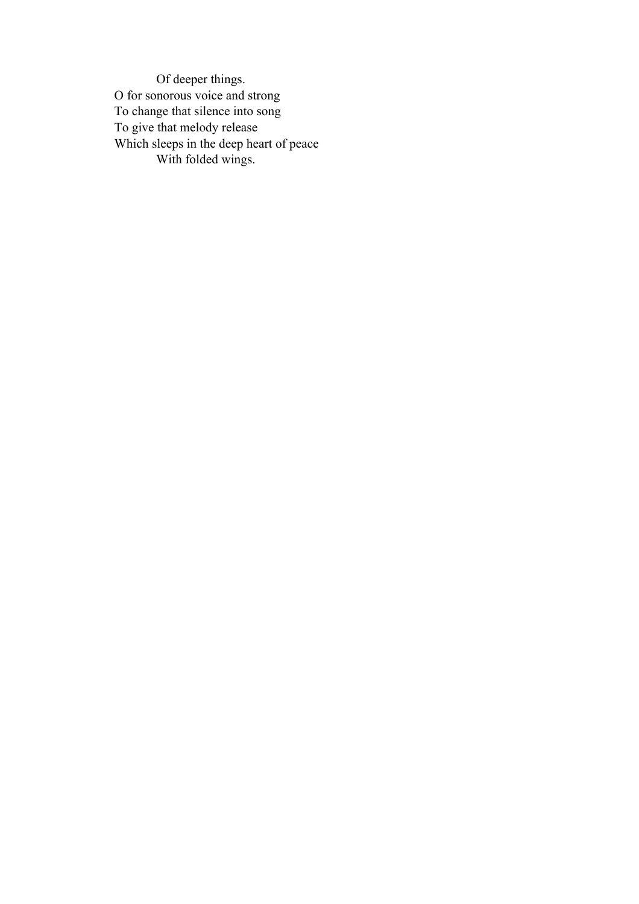Of deeper things. O for sonorous voice and strong To change that silence into song To give that melody release Which sleeps in the deep heart of peace With folded wings.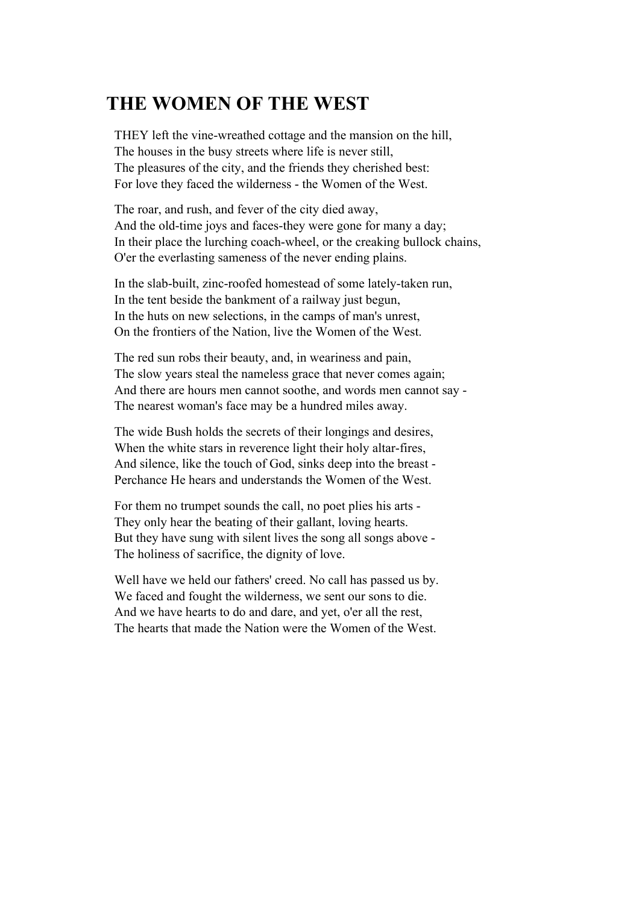## **THE WOMEN OF THE WEST**

THEY left the vine-wreathed cottage and the mansion on the hill, The houses in the busy streets where life is never still, The pleasures of the city, and the friends they cherished best: For love they faced the wilderness - the Women of the West.

The roar, and rush, and fever of the city died away, And the old-time joys and faces-they were gone for many a day; In their place the lurching coach-wheel, or the creaking bullock chains, O'er the everlasting sameness of the never ending plains.

In the slab-built, zinc-roofed homestead of some lately-taken run, In the tent beside the bankment of a railway just begun, In the huts on new selections, in the camps of man's unrest, On the frontiers of the Nation, live the Women of the West.

The red sun robs their beauty, and, in weariness and pain, The slow years steal the nameless grace that never comes again; And there are hours men cannot soothe, and words men cannot say - The nearest woman's face may be a hundred miles away.

The wide Bush holds the secrets of their longings and desires, When the white stars in reverence light their holy altar-fires, And silence, like the touch of God, sinks deep into the breast - Perchance He hears and understands the Women of the West.

For them no trumpet sounds the call, no poet plies his arts - They only hear the beating of their gallant, loving hearts. But they have sung with silent lives the song all songs above - The holiness of sacrifice, the dignity of love.

Well have we held our fathers' creed. No call has passed us by. We faced and fought the wilderness, we sent our sons to die. And we have hearts to do and dare, and yet, o'er all the rest, The hearts that made the Nation were the Women of the West.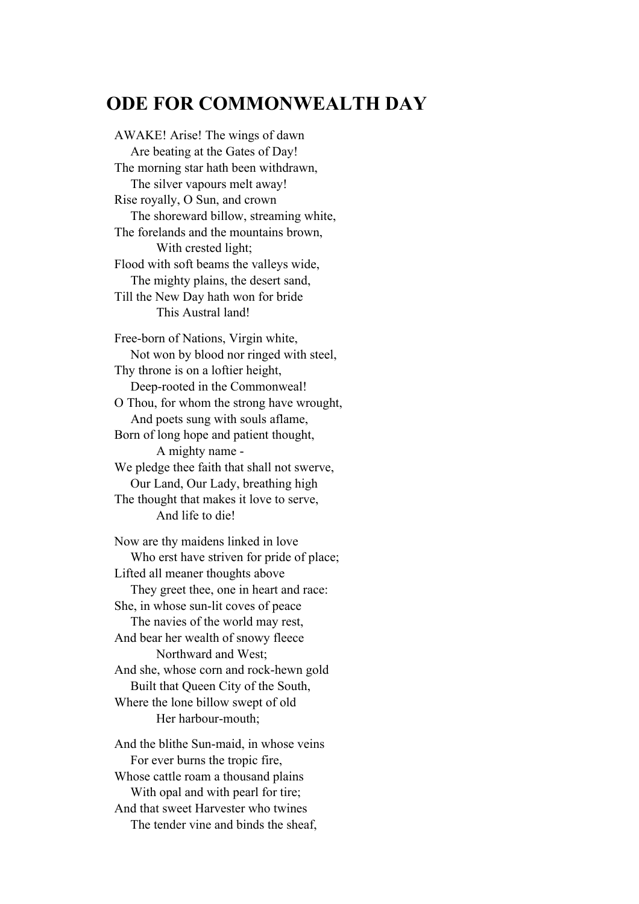### **ODE FOR COMMONWEALTH DAY**

AWAKE! Arise! The wings of dawn Are beating at the Gates of Day! The morning star hath been withdrawn, The silver vapours melt away! Rise royally, O Sun, and crown The shoreward billow, streaming white, The forelands and the mountains brown, With crested light; Flood with soft beams the valleys wide, The mighty plains, the desert sand, Till the New Day hath won for bride This Austral land!

Free-born of Nations, Virgin white, Not won by blood nor ringed with steel, Thy throne is on a loftier height, Deep-rooted in the Commonweal! O Thou, for whom the strong have wrought, And poets sung with souls aflame, Born of long hope and patient thought, A mighty name - We pledge thee faith that shall not swerve, Our Land, Our Lady, breathing high The thought that makes it love to serve, And life to die!

Now are thy maidens linked in love Who erst have striven for pride of place; Lifted all meaner thoughts above They greet thee, one in heart and race: She, in whose sun-lit coves of peace The navies of the world may rest, And bear her wealth of snowy fleece Northward and West; And she, whose corn and rock-hewn gold Built that Queen City of the South, Where the lone billow swept of old Her harbour-mouth;

And the blithe Sun-maid, in whose veins For ever burns the tropic fire, Whose cattle roam a thousand plains With opal and with pearl for tire; And that sweet Harvester who twines The tender vine and binds the sheaf,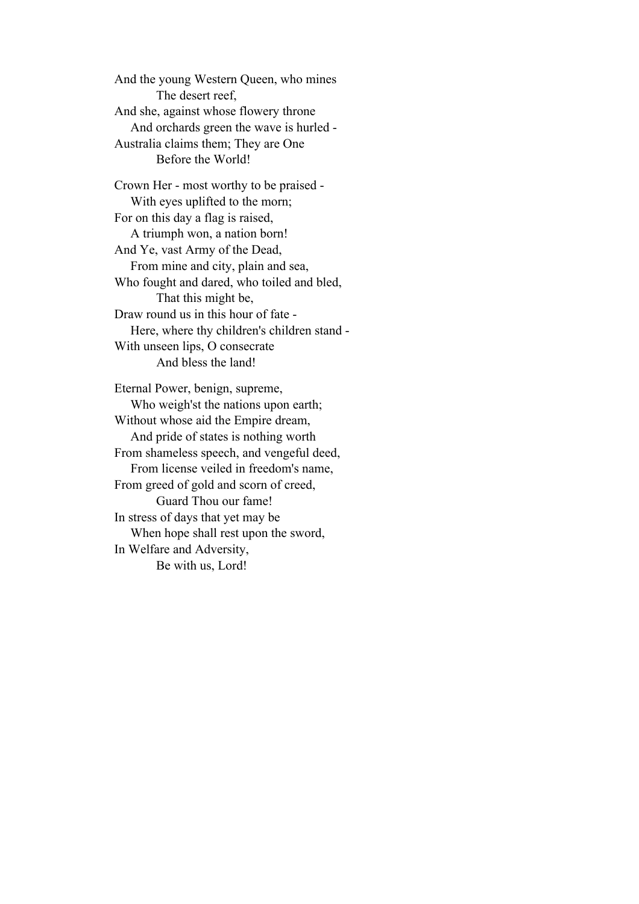And the young Western Queen, who mines The desert reef, And she, against whose flowery throne And orchards green the wave is hurled - Australia claims them; They are One Before the World!

Crown Her - most worthy to be praised - With eyes uplifted to the morn; For on this day a flag is raised, A triumph won, a nation born! And Ye, vast Army of the Dead, From mine and city, plain and sea, Who fought and dared, who toiled and bled, That this might be, Draw round us in this hour of fate - Here, where thy children's children stand - With unseen lips, O consecrate And bless the land!

Eternal Power, benign, supreme, Who weigh'st the nations upon earth; Without whose aid the Empire dream, And pride of states is nothing worth From shameless speech, and vengeful deed, From license veiled in freedom's name, From greed of gold and scorn of creed, Guard Thou our fame! In stress of days that yet may be When hope shall rest upon the sword, In Welfare and Adversity, Be with us, Lord!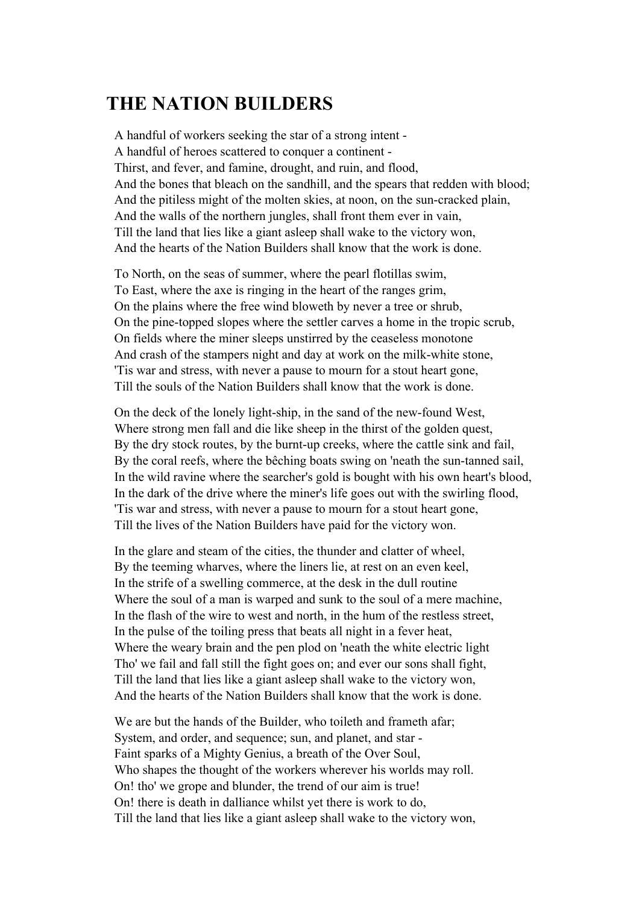## **THE NATION BUILDERS**

A handful of workers seeking the star of a strong intent - A handful of heroes scattered to conquer a continent - Thirst, and fever, and famine, drought, and ruin, and flood, And the bones that bleach on the sandhill, and the spears that redden with blood; And the pitiless might of the molten skies, at noon, on the sun-cracked plain, And the walls of the northern jungles, shall front them ever in vain, Till the land that lies like a giant asleep shall wake to the victory won, And the hearts of the Nation Builders shall know that the work is done.

To North, on the seas of summer, where the pearl flotillas swim, To East, where the axe is ringing in the heart of the ranges grim, On the plains where the free wind bloweth by never a tree or shrub, On the pine-topped slopes where the settler carves a home in the tropic scrub, On fields where the miner sleeps unstirred by the ceaseless monotone And crash of the stampers night and day at work on the milk-white stone, 'Tis war and stress, with never a pause to mourn for a stout heart gone, Till the souls of the Nation Builders shall know that the work is done.

On the deck of the lonely light-ship, in the sand of the new-found West, Where strong men fall and die like sheep in the thirst of the golden quest, By the dry stock routes, by the burnt-up creeks, where the cattle sink and fail, By the coral reefs, where the bêching boats swing on 'neath the sun-tanned sail, In the wild ravine where the searcher's gold is bought with his own heart's blood, In the dark of the drive where the miner's life goes out with the swirling flood, 'Tis war and stress, with never a pause to mourn for a stout heart gone, Till the lives of the Nation Builders have paid for the victory won.

In the glare and steam of the cities, the thunder and clatter of wheel, By the teeming wharves, where the liners lie, at rest on an even keel, In the strife of a swelling commerce, at the desk in the dull routine Where the soul of a man is warped and sunk to the soul of a mere machine, In the flash of the wire to west and north, in the hum of the restless street, In the pulse of the toiling press that beats all night in a fever heat, Where the weary brain and the pen plod on 'neath the white electric light Tho' we fail and fall still the fight goes on; and ever our sons shall fight, Till the land that lies like a giant asleep shall wake to the victory won, And the hearts of the Nation Builders shall know that the work is done.

We are but the hands of the Builder, who toileth and frameth afar; System, and order, and sequence; sun, and planet, and star - Faint sparks of a Mighty Genius, a breath of the Over Soul, Who shapes the thought of the workers wherever his worlds may roll. On! tho' we grope and blunder, the trend of our aim is true! On! there is death in dalliance whilst yet there is work to do, Till the land that lies like a giant asleep shall wake to the victory won,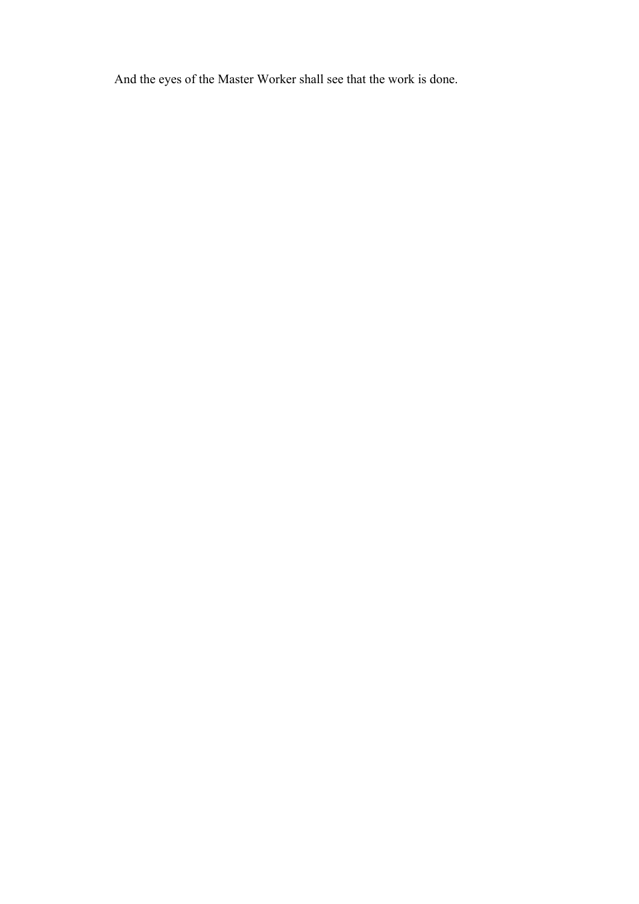And the eyes of the Master Worker shall see that the work is done.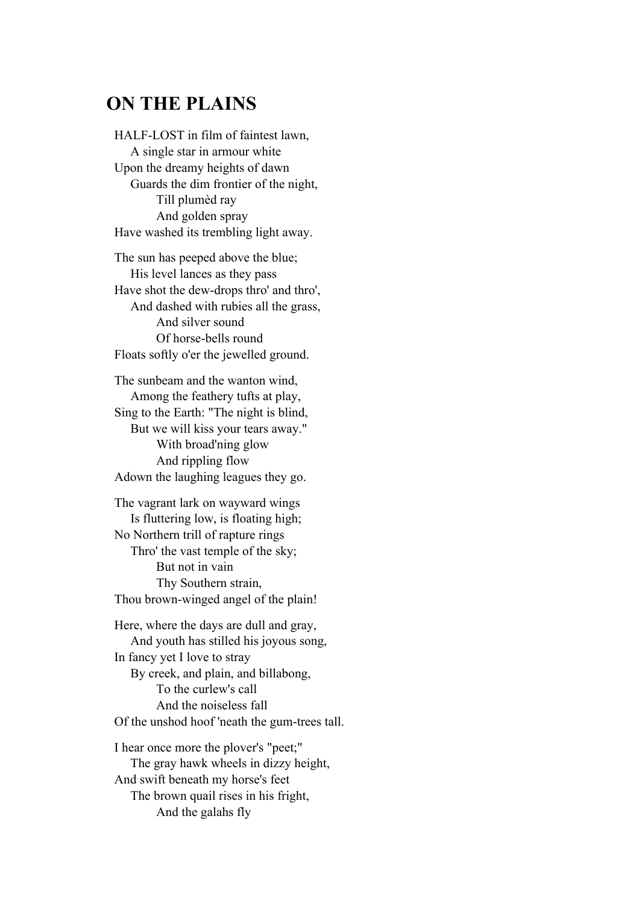### **ON THE PLAINS**

HALF-LOST in film of faintest lawn, A single star in armour white Upon the dreamy heights of dawn Guards the dim frontier of the night, Till plumèd ray And golden spray Have washed its trembling light away.

The sun has peeped above the blue; His level lances as they pass Have shot the dew-drops thro' and thro', And dashed with rubies all the grass, And silver sound Of horse-bells round Floats softly o'er the jewelled ground.

The sunbeam and the wanton wind, Among the feathery tufts at play, Sing to the Earth: "The night is blind, But we will kiss your tears away." With broad'ning glow And rippling flow Adown the laughing leagues they go.

The vagrant lark on wayward wings Is fluttering low, is floating high; No Northern trill of rapture rings Thro' the vast temple of the sky; But not in vain Thy Southern strain, Thou brown-winged angel of the plain!

Here, where the days are dull and gray, And youth has stilled his joyous song, In fancy yet I love to stray By creek, and plain, and billabong, To the curlew's call And the noiseless fall Of the unshod hoof 'neath the gum-trees tall.

I hear once more the plover's "peet;" The gray hawk wheels in dizzy height, And swift beneath my horse's feet The brown quail rises in his fright, And the galahs fly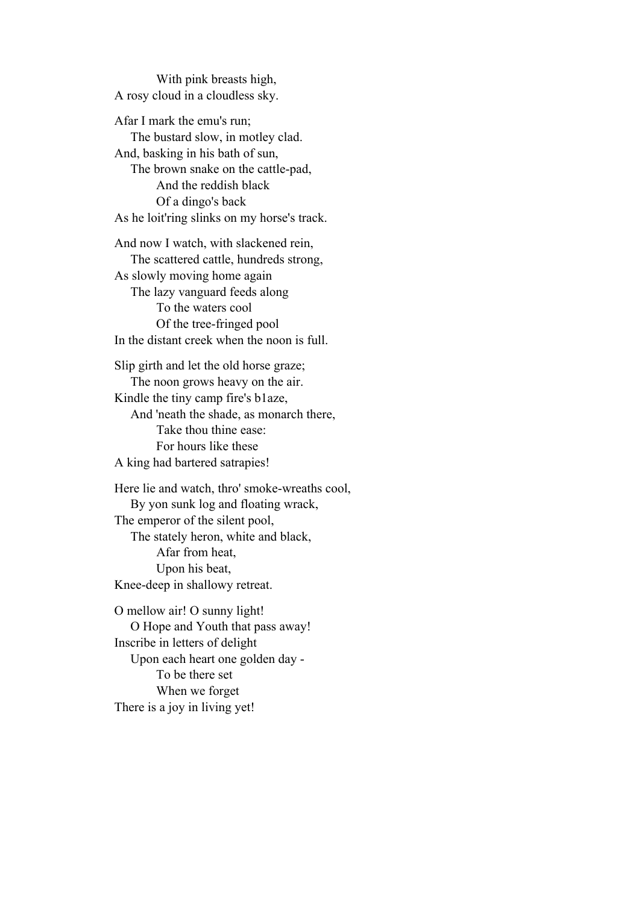With pink breasts high, A rosy cloud in a cloudless sky.

Afar I mark the emu's run; The bustard slow, in motley clad. And, basking in his bath of sun, The brown snake on the cattle-pad, And the reddish black Of a dingo's back As he loit'ring slinks on my horse's track.

And now I watch, with slackened rein, The scattered cattle, hundreds strong, As slowly moving home again The lazy vanguard feeds along To the waters cool Of the tree-fringed pool In the distant creek when the noon is full.

Slip girth and let the old horse graze; The noon grows heavy on the air. Kindle the tiny camp fire's b1aze, And 'neath the shade, as monarch there, Take thou thine ease: For hours like these A king had bartered satrapies!

Here lie and watch, thro' smoke-wreaths cool, By yon sunk log and floating wrack, The emperor of the silent pool, The stately heron, white and black, Afar from heat, Upon his beat, Knee-deep in shallowy retreat.

O mellow air! O sunny light! O Hope and Youth that pass away! Inscribe in letters of delight Upon each heart one golden day - To be there set When we forget There is a joy in living yet!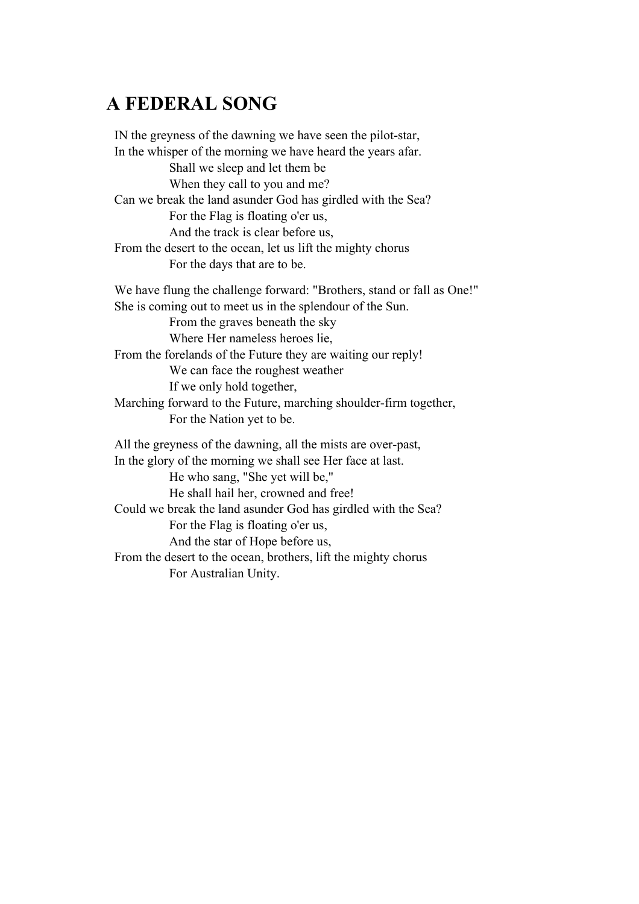## **A FEDERAL SONG**

IN the greyness of the dawning we have seen the pilot-star, In the whisper of the morning we have heard the years afar. Shall we sleep and let them be When they call to you and me? Can we break the land asunder God has girdled with the Sea? For the Flag is floating o'er us, And the track is clear before us, From the desert to the ocean, let us lift the mighty chorus For the days that are to be. We have flung the challenge forward: "Brothers, stand or fall as One!" She is coming out to meet us in the splendour of the Sun. From the graves beneath the sky Where Her nameless heroes lie, From the forelands of the Future they are waiting our reply! We can face the roughest weather If we only hold together, Marching forward to the Future, marching shoulder-firm together, For the Nation yet to be. All the greyness of the dawning, all the mists are over-past, In the glory of the morning we shall see Her face at last. He who sang, "She yet will be," He shall hail her, crowned and free! Could we break the land asunder God has girdled with the Sea? For the Flag is floating o'er us, And the star of Hope before us, From the desert to the ocean, brothers, lift the mighty chorus For Australian Unity.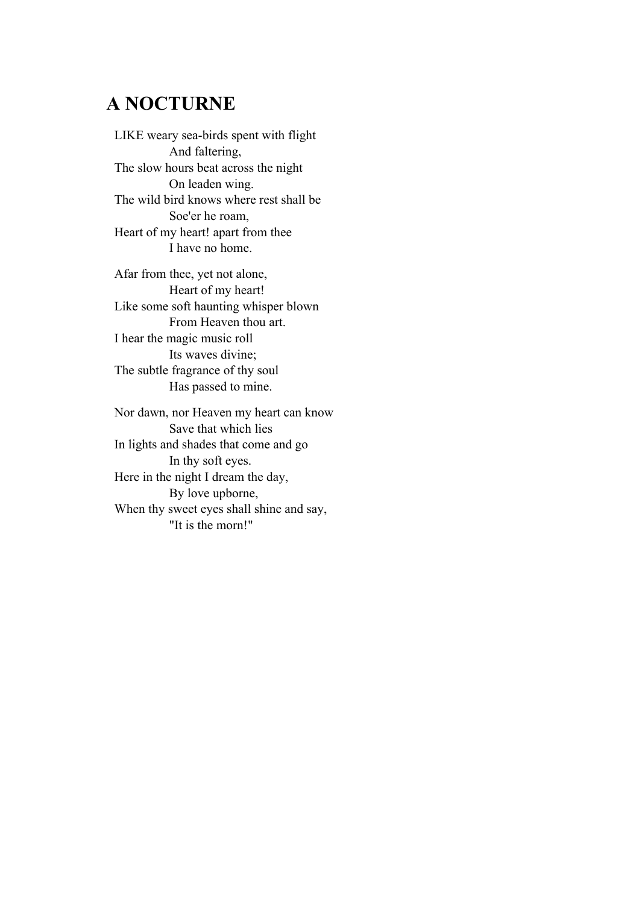## **A NOCTURNE**

LIKE weary sea-birds spent with flight And faltering, The slow hours beat across the night On leaden wing. The wild bird knows where rest shall be Soe'er he roam, Heart of my heart! apart from thee I have no home.

Afar from thee, yet not alone, Heart of my heart! Like some soft haunting whisper blown From Heaven thou art. I hear the magic music roll Its waves divine; The subtle fragrance of thy soul Has passed to mine.

Nor dawn, nor Heaven my heart can know Save that which lies In lights and shades that come and go In thy soft eyes. Here in the night I dream the day, By love upborne, When thy sweet eyes shall shine and say, "It is the morn!"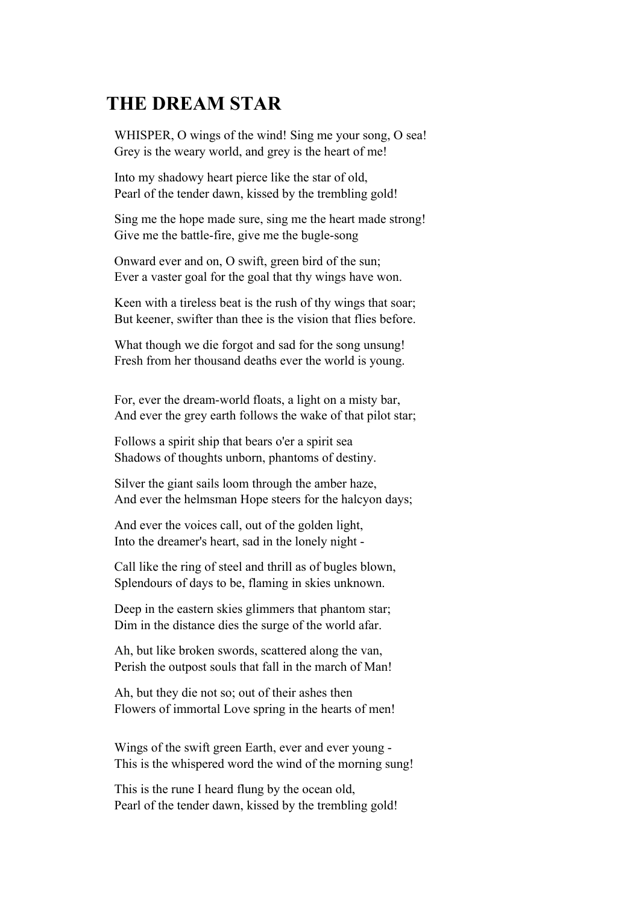## **THE DREAM STAR**

WHISPER, O wings of the wind! Sing me your song, O sea! Grey is the weary world, and grey is the heart of me!

Into my shadowy heart pierce like the star of old, Pearl of the tender dawn, kissed by the trembling gold!

Sing me the hope made sure, sing me the heart made strong! Give me the battle-fire, give me the bugle-song

Onward ever and on, O swift, green bird of the sun; Ever a vaster goal for the goal that thy wings have won.

Keen with a tireless beat is the rush of thy wings that soar; But keener, swifter than thee is the vision that flies before.

What though we die forgot and sad for the song unsung! Fresh from her thousand deaths ever the world is young.

For, ever the dream-world floats, a light on a misty bar, And ever the grey earth follows the wake of that pilot star;

Follows a spirit ship that bears o'er a spirit sea Shadows of thoughts unborn, phantoms of destiny.

Silver the giant sails loom through the amber haze, And ever the helmsman Hope steers for the halcyon days;

And ever the voices call, out of the golden light, Into the dreamer's heart, sad in the lonely night -

Call like the ring of steel and thrill as of bugles blown, Splendours of days to be, flaming in skies unknown.

Deep in the eastern skies glimmers that phantom star; Dim in the distance dies the surge of the world afar.

Ah, but like broken swords, scattered along the van, Perish the outpost souls that fall in the march of Man!

Ah, but they die not so; out of their ashes then Flowers of immortal Love spring in the hearts of men!

Wings of the swift green Earth, ever and ever young - This is the whispered word the wind of the morning sung!

This is the rune I heard flung by the ocean old, Pearl of the tender dawn, kissed by the trembling gold!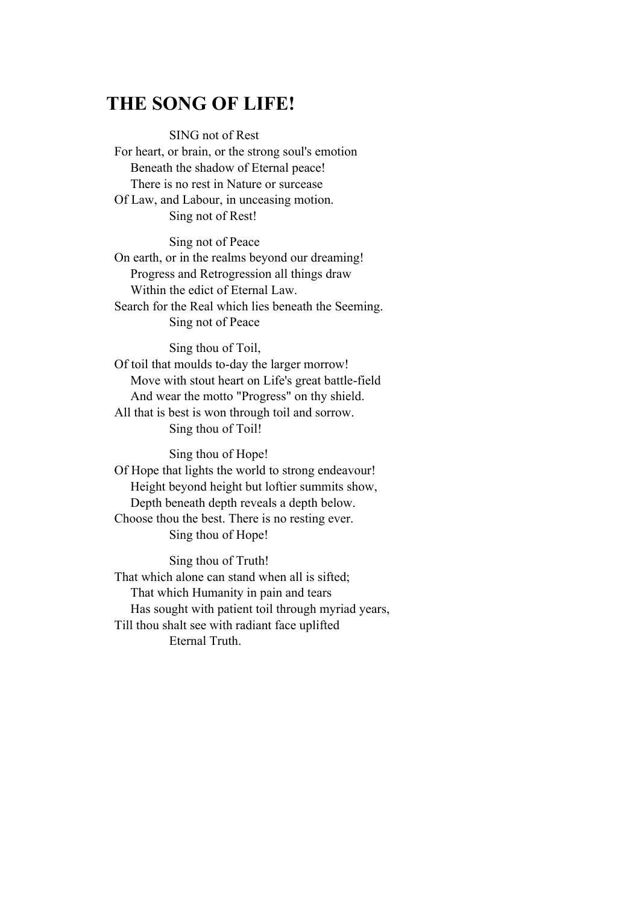### **THE SONG OF LIFE!**

 SING not of Rest For heart, or brain, or the strong soul's emotion Beneath the shadow of Eternal peace! There is no rest in Nature or surcease Of Law, and Labour, in unceasing motion. Sing not of Rest!

 Sing not of Peace On earth, or in the realms beyond our dreaming! Progress and Retrogression all things draw Within the edict of Eternal Law. Search for the Real which lies beneath the Seeming. Sing not of Peace

 Sing thou of Toil, Of toil that moulds to-day the larger morrow! Move with stout heart on Life's great battle-field And wear the motto "Progress" on thy shield. All that is best is won through toil and sorrow. Sing thou of Toil!

 Sing thou of Hope! Of Hope that lights the world to strong endeavour! Height beyond height but loftier summits show, Depth beneath depth reveals a depth below. Choose thou the best. There is no resting ever. Sing thou of Hope!

 Sing thou of Truth! That which alone can stand when all is sifted; That which Humanity in pain and tears Has sought with patient toil through myriad years, Till thou shalt see with radiant face uplifted Eternal Truth.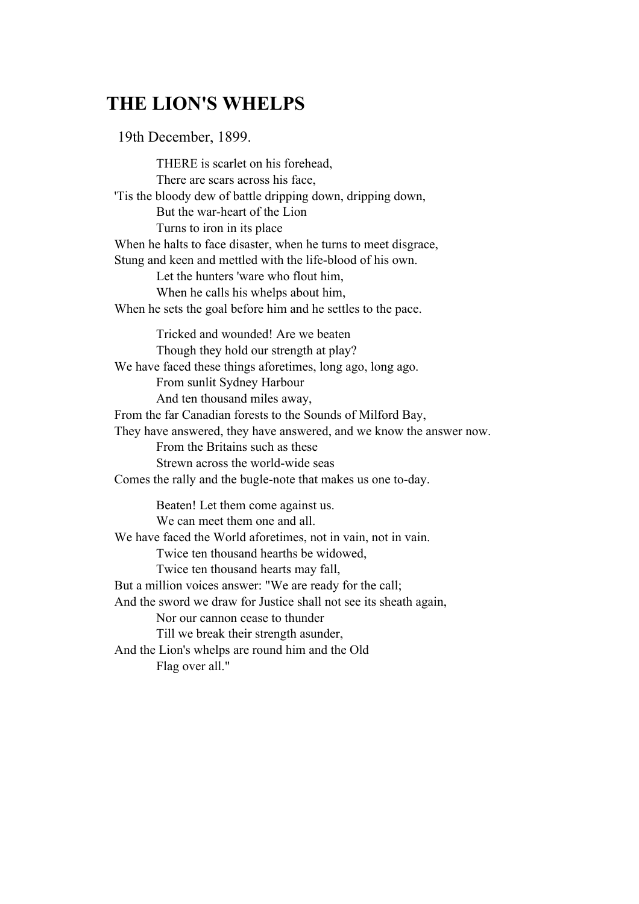## **THE LION'S WHELPS**

19th December, 1899.

 THERE is scarlet on his forehead, There are scars across his face, 'Tis the bloody dew of battle dripping down, dripping down, But the war-heart of the Lion Turns to iron in its place When he halts to face disaster, when he turns to meet disgrace, Stung and keen and mettled with the life-blood of his own. Let the hunters 'ware who flout him, When he calls his whelps about him, When he sets the goal before him and he settles to the pace. Tricked and wounded! Are we beaten Though they hold our strength at play? We have faced these things aforetimes, long ago, long ago. From sunlit Sydney Harbour And ten thousand miles away, From the far Canadian forests to the Sounds of Milford Bay, They have answered, they have answered, and we know the answer now. From the Britains such as these Strewn across the world-wide seas Comes the rally and the bugle-note that makes us one to-day. Beaten! Let them come against us. We can meet them one and all. We have faced the World aforetimes, not in vain, not in vain. Twice ten thousand hearths be widowed, Twice ten thousand hearts may fall, But a million voices answer: "We are ready for the call; And the sword we draw for Justice shall not see its sheath again, Nor our cannon cease to thunder Till we break their strength asunder, And the Lion's whelps are round him and the Old Flag over all."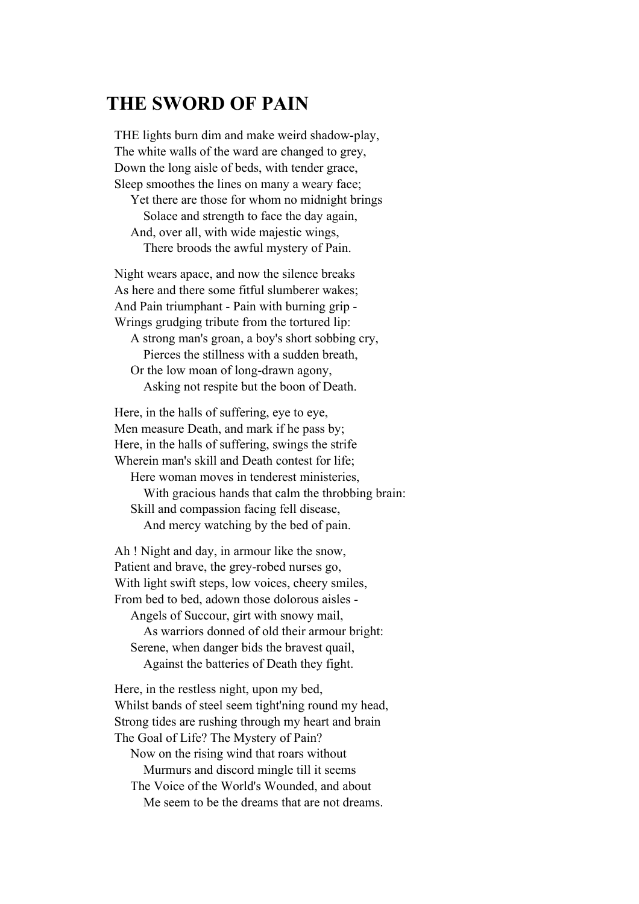#### **THE SWORD OF PAIN**

THE lights burn dim and make weird shadow-play, The white walls of the ward are changed to grey, Down the long aisle of beds, with tender grace, Sleep smoothes the lines on many a weary face;

 Yet there are those for whom no midnight brings Solace and strength to face the day again, And, over all, with wide majestic wings, There broods the awful mystery of Pain.

Night wears apace, and now the silence breaks As here and there some fitful slumberer wakes; And Pain triumphant - Pain with burning grip - Wrings grudging tribute from the tortured lip:

 A strong man's groan, a boy's short sobbing cry, Pierces the stillness with a sudden breath, Or the low moan of long-drawn agony, Asking not respite but the boon of Death.

Here, in the halls of suffering, eye to eye, Men measure Death, and mark if he pass by; Here, in the halls of suffering, swings the strife Wherein man's skill and Death contest for life; Here woman moves in tenderest ministeries, With gracious hands that calm the throbbing brain: Skill and compassion facing fell disease,

And mercy watching by the bed of pain.

Ah ! Night and day, in armour like the snow, Patient and brave, the grey-robed nurses go, With light swift steps, low voices, cheery smiles, From bed to bed, adown those dolorous aisles - Angels of Succour, girt with snowy mail, As warriors donned of old their armour bright: Serene, when danger bids the bravest quail, Against the batteries of Death they fight.

Here, in the restless night, upon my bed, Whilst bands of steel seem tight'ning round my head, Strong tides are rushing through my heart and brain The Goal of Life? The Mystery of Pain? Now on the rising wind that roars without Murmurs and discord mingle till it seems The Voice of the World's Wounded, and about

Me seem to be the dreams that are not dreams.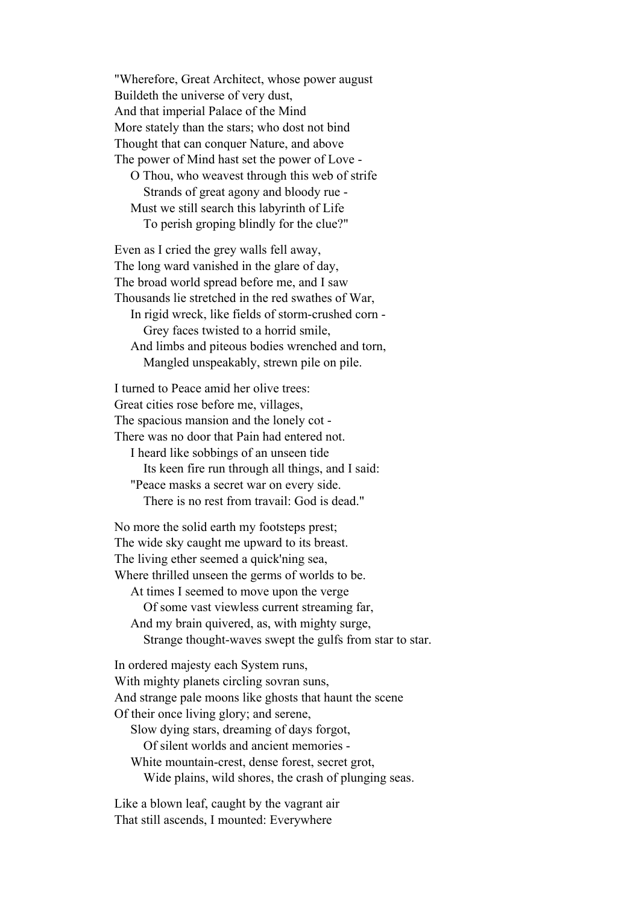"Wherefore, Great Architect, whose power august Buildeth the universe of very dust, And that imperial Palace of the Mind More stately than the stars; who dost not bind Thought that can conquer Nature, and above The power of Mind hast set the power of Love - O Thou, who weavest through this web of strife Strands of great agony and bloody rue - Must we still search this labyrinth of Life To perish groping blindly for the clue?"

Even as I cried the grey walls fell away, The long ward vanished in the glare of day, The broad world spread before me, and I saw Thousands lie stretched in the red swathes of War, In rigid wreck, like fields of storm-crushed corn - Grey faces twisted to a horrid smile, And limbs and piteous bodies wrenched and torn, Mangled unspeakably, strewn pile on pile.

I turned to Peace amid her olive trees: Great cities rose before me, villages, The spacious mansion and the lonely cot - There was no door that Pain had entered not. I heard like sobbings of an unseen tide Its keen fire run through all things, and I said: "Peace masks a secret war on every side. There is no rest from travail: God is dead."

No more the solid earth my footsteps prest; The wide sky caught me upward to its breast. The living ether seemed a quick'ning sea, Where thrilled unseen the germs of worlds to be. At times I seemed to move upon the verge Of some vast viewless current streaming far, And my brain quivered, as, with mighty surge, Strange thought-waves swept the gulfs from star to star. In ordered majesty each System runs,

With mighty planets circling sovran suns, And strange pale moons like ghosts that haunt the scene Of their once living glory; and serene, Slow dying stars, dreaming of days forgot, Of silent worlds and ancient memories - White mountain-crest, dense forest, secret grot, Wide plains, wild shores, the crash of plunging seas.

Like a blown leaf, caught by the vagrant air That still ascends, I mounted: Everywhere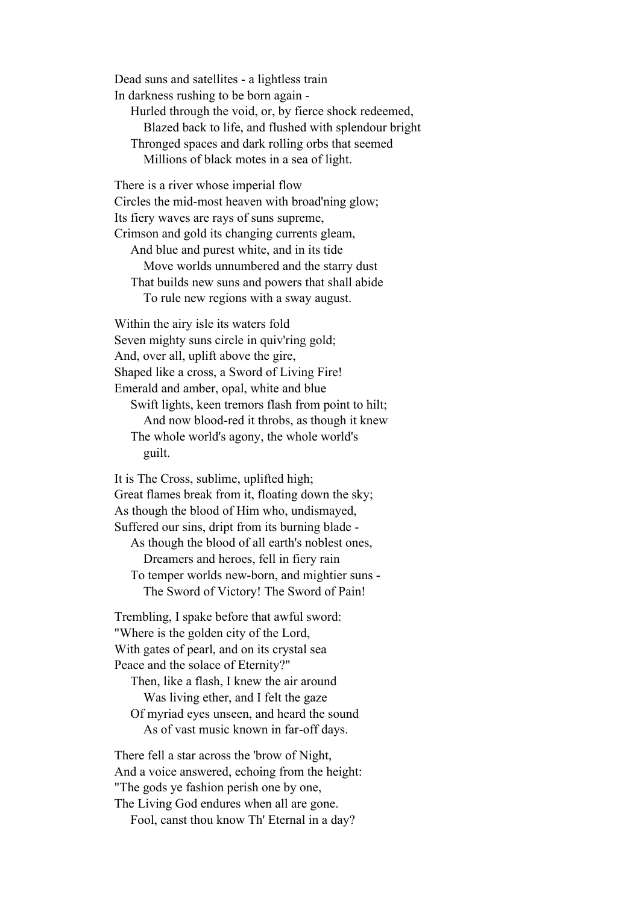Dead suns and satellites - a lightless train In darkness rushing to be born again - Hurled through the void, or, by fierce shock redeemed, Blazed back to life, and flushed with splendour bright Thronged spaces and dark rolling orbs that seemed Millions of black motes in a sea of light.

There is a river whose imperial flow Circles the mid-most heaven with broad'ning glow; Its fiery waves are rays of suns supreme, Crimson and gold its changing currents gleam, And blue and purest white, and in its tide Move worlds unnumbered and the starry dust That builds new suns and powers that shall abide To rule new regions with a sway august.

Within the airy isle its waters fold Seven mighty suns circle in quiv'ring gold; And, over all, uplift above the gire, Shaped like a cross, a Sword of Living Fire! Emerald and amber, opal, white and blue Swift lights, keen tremors flash from point to hilt; And now blood-red it throbs, as though it knew The whole world's agony, the whole world's guilt.

It is The Cross, sublime, uplifted high; Great flames break from it, floating down the sky; As though the blood of Him who, undismayed, Suffered our sins, dript from its burning blade - As though the blood of all earth's noblest ones,

 Dreamers and heroes, fell in fiery rain To temper worlds new-born, and mightier suns - The Sword of Victory! The Sword of Pain!

Trembling, I spake before that awful sword: "Where is the golden city of the Lord, With gates of pearl, and on its crystal sea Peace and the solace of Eternity?"

 Then, like a flash, I knew the air around Was living ether, and I felt the gaze Of myriad eyes unseen, and heard the sound As of vast music known in far-off days.

There fell a star across the 'brow of Night, And a voice answered, echoing from the height: "The gods ye fashion perish one by one, The Living God endures when all are gone. Fool, canst thou know Th' Eternal in a day?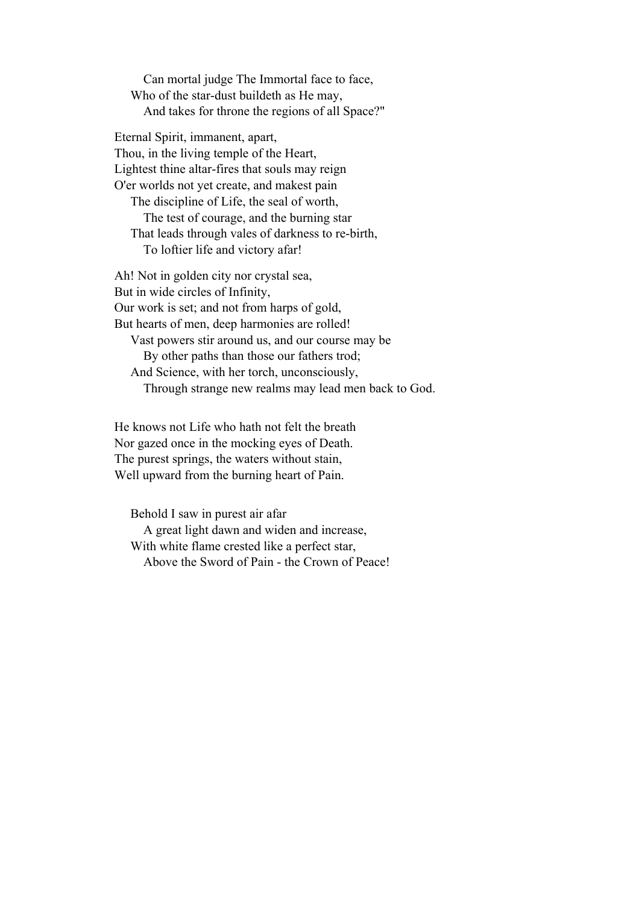Can mortal judge The Immortal face to face, Who of the star-dust buildeth as He may, And takes for throne the regions of all Space?"

Eternal Spirit, immanent, apart, Thou, in the living temple of the Heart, Lightest thine altar-fires that souls may reign O'er worlds not yet create, and makest pain The discipline of Life, the seal of worth, The test of courage, and the burning star That leads through vales of darkness to re-birth, To loftier life and victory afar!

Ah! Not in golden city nor crystal sea, But in wide circles of Infinity, Our work is set; and not from harps of gold, But hearts of men, deep harmonies are rolled! Vast powers stir around us, and our course may be By other paths than those our fathers trod; And Science, with her torch, unconsciously, Through strange new realms may lead men back to God.

He knows not Life who hath not felt the breath Nor gazed once in the mocking eyes of Death. The purest springs, the waters without stain, Well upward from the burning heart of Pain.

 Behold I saw in purest air afar A great light dawn and widen and increase, With white flame crested like a perfect star, Above the Sword of Pain - the Crown of Peace!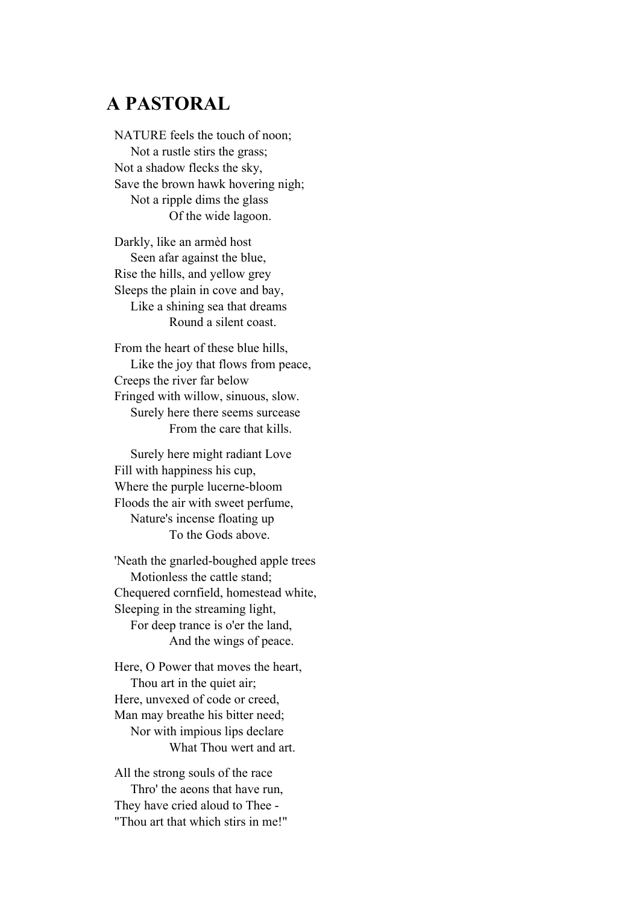## **A PASTORAL**

NATURE feels the touch of noon; Not a rustle stirs the grass; Not a shadow flecks the sky, Save the brown hawk hovering nigh; Not a ripple dims the glass Of the wide lagoon.

Darkly, like an armèd host Seen afar against the blue, Rise the hills, and yellow grey Sleeps the plain in cove and bay, Like a shining sea that dreams Round a silent coast.

From the heart of these blue hills, Like the joy that flows from peace, Creeps the river far below Fringed with willow, sinuous, slow. Surely here there seems surcease From the care that kills.

 Surely here might radiant Love Fill with happiness his cup, Where the purple lucerne-bloom Floods the air with sweet perfume, Nature's incense floating up To the Gods above.

'Neath the gnarled-boughed apple trees Motionless the cattle stand; Chequered cornfield, homestead white, Sleeping in the streaming light, For deep trance is o'er the land, And the wings of peace.

Here, O Power that moves the heart, Thou art in the quiet air; Here, unvexed of code or creed, Man may breathe his bitter need; Nor with impious lips declare What Thou wert and art.

All the strong souls of the race Thro' the aeons that have run, They have cried aloud to Thee - "Thou art that which stirs in me!"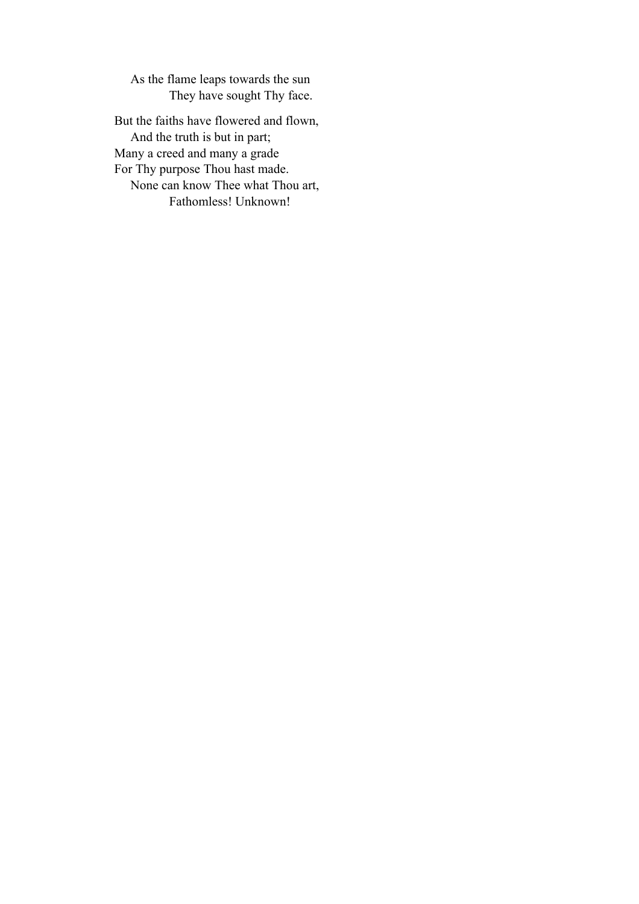As the flame leaps towards the sun They have sought Thy face.

But the faiths have flowered and flown, And the truth is but in part; Many a creed and many a grade For Thy purpose Thou hast made. None can know Thee what Thou art, Fathomless! Unknown!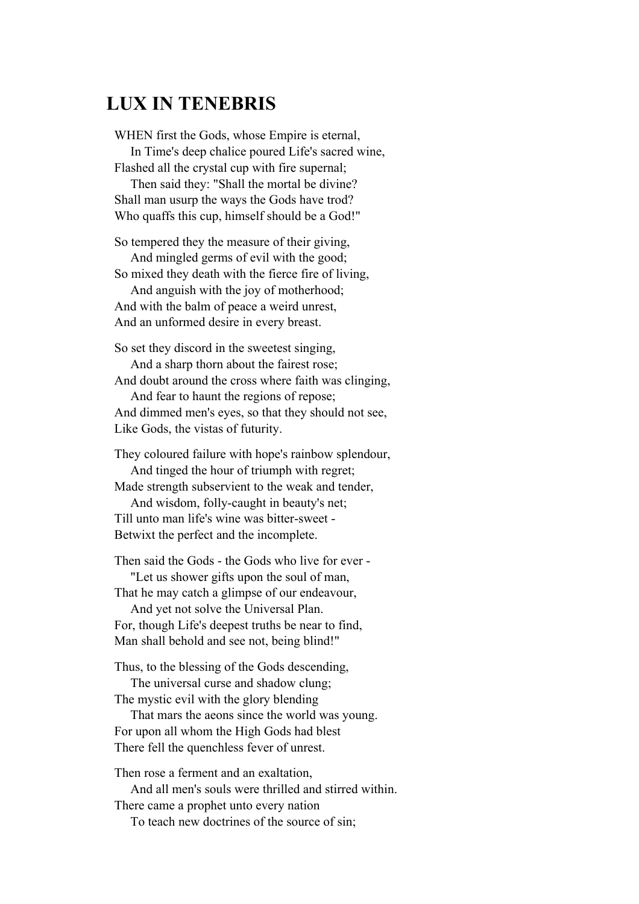#### **LUX IN TENEBRIS**

WHEN first the Gods, whose Empire is eternal, In Time's deep chalice poured Life's sacred wine, Flashed all the crystal cup with fire supernal;

 Then said they: "Shall the mortal be divine? Shall man usurp the ways the Gods have trod? Who quaffs this cup, himself should be a God!"

So tempered they the measure of their giving, And mingled germs of evil with the good;

So mixed they death with the fierce fire of living,

 And anguish with the joy of motherhood; And with the balm of peace a weird unrest, And an unformed desire in every breast.

So set they discord in the sweetest singing, And a sharp thorn about the fairest rose;

And doubt around the cross where faith was clinging,

 And fear to haunt the regions of repose; And dimmed men's eyes, so that they should not see, Like Gods, the vistas of futurity.

They coloured failure with hope's rainbow splendour, And tinged the hour of triumph with regret;

Made strength subservient to the weak and tender, And wisdom, folly-caught in beauty's net;

Till unto man life's wine was bitter-sweet - Betwixt the perfect and the incomplete.

Then said the Gods - the Gods who live for ever -

 "Let us shower gifts upon the soul of man, That he may catch a glimpse of our endeavour,

 And yet not solve the Universal Plan. For, though Life's deepest truths be near to find, Man shall behold and see not, being blind!"

Thus, to the blessing of the Gods descending,

 The universal curse and shadow clung; The mystic evil with the glory blending

 That mars the aeons since the world was young. For upon all whom the High Gods had blest There fell the quenchless fever of unrest.

Then rose a ferment and an exaltation, And all men's souls were thrilled and stirred within. There came a prophet unto every nation To teach new doctrines of the source of sin;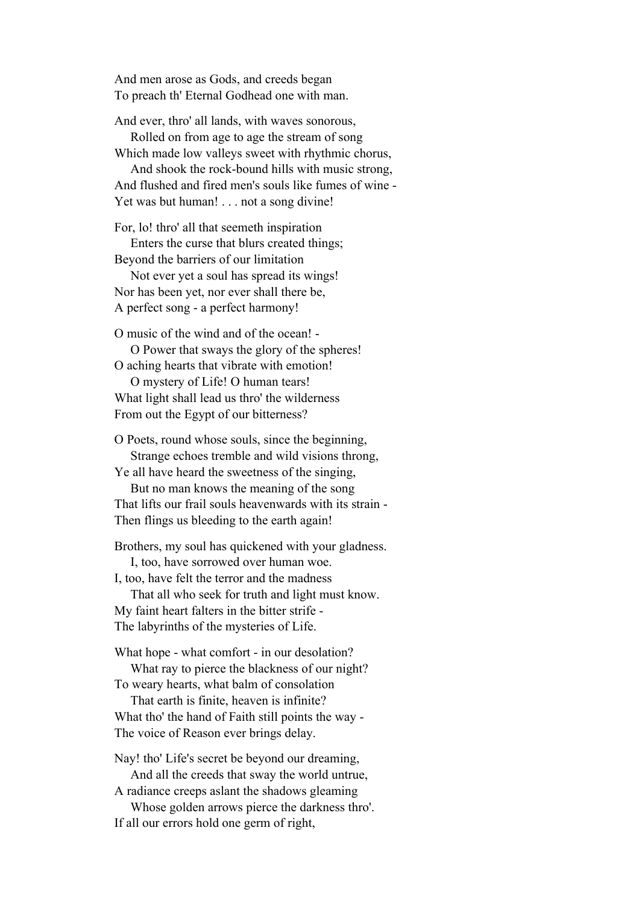And men arose as Gods, and creeds began To preach th' Eternal Godhead one with man.

And ever, thro' all lands, with waves sonorous,

 Rolled on from age to age the stream of song Which made low valleys sweet with rhythmic chorus,

 And shook the rock-bound hills with music strong, And flushed and fired men's souls like fumes of wine - Yet was but human! . . . not a song divine!

For, lo! thro' all that seemeth inspiration Enters the curse that blurs created things; Beyond the barriers of our limitation

 Not ever yet a soul has spread its wings! Nor has been yet, nor ever shall there be, A perfect song - a perfect harmony!

O music of the wind and of the ocean! - O Power that sways the glory of the spheres!

O aching hearts that vibrate with emotion!

 O mystery of Life! O human tears! What light shall lead us thro' the wilderness From out the Egypt of our bitterness?

O Poets, round whose souls, since the beginning, Strange echoes tremble and wild visions throng,

Ye all have heard the sweetness of the singing, But no man knows the meaning of the song

That lifts our frail souls heavenwards with its strain - Then flings us bleeding to the earth again!

Brothers, my soul has quickened with your gladness. I, too, have sorrowed over human woe.

I, too, have felt the terror and the madness

 That all who seek for truth and light must know. My faint heart falters in the bitter strife - The labyrinths of the mysteries of Life.

What hope - what comfort - in our desolation? What ray to pierce the blackness of our night?

To weary hearts, what balm of consolation That earth is finite, heaven is infinite?

What tho' the hand of Faith still points the way - The voice of Reason ever brings delay.

Nay! tho' Life's secret be beyond our dreaming, And all the creeds that sway the world untrue,

A radiance creeps aslant the shadows gleaming Whose golden arrows pierce the darkness thro'. If all our errors hold one germ of right,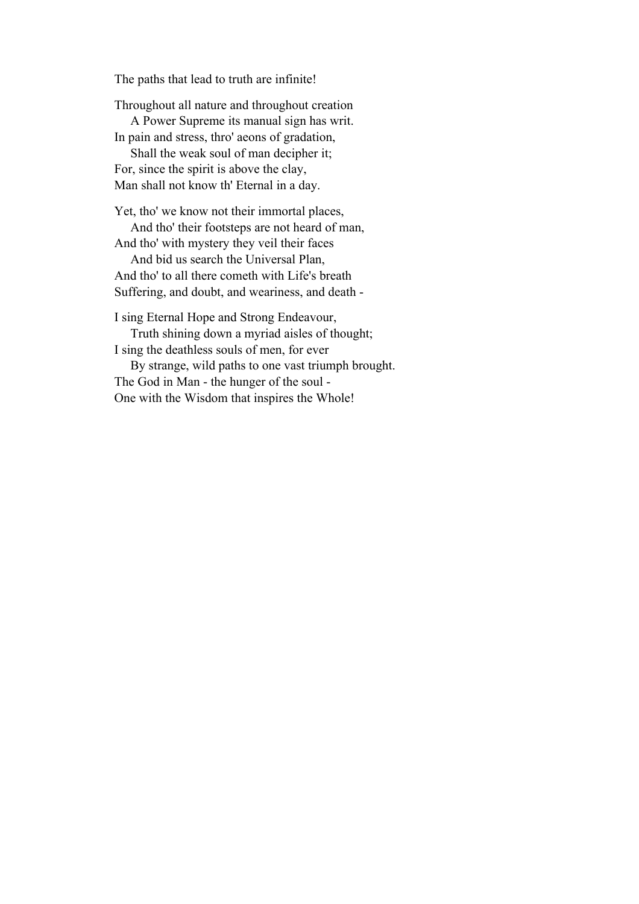The paths that lead to truth are infinite!

Throughout all nature and throughout creation

 A Power Supreme its manual sign has writ. In pain and stress, thro' aeons of gradation,

 Shall the weak soul of man decipher it; For, since the spirit is above the clay, Man shall not know th' Eternal in a day.

Yet, tho' we know not their immortal places,

And tho' their footsteps are not heard of man,

And tho' with mystery they veil their faces And bid us search the Universal Plan,

And tho' to all there cometh with Life's breath Suffering, and doubt, and weariness, and death -

I sing Eternal Hope and Strong Endeavour, Truth shining down a myriad aisles of thought;

I sing the deathless souls of men, for ever

 By strange, wild paths to one vast triumph brought. The God in Man - the hunger of the soul - One with the Wisdom that inspires the Whole!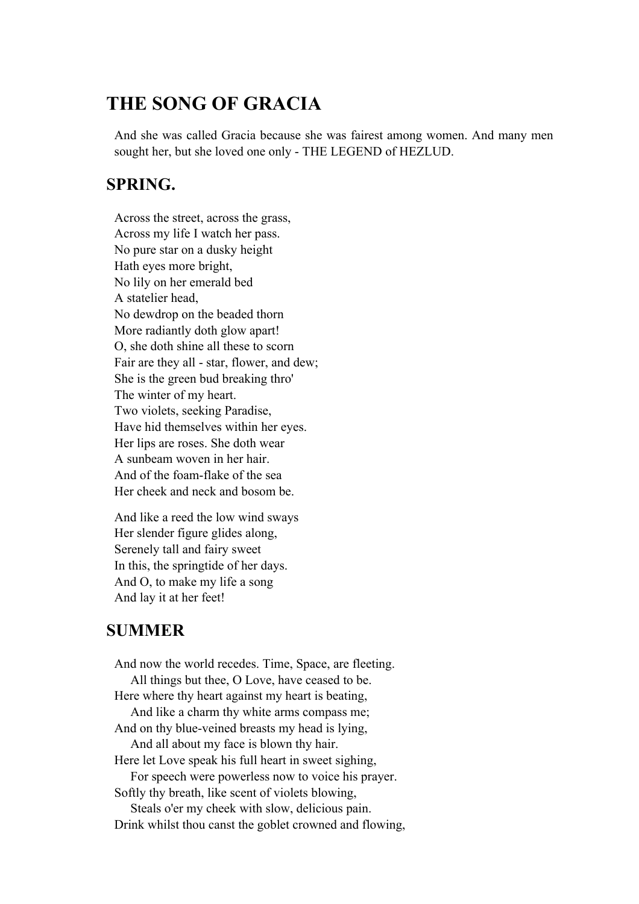## **THE SONG OF GRACIA**

And she was called Gracia because she was fairest among women. And many men sought her, but she loved one only - THE LEGEND of HEZLUD.

#### **SPRING.**

Across the street, across the grass, Across my life I watch her pass. No pure star on a dusky height Hath eyes more bright, No lily on her emerald bed A statelier head, No dewdrop on the beaded thorn More radiantly doth glow apart! O, she doth shine all these to scorn Fair are they all - star, flower, and dew; She is the green bud breaking thro' The winter of my heart. Two violets, seeking Paradise, Have hid themselves within her eyes. Her lips are roses. She doth wear A sunbeam woven in her hair. And of the foam-flake of the sea Her cheek and neck and bosom be.

And like a reed the low wind sways Her slender figure glides along, Serenely tall and fairy sweet In this, the springtide of her days. And O, to make my life a song And lay it at her feet!

#### **SUMMER**

And now the world recedes. Time, Space, are fleeting. All things but thee, O Love, have ceased to be. Here where thy heart against my heart is beating, And like a charm thy white arms compass me; And on thy blue-veined breasts my head is lying, And all about my face is blown thy hair. Here let Love speak his full heart in sweet sighing, For speech were powerless now to voice his prayer. Softly thy breath, like scent of violets blowing, Steals o'er my cheek with slow, delicious pain. Drink whilst thou canst the goblet crowned and flowing,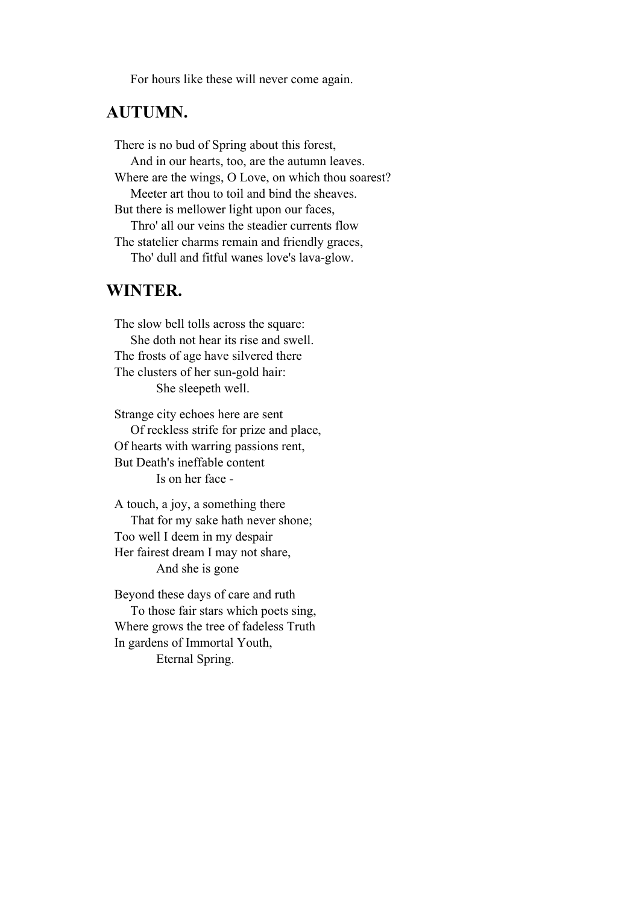For hours like these will never come again.

#### **AUTUMN.**

There is no bud of Spring about this forest, And in our hearts, too, are the autumn leaves. Where are the wings, O Love, on which thou soarest? Meeter art thou to toil and bind the sheaves. But there is mellower light upon our faces, Thro' all our veins the steadier currents flow The statelier charms remain and friendly graces, Tho' dull and fitful wanes love's lava-glow.

#### **WINTER.**

The slow bell tolls across the square: She doth not hear its rise and swell. The frosts of age have silvered there The clusters of her sun-gold hair: She sleepeth well.

Strange city echoes here are sent Of reckless strife for prize and place, Of hearts with warring passions rent, But Death's ineffable content Is on her face -

A touch, a joy, a something there That for my sake hath never shone; Too well I deem in my despair Her fairest dream I may not share, And she is gone

Beyond these days of care and ruth To those fair stars which poets sing, Where grows the tree of fadeless Truth In gardens of Immortal Youth, Eternal Spring.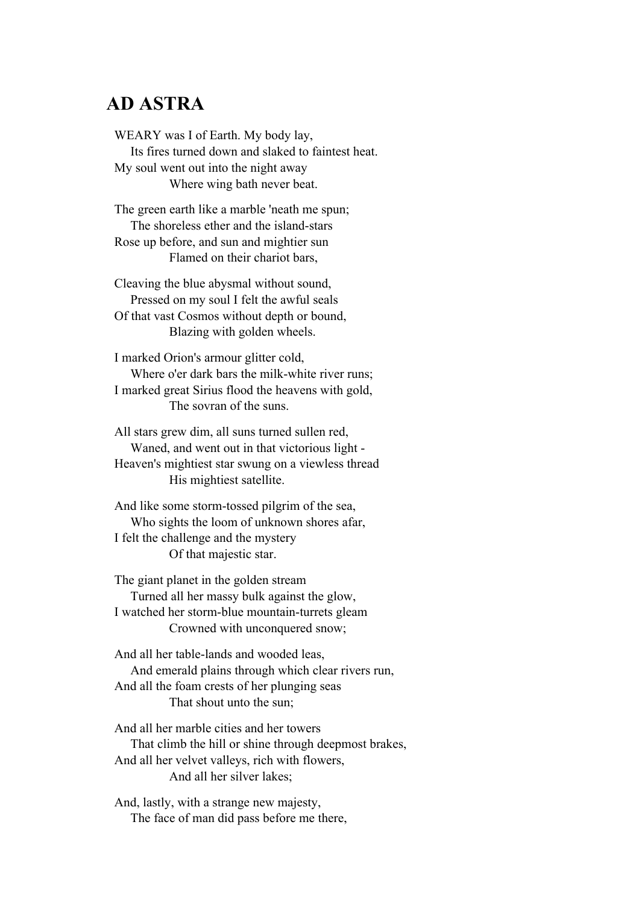#### **AD ASTRA**

WEARY was I of Earth. My body lay, Its fires turned down and slaked to faintest heat. My soul went out into the night away Where wing bath never beat.

The green earth like a marble 'neath me spun; The shoreless ether and the island-stars Rose up before, and sun and mightier sun Flamed on their chariot bars,

Cleaving the blue abysmal without sound, Pressed on my soul I felt the awful seals Of that vast Cosmos without depth or bound, Blazing with golden wheels.

I marked Orion's armour glitter cold, Where o'er dark bars the milk-white river runs; I marked great Sirius flood the heavens with gold, The sovran of the suns.

All stars grew dim, all suns turned sullen red, Waned, and went out in that victorious light - Heaven's mightiest star swung on a viewless thread His mightiest satellite.

And like some storm-tossed pilgrim of the sea, Who sights the loom of unknown shores afar, I felt the challenge and the mystery Of that majestic star.

The giant planet in the golden stream Turned all her massy bulk against the glow, I watched her storm-blue mountain-turrets gleam Crowned with unconquered snow;

And all her table-lands and wooded leas, And emerald plains through which clear rivers run, And all the foam crests of her plunging seas That shout unto the sun;

And all her marble cities and her towers That climb the hill or shine through deepmost brakes, And all her velvet valleys, rich with flowers, And all her silver lakes;

And, lastly, with a strange new majesty, The face of man did pass before me there,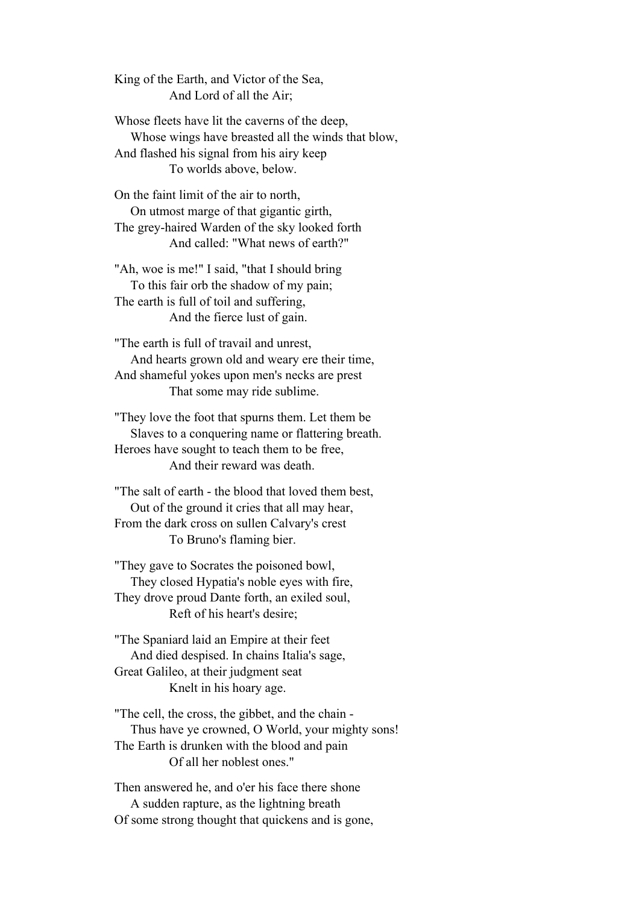King of the Earth, and Victor of the Sea, And Lord of all the Air;

Whose fleets have lit the caverns of the deep, Whose wings have breasted all the winds that blow, And flashed his signal from his airy keep To worlds above, below.

On the faint limit of the air to north, On utmost marge of that gigantic girth, The grey-haired Warden of the sky looked forth And called: "What news of earth?"

"Ah, woe is me!" I said, "that I should bring To this fair orb the shadow of my pain; The earth is full of toil and suffering, And the fierce lust of gain.

"The earth is full of travail and unrest, And hearts grown old and weary ere their time, And shameful yokes upon men's necks are prest That some may ride sublime.

"They love the foot that spurns them. Let them be Slaves to a conquering name or flattering breath. Heroes have sought to teach them to be free, And their reward was death.

"The salt of earth - the blood that loved them best, Out of the ground it cries that all may hear, From the dark cross on sullen Calvary's crest To Bruno's flaming bier.

"They gave to Socrates the poisoned bowl, They closed Hypatia's noble eyes with fire, They drove proud Dante forth, an exiled soul, Reft of his heart's desire;

"The Spaniard laid an Empire at their feet And died despised. In chains Italia's sage, Great Galileo, at their judgment seat Knelt in his hoary age.

"The cell, the cross, the gibbet, and the chain - Thus have ye crowned, O World, your mighty sons! The Earth is drunken with the blood and pain Of all her noblest ones."

Then answered he, and o'er his face there shone A sudden rapture, as the lightning breath Of some strong thought that quickens and is gone,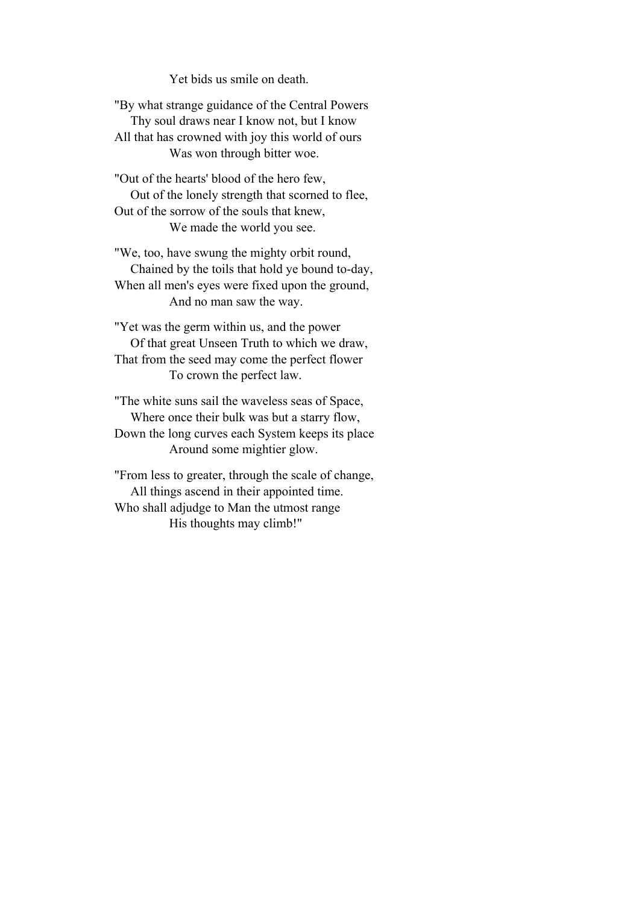Yet bids us smile on death.

"By what strange guidance of the Central Powers Thy soul draws near I know not, but I know All that has crowned with joy this world of ours Was won through bitter woe.

"Out of the hearts' blood of the hero few, Out of the lonely strength that scorned to flee, Out of the sorrow of the souls that knew, We made the world you see.

"We, too, have swung the mighty orbit round, Chained by the toils that hold ye bound to-day, When all men's eyes were fixed upon the ground, And no man saw the way.

"Yet was the germ within us, and the power Of that great Unseen Truth to which we draw, That from the seed may come the perfect flower To crown the perfect law.

"The white suns sail the waveless seas of Space, Where once their bulk was but a starry flow, Down the long curves each System keeps its place Around some mightier glow.

"From less to greater, through the scale of change, All things ascend in their appointed time. Who shall adjudge to Man the utmost range His thoughts may climb!"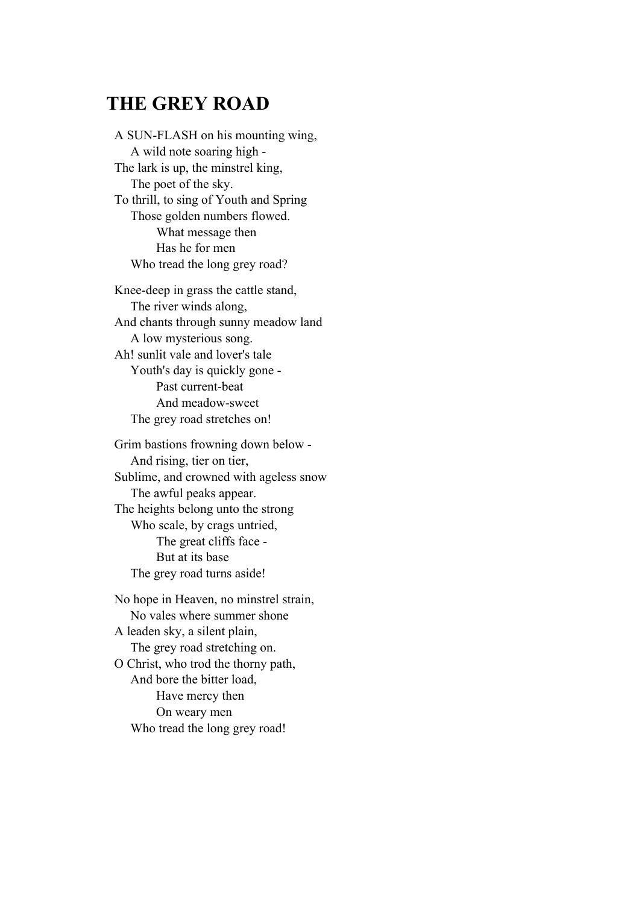### **THE GREY ROAD**

A SUN-FLASH on his mounting wing, A wild note soaring high - The lark is up, the minstrel king, The poet of the sky. To thrill, to sing of Youth and Spring Those golden numbers flowed. What message then Has he for men Who tread the long grey road?

Knee-deep in grass the cattle stand, The river winds along, And chants through sunny meadow land A low mysterious song. Ah! sunlit vale and lover's tale Youth's day is quickly gone - Past current-beat And meadow-sweet The grey road stretches on!

Grim bastions frowning down below - And rising, tier on tier, Sublime, and crowned with ageless snow The awful peaks appear. The heights belong unto the strong Who scale, by crags untried, The great cliffs face - But at its base The grey road turns aside!

No hope in Heaven, no minstrel strain, No vales where summer shone A leaden sky, a silent plain, The grey road stretching on. O Christ, who trod the thorny path, And bore the bitter load, Have mercy then On weary men Who tread the long grey road!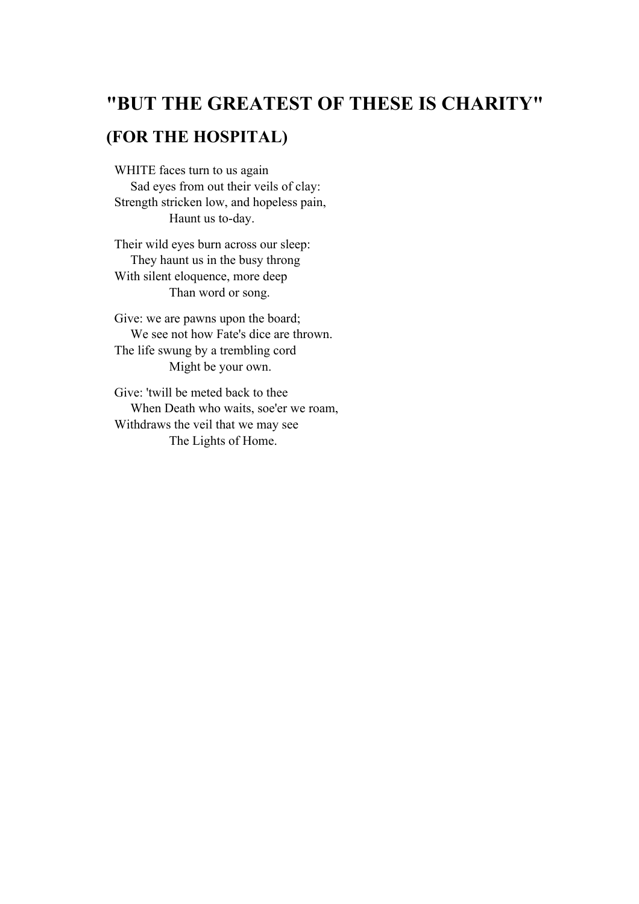# **"BUT THE GREATEST OF THESE IS CHARITY"**

## **(FOR THE HOSPITAL)**

WHITE faces turn to us again Sad eyes from out their veils of clay: Strength stricken low, and hopeless pain, Haunt us to-day.

Their wild eyes burn across our sleep: They haunt us in the busy throng With silent eloquence, more deep Than word or song.

Give: we are pawns upon the board; We see not how Fate's dice are thrown. The life swung by a trembling cord Might be your own.

Give: 'twill be meted back to thee When Death who waits, soe'er we roam, Withdraws the veil that we may see The Lights of Home.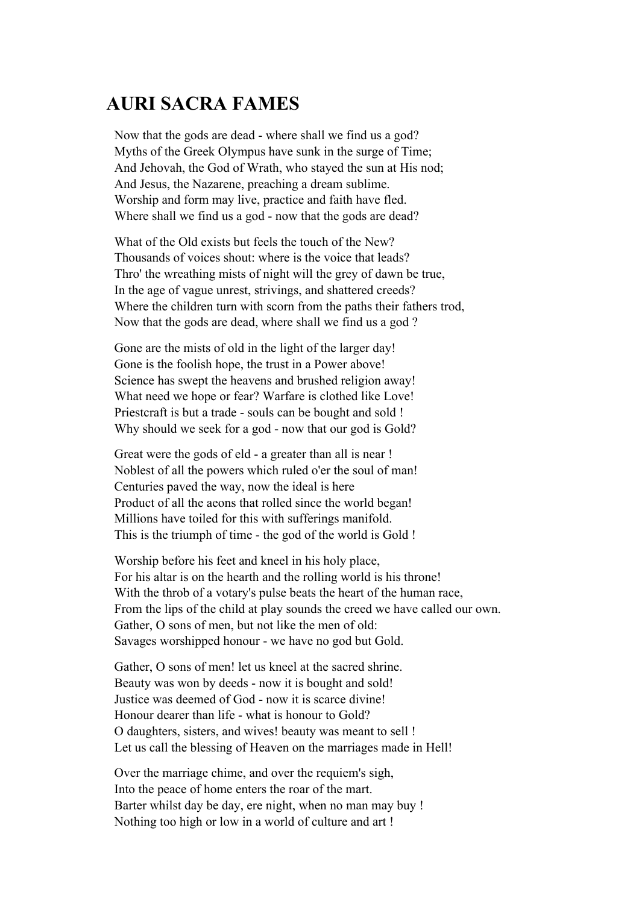# **AURI SACRA FAMES**

Now that the gods are dead - where shall we find us a god? Myths of the Greek Olympus have sunk in the surge of Time; And Jehovah, the God of Wrath, who stayed the sun at His nod; And Jesus, the Nazarene, preaching a dream sublime. Worship and form may live, practice and faith have fled. Where shall we find us a god - now that the gods are dead?

What of the Old exists but feels the touch of the New? Thousands of voices shout: where is the voice that leads? Thro' the wreathing mists of night will the grey of dawn be true, In the age of vague unrest, strivings, and shattered creeds? Where the children turn with scorn from the paths their fathers trod, Now that the gods are dead, where shall we find us a god ?

Gone are the mists of old in the light of the larger day! Gone is the foolish hope, the trust in a Power above! Science has swept the heavens and brushed religion away! What need we hope or fear? Warfare is clothed like Love! Priestcraft is but a trade - souls can be bought and sold ! Why should we seek for a god - now that our god is Gold?

Great were the gods of eld - a greater than all is near ! Noblest of all the powers which ruled o'er the soul of man! Centuries paved the way, now the ideal is here Product of all the aeons that rolled since the world began! Millions have toiled for this with sufferings manifold. This is the triumph of time - the god of the world is Gold !

Worship before his feet and kneel in his holy place, For his altar is on the hearth and the rolling world is his throne! With the throb of a votary's pulse beats the heart of the human race, From the lips of the child at play sounds the creed we have called our own. Gather, O sons of men, but not like the men of old: Savages worshipped honour - we have no god but Gold.

Gather, O sons of men! let us kneel at the sacred shrine. Beauty was won by deeds - now it is bought and sold! Justice was deemed of God - now it is scarce divine! Honour dearer than life - what is honour to Gold? O daughters, sisters, and wives! beauty was meant to sell ! Let us call the blessing of Heaven on the marriages made in Hell!

Over the marriage chime, and over the requiem's sigh, Into the peace of home enters the roar of the mart. Barter whilst day be day, ere night, when no man may buy ! Nothing too high or low in a world of culture and art !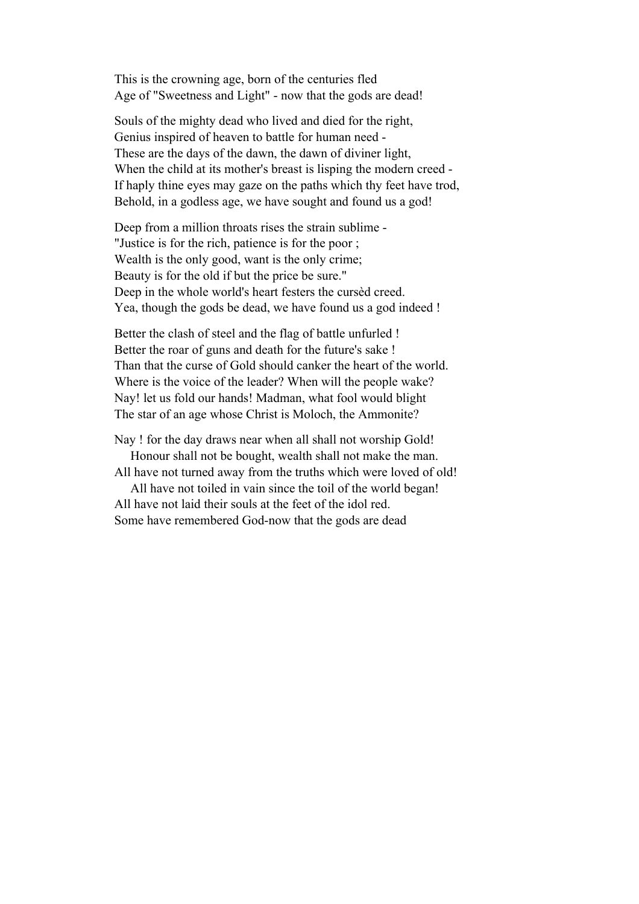This is the crowning age, born of the centuries fled Age of "Sweetness and Light" - now that the gods are dead!

Souls of the mighty dead who lived and died for the right, Genius inspired of heaven to battle for human need - These are the days of the dawn, the dawn of diviner light, When the child at its mother's breast is lisping the modern creed - If haply thine eyes may gaze on the paths which thy feet have trod, Behold, in a godless age, we have sought and found us a god!

Deep from a million throats rises the strain sublime - "Justice is for the rich, patience is for the poor ; Wealth is the only good, want is the only crime; Beauty is for the old if but the price be sure." Deep in the whole world's heart festers the cursèd creed. Yea, though the gods be dead, we have found us a god indeed !

Better the clash of steel and the flag of battle unfurled ! Better the roar of guns and death for the future's sake ! Than that the curse of Gold should canker the heart of the world. Where is the voice of the leader? When will the people wake? Nay! let us fold our hands! Madman, what fool would blight The star of an age whose Christ is Moloch, the Ammonite?

Nay ! for the day draws near when all shall not worship Gold! Honour shall not be bought, wealth shall not make the man.

All have not turned away from the truths which were loved of old! All have not toiled in vain since the toil of the world began!

All have not laid their souls at the feet of the idol red. Some have remembered God-now that the gods are dead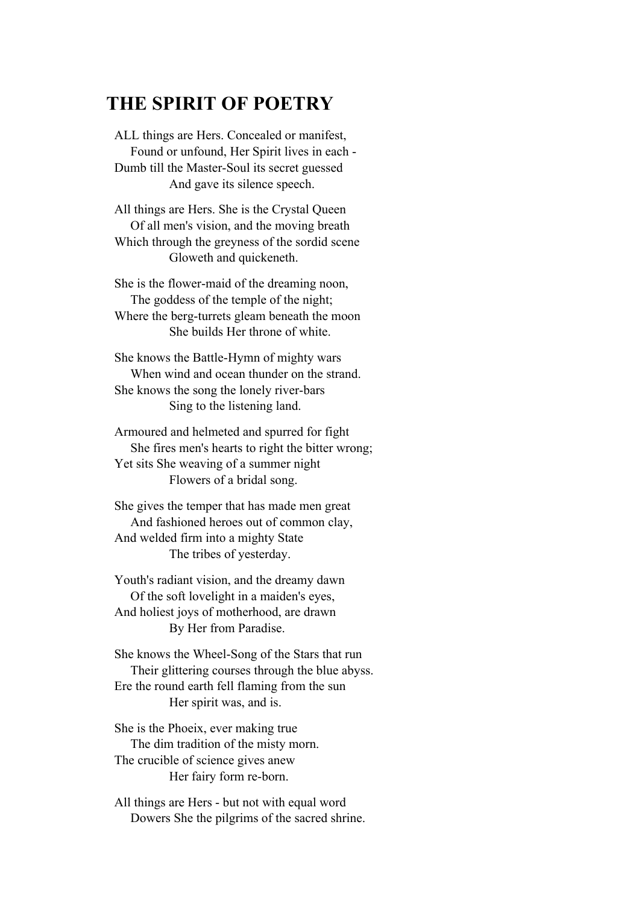### **THE SPIRIT OF POETRY**

ALL things are Hers. Concealed or manifest, Found or unfound, Her Spirit lives in each - Dumb till the Master-Soul its secret guessed And gave its silence speech.

All things are Hers. She is the Crystal Queen Of all men's vision, and the moving breath Which through the greyness of the sordid scene Gloweth and quickeneth.

She is the flower-maid of the dreaming noon, The goddess of the temple of the night; Where the berg-turrets gleam beneath the moon She builds Her throne of white.

She knows the Battle-Hymn of mighty wars When wind and ocean thunder on the strand. She knows the song the lonely river-bars Sing to the listening land.

Armoured and helmeted and spurred for fight She fires men's hearts to right the bitter wrong; Yet sits She weaving of a summer night Flowers of a bridal song.

She gives the temper that has made men great And fashioned heroes out of common clay, And welded firm into a mighty State The tribes of yesterday.

Youth's radiant vision, and the dreamy dawn Of the soft lovelight in a maiden's eyes, And holiest joys of motherhood, are drawn By Her from Paradise.

She knows the Wheel-Song of the Stars that run Their glittering courses through the blue abyss. Ere the round earth fell flaming from the sun Her spirit was, and is.

She is the Phoeix, ever making true The dim tradition of the misty morn. The crucible of science gives anew Her fairy form re-born.

All things are Hers - but not with equal word Dowers She the pilgrims of the sacred shrine.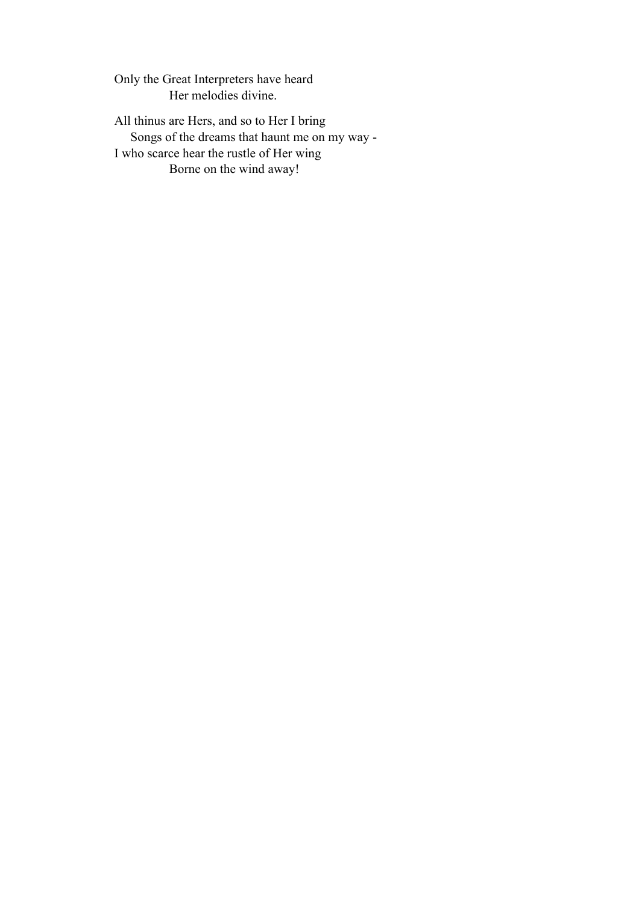Only the Great Interpreters have heard Her melodies divine.

All thinus are Hers, and so to Her I bring Songs of the dreams that haunt me on my way - I who scarce hear the rustle of Her wing Borne on the wind away!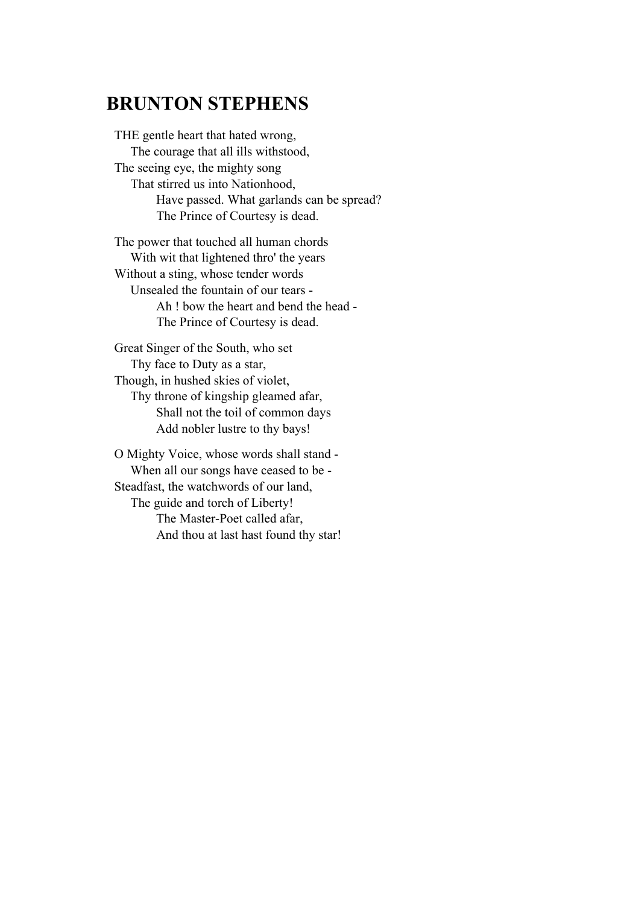# **BRUNTON STEPHENS**

THE gentle heart that hated wrong, The courage that all ills withstood, The seeing eye, the mighty song That stirred us into Nationhood, Have passed. What garlands can be spread? The Prince of Courtesy is dead.

The power that touched all human chords With wit that lightened thro' the years Without a sting, whose tender words Unsealed the fountain of our tears - Ah ! bow the heart and bend the head - The Prince of Courtesy is dead.

Great Singer of the South, who set Thy face to Duty as a star, Though, in hushed skies of violet, Thy throne of kingship gleamed afar, Shall not the toil of common days Add nobler lustre to thy bays!

O Mighty Voice, whose words shall stand - When all our songs have ceased to be - Steadfast, the watchwords of our land, The guide and torch of Liberty! The Master-Poet called afar, And thou at last hast found thy star!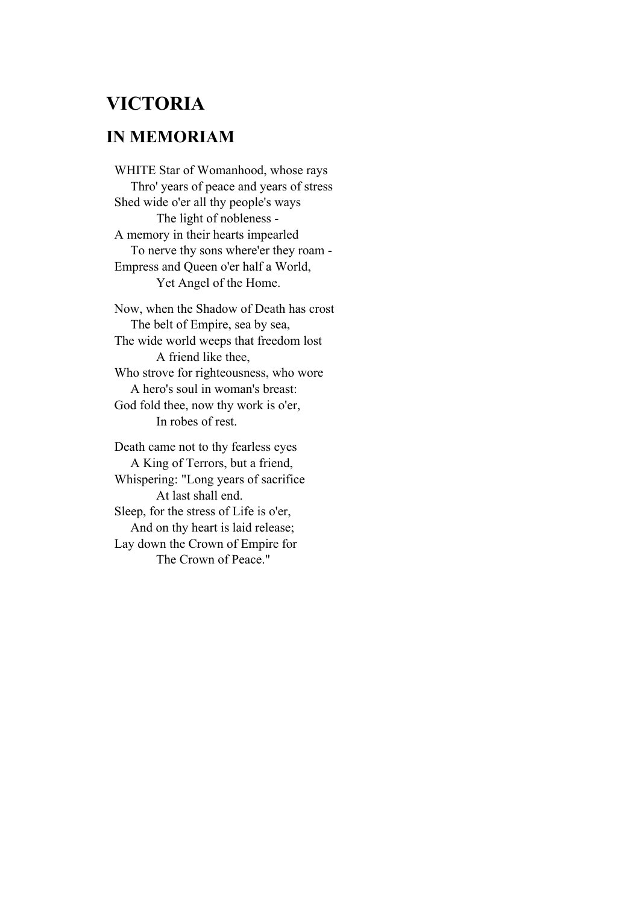# **VICTORIA**

#### **IN MEMORIAM**

WHITE Star of Womanhood, whose rays Thro' years of peace and years of stress Shed wide o'er all thy people's ways The light of nobleness - A memory in their hearts impearled To nerve thy sons where'er they roam - Empress and Queen o'er half a World, Yet Angel of the Home.

Now, when the Shadow of Death has crost The belt of Empire, sea by sea, The wide world weeps that freedom lost A friend like thee, Who strove for righteousness, who wore A hero's soul in woman's breast: God fold thee, now thy work is o'er, In robes of rest.

Death came not to thy fearless eyes A King of Terrors, but a friend, Whispering: "Long years of sacrifice At last shall end. Sleep, for the stress of Life is o'er, And on thy heart is laid release; Lay down the Crown of Empire for The Crown of Peace."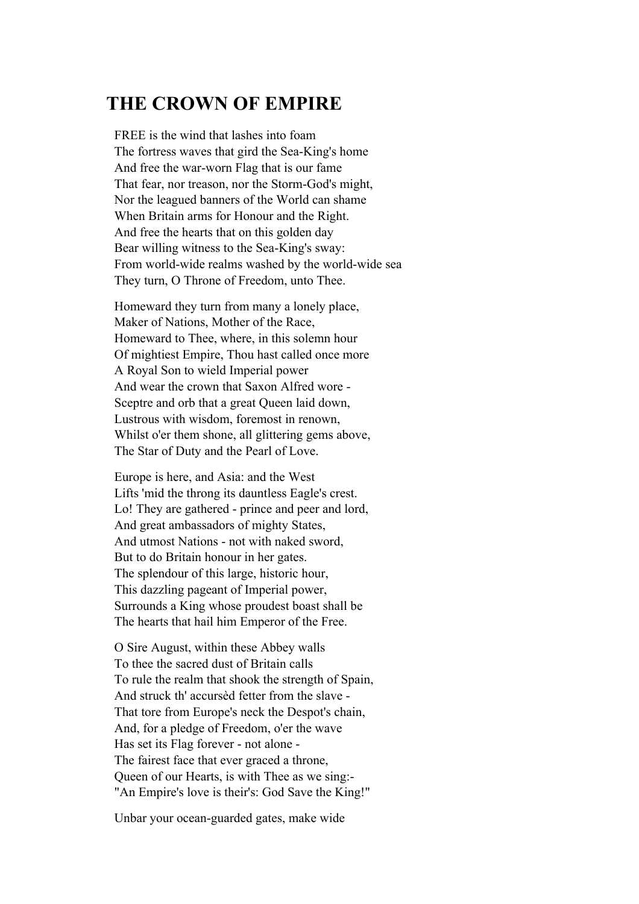### **THE CROWN OF EMPIRE**

FREE is the wind that lashes into foam The fortress waves that gird the Sea-King's home And free the war-worn Flag that is our fame That fear, nor treason, nor the Storm-God's might, Nor the leagued banners of the World can shame When Britain arms for Honour and the Right. And free the hearts that on this golden day Bear willing witness to the Sea-King's sway: From world-wide realms washed by the world-wide sea They turn, O Throne of Freedom, unto Thee.

Homeward they turn from many a lonely place, Maker of Nations, Mother of the Race, Homeward to Thee, where, in this solemn hour Of mightiest Empire, Thou hast called once more A Royal Son to wield Imperial power And wear the crown that Saxon Alfred wore - Sceptre and orb that a great Queen laid down, Lustrous with wisdom, foremost in renown, Whilst o'er them shone, all glittering gems above, The Star of Duty and the Pearl of Love.

Europe is here, and Asia: and the West Lifts 'mid the throng its dauntless Eagle's crest. Lo! They are gathered - prince and peer and lord, And great ambassadors of mighty States, And utmost Nations - not with naked sword, But to do Britain honour in her gates. The splendour of this large, historic hour, This dazzling pageant of Imperial power, Surrounds a King whose proudest boast shall be The hearts that hail him Emperor of the Free.

O Sire August, within these Abbey walls To thee the sacred dust of Britain calls To rule the realm that shook the strength of Spain, And struck th' accursèd fetter from the slave - That tore from Europe's neck the Despot's chain, And, for a pledge of Freedom, o'er the wave Has set its Flag forever - not alone - The fairest face that ever graced a throne, Queen of our Hearts, is with Thee as we sing:- "An Empire's love is their's: God Save the King!"

Unbar your ocean-guarded gates, make wide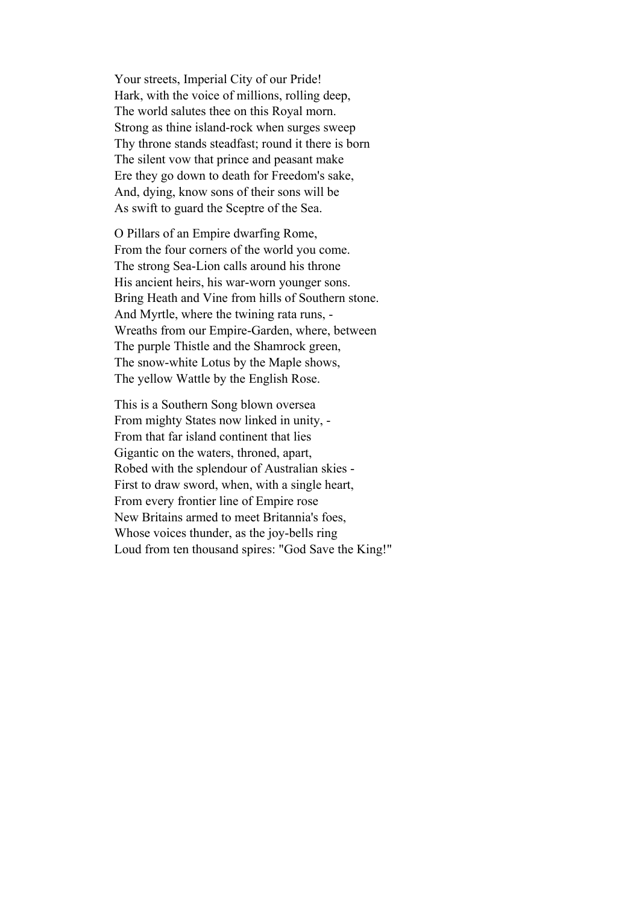Your streets, Imperial City of our Pride! Hark, with the voice of millions, rolling deep, The world salutes thee on this Royal morn. Strong as thine island-rock when surges sweep Thy throne stands steadfast; round it there is born The silent vow that prince and peasant make Ere they go down to death for Freedom's sake, And, dying, know sons of their sons will be As swift to guard the Sceptre of the Sea.

O Pillars of an Empire dwarfing Rome, From the four corners of the world you come. The strong Sea-Lion calls around his throne His ancient heirs, his war-worn younger sons. Bring Heath and Vine from hills of Southern stone. And Myrtle, where the twining rata runs, - Wreaths from our Empire-Garden, where, between The purple Thistle and the Shamrock green, The snow-white Lotus by the Maple shows, The yellow Wattle by the English Rose.

This is a Southern Song blown oversea From mighty States now linked in unity, - From that far island continent that lies Gigantic on the waters, throned, apart, Robed with the splendour of Australian skies - First to draw sword, when, with a single heart, From every frontier line of Empire rose New Britains armed to meet Britannia's foes, Whose voices thunder, as the joy-bells ring Loud from ten thousand spires: "God Save the King!"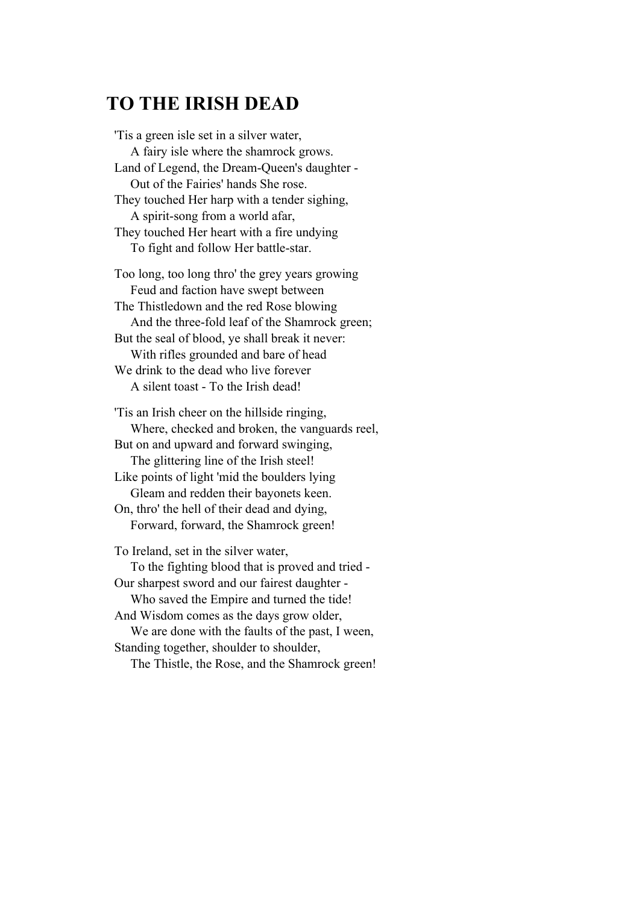# **TO THE IRISH DEAD**

'Tis a green isle set in a silver water, A fairy isle where the shamrock grows. Land of Legend, the Dream-Queen's daughter - Out of the Fairies' hands She rose. They touched Her harp with a tender sighing, A spirit-song from a world afar, They touched Her heart with a fire undying To fight and follow Her battle-star. Too long, too long thro' the grey years growing Feud and faction have swept between The Thistledown and the red Rose blowing And the three-fold leaf of the Shamrock green; But the seal of blood, ye shall break it never: With rifles grounded and bare of head We drink to the dead who live forever A silent toast - To the Irish dead!

'Tis an Irish cheer on the hillside ringing, Where, checked and broken, the vanguards reel, But on and upward and forward swinging, The glittering line of the Irish steel! Like points of light 'mid the boulders lying Gleam and redden their bayonets keen. On, thro' the hell of their dead and dying, Forward, forward, the Shamrock green! To Ireland, set in the silver water, To the fighting blood that is proved and tried - Our sharpest sword and our fairest daughter - Who saved the Empire and turned the tide! And Wisdom comes as the days grow older, We are done with the faults of the past, I ween,

Standing together, shoulder to shoulder,

The Thistle, the Rose, and the Shamrock green!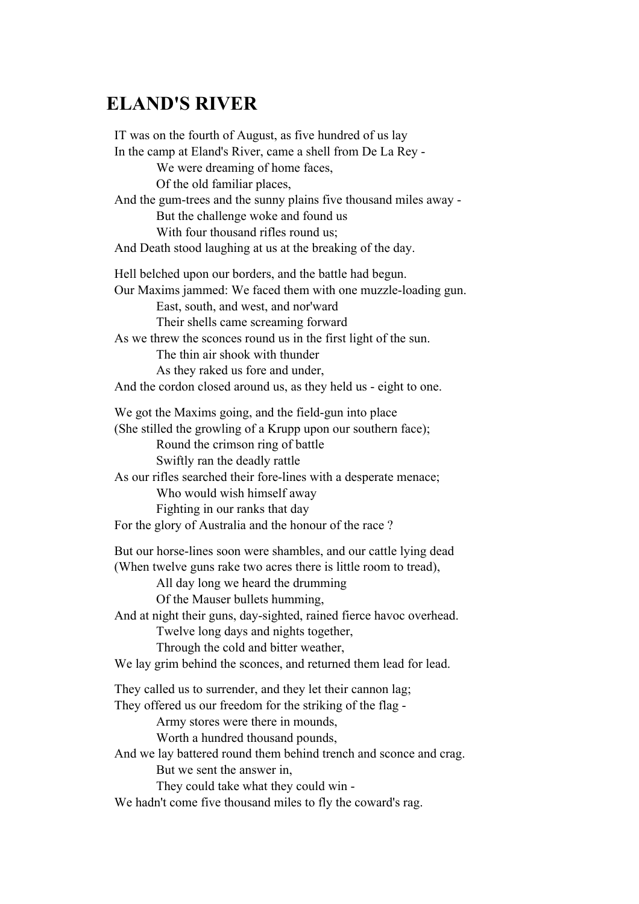# **ELAND'S RIVER**

IT was on the fourth of August, as five hundred of us lay In the camp at Eland's River, came a shell from De La Rey - We were dreaming of home faces, Of the old familiar places, And the gum-trees and the sunny plains five thousand miles away - But the challenge woke and found us With four thousand rifles round us; And Death stood laughing at us at the breaking of the day. Hell belched upon our borders, and the battle had begun. Our Maxims jammed: We faced them with one muzzle-loading gun. East, south, and west, and nor'ward Their shells came screaming forward As we threw the sconces round us in the first light of the sun. The thin air shook with thunder As they raked us fore and under, And the cordon closed around us, as they held us - eight to one. We got the Maxims going, and the field-gun into place (She stilled the growling of a Krupp upon our southern face); Round the crimson ring of battle Swiftly ran the deadly rattle As our rifles searched their fore-lines with a desperate menace; Who would wish himself away Fighting in our ranks that day For the glory of Australia and the honour of the race ? But our horse-lines soon were shambles, and our cattle lying dead (When twelve guns rake two acres there is little room to tread), All day long we heard the drumming Of the Mauser bullets humming, And at night their guns, day-sighted, rained fierce havoc overhead. Twelve long days and nights together, Through the cold and bitter weather, We lay grim behind the sconces, and returned them lead for lead. They called us to surrender, and they let their cannon lag; They offered us our freedom for the striking of the flag - Army stores were there in mounds, Worth a hundred thousand pounds, And we lay battered round them behind trench and sconce and crag. But we sent the answer in, They could take what they could win - We hadn't come five thousand miles to fly the coward's rag.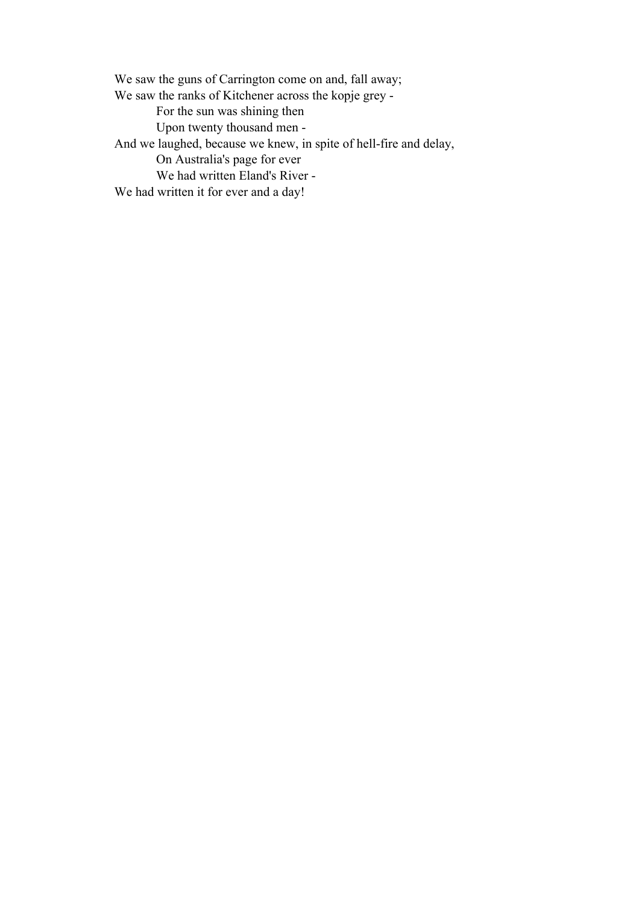We saw the guns of Carrington come on and, fall away; We saw the ranks of Kitchener across the kopje grey - For the sun was shining then Upon twenty thousand men - And we laughed, because we knew, in spite of hell-fire and delay, On Australia's page for ever We had written Eland's River - We had written it for ever and a day!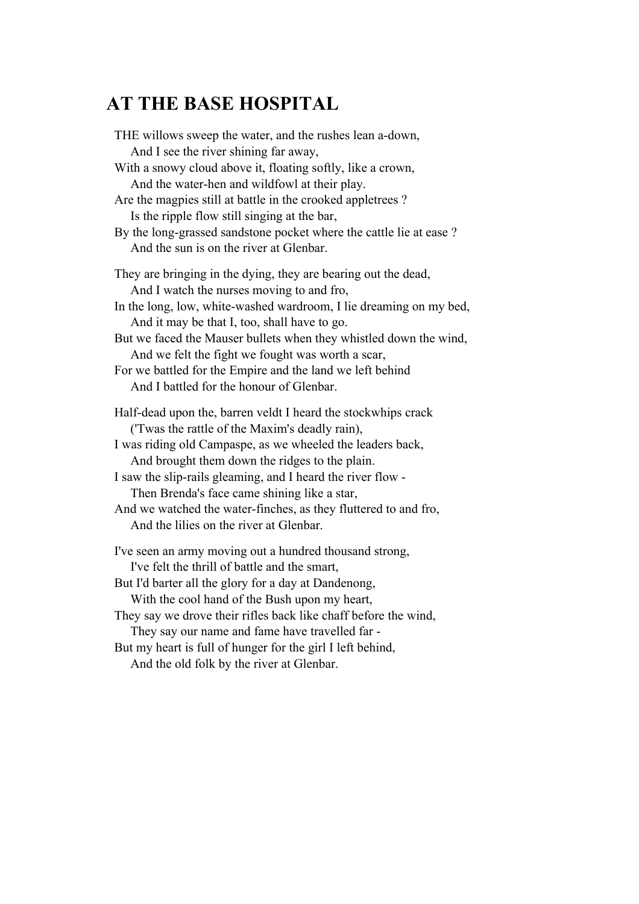# **AT THE BASE HOSPITAL**

| THE willows sweep the water, and the rushes lean a-down,<br>And I see the river shining far away,                      |
|------------------------------------------------------------------------------------------------------------------------|
| With a snowy cloud above it, floating softly, like a crown,<br>And the water-hen and wildfowl at their play.           |
| Are the magpies still at battle in the crooked appletrees?<br>Is the ripple flow still singing at the bar,             |
| By the long-grassed sandstone pocket where the cattle lie at ease ?<br>And the sun is on the river at Glenbar.         |
| They are bringing in the dying, they are bearing out the dead,<br>And I watch the nurses moving to and fro,            |
| In the long, low, white-washed wardroom, I lie dreaming on my bed,<br>And it may be that I, too, shall have to go.     |
| But we faced the Mauser bullets when they whistled down the wind,<br>And we felt the fight we fought was worth a scar, |
| For we battled for the Empire and the land we left behind<br>And I battled for the honour of Glenbar.                  |
| Half-dead upon the, barren veldt I heard the stockwhips crack<br>('Twas the rattle of the Maxim's deadly rain),        |
| I was riding old Campaspe, as we wheeled the leaders back,<br>And brought them down the ridges to the plain.           |
| I saw the slip-rails gleaming, and I heard the river flow -<br>Then Brenda's face came shining like a star,            |
| And we watched the water-finches, as they fluttered to and fro,<br>And the lilies on the river at Glenbar.             |
| I've seen an army moving out a hundred thousand strong,<br>I've felt the thrill of battle and the smart,               |
| But I'd barter all the glory for a day at Dandenong,<br>With the cool hand of the Bush upon my heart,                  |
| They say we drove their rifles back like chaff before the wind,<br>They say our name and fame have travelled far -     |
| But my heart is full of hunger for the girl I left behind,<br>And the old folk by the river at Glenbar.                |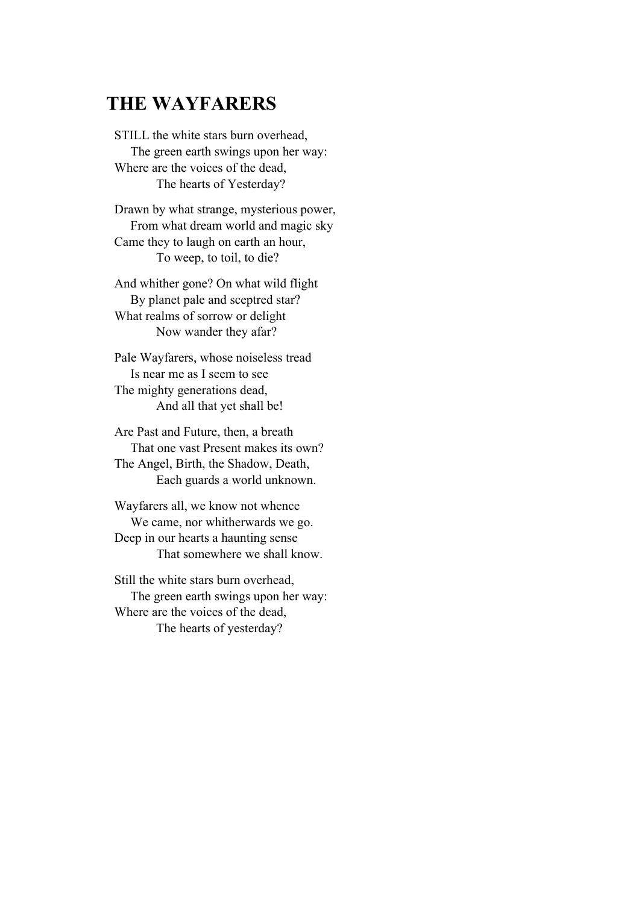# **THE WAYFARERS**

STILL the white stars burn overhead, The green earth swings upon her way: Where are the voices of the dead, The hearts of Yesterday?

Drawn by what strange, mysterious power, From what dream world and magic sky Came they to laugh on earth an hour, To weep, to toil, to die?

And whither gone? On what wild flight By planet pale and sceptred star? What realms of sorrow or delight Now wander they afar?

Pale Wayfarers, whose noiseless tread Is near me as I seem to see The mighty generations dead, And all that yet shall be!

Are Past and Future, then, a breath That one vast Present makes its own? The Angel, Birth, the Shadow, Death, Each guards a world unknown.

Wayfarers all, we know not whence We came, nor whitherwards we go. Deep in our hearts a haunting sense That somewhere we shall know.

Still the white stars burn overhead, The green earth swings upon her way: Where are the voices of the dead, The hearts of yesterday?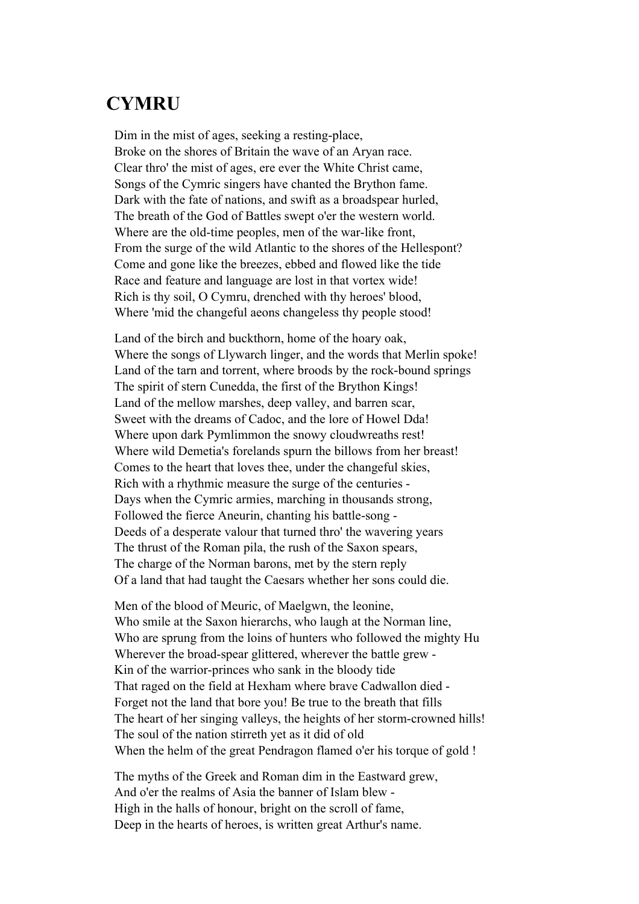### **CYMRU**

Dim in the mist of ages, seeking a resting-place, Broke on the shores of Britain the wave of an Aryan race. Clear thro' the mist of ages, ere ever the White Christ came, Songs of the Cymric singers have chanted the Brython fame. Dark with the fate of nations, and swift as a broadspear hurled, The breath of the God of Battles swept o'er the western world. Where are the old-time peoples, men of the war-like front, From the surge of the wild Atlantic to the shores of the Hellespont? Come and gone like the breezes, ebbed and flowed like the tide Race and feature and language are lost in that vortex wide! Rich is thy soil, O Cymru, drenched with thy heroes' blood, Where 'mid the changeful aeons changeless thy people stood!

Land of the birch and buckthorn, home of the hoary oak, Where the songs of Llywarch linger, and the words that Merlin spoke! Land of the tarn and torrent, where broods by the rock-bound springs The spirit of stern Cunedda, the first of the Brython Kings! Land of the mellow marshes, deep valley, and barren scar, Sweet with the dreams of Cadoc, and the lore of Howel Dda! Where upon dark Pymlimmon the snowy cloudwreaths rest! Where wild Demetia's forelands spurn the billows from her breast! Comes to the heart that loves thee, under the changeful skies, Rich with a rhythmic measure the surge of the centuries - Days when the Cymric armies, marching in thousands strong, Followed the fierce Aneurin, chanting his battle-song - Deeds of a desperate valour that turned thro' the wavering years The thrust of the Roman pila, the rush of the Saxon spears, The charge of the Norman barons, met by the stern reply Of a land that had taught the Caesars whether her sons could die.

Men of the blood of Meuric, of Maelgwn, the leonine, Who smile at the Saxon hierarchs, who laugh at the Norman line, Who are sprung from the loins of hunters who followed the mighty Hu Wherever the broad-spear glittered, wherever the battle grew - Kin of the warrior-princes who sank in the bloody tide That raged on the field at Hexham where brave Cadwallon died - Forget not the land that bore you! Be true to the breath that fills The heart of her singing valleys, the heights of her storm-crowned hills! The soul of the nation stirreth yet as it did of old When the helm of the great Pendragon flamed o'er his torque of gold !

The myths of the Greek and Roman dim in the Eastward grew, And o'er the realms of Asia the banner of Islam blew - High in the halls of honour, bright on the scroll of fame, Deep in the hearts of heroes, is written great Arthur's name.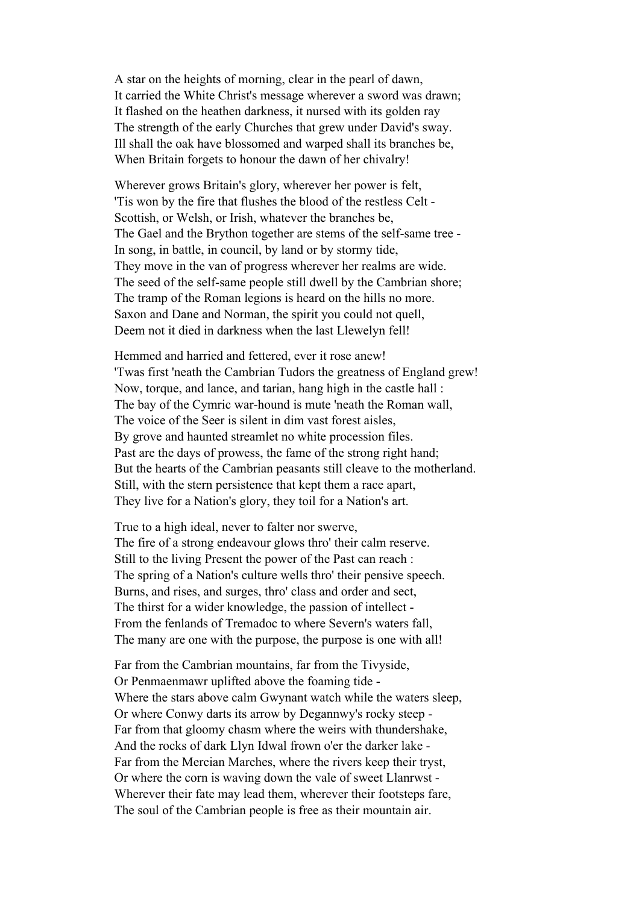A star on the heights of morning, clear in the pearl of dawn, It carried the White Christ's message wherever a sword was drawn; It flashed on the heathen darkness, it nursed with its golden ray The strength of the early Churches that grew under David's sway. Ill shall the oak have blossomed and warped shall its branches be, When Britain forgets to honour the dawn of her chivalry!

Wherever grows Britain's glory, wherever her power is felt, 'Tis won by the fire that flushes the blood of the restless Celt - Scottish, or Welsh, or Irish, whatever the branches be, The Gael and the Brython together are stems of the self-same tree - In song, in battle, in council, by land or by stormy tide, They move in the van of progress wherever her realms are wide. The seed of the self-same people still dwell by the Cambrian shore; The tramp of the Roman legions is heard on the hills no more. Saxon and Dane and Norman, the spirit you could not quell, Deem not it died in darkness when the last Llewelyn fell!

Hemmed and harried and fettered, ever it rose anew! 'Twas first 'neath the Cambrian Tudors the greatness of England grew! Now, torque, and lance, and tarian, hang high in the castle hall : The bay of the Cymric war-hound is mute 'neath the Roman wall, The voice of the Seer is silent in dim vast forest aisles, By grove and haunted streamlet no white procession files. Past are the days of prowess, the fame of the strong right hand; But the hearts of the Cambrian peasants still cleave to the motherland. Still, with the stern persistence that kept them a race apart, They live for a Nation's glory, they toil for a Nation's art.

True to a high ideal, never to falter nor swerve, The fire of a strong endeavour glows thro' their calm reserve. Still to the living Present the power of the Past can reach : The spring of a Nation's culture wells thro' their pensive speech. Burns, and rises, and surges, thro' class and order and sect, The thirst for a wider knowledge, the passion of intellect - From the fenlands of Tremadoc to where Severn's waters fall, The many are one with the purpose, the purpose is one with all!

Far from the Cambrian mountains, far from the Tivyside, Or Penmaenmawr uplifted above the foaming tide - Where the stars above calm Gwynant watch while the waters sleep, Or where Conwy darts its arrow by Degannwy's rocky steep - Far from that gloomy chasm where the weirs with thundershake, And the rocks of dark Llyn Idwal frown o'er the darker lake - Far from the Mercian Marches, where the rivers keep their tryst, Or where the corn is waving down the vale of sweet Llanrwst - Wherever their fate may lead them, wherever their footsteps fare, The soul of the Cambrian people is free as their mountain air.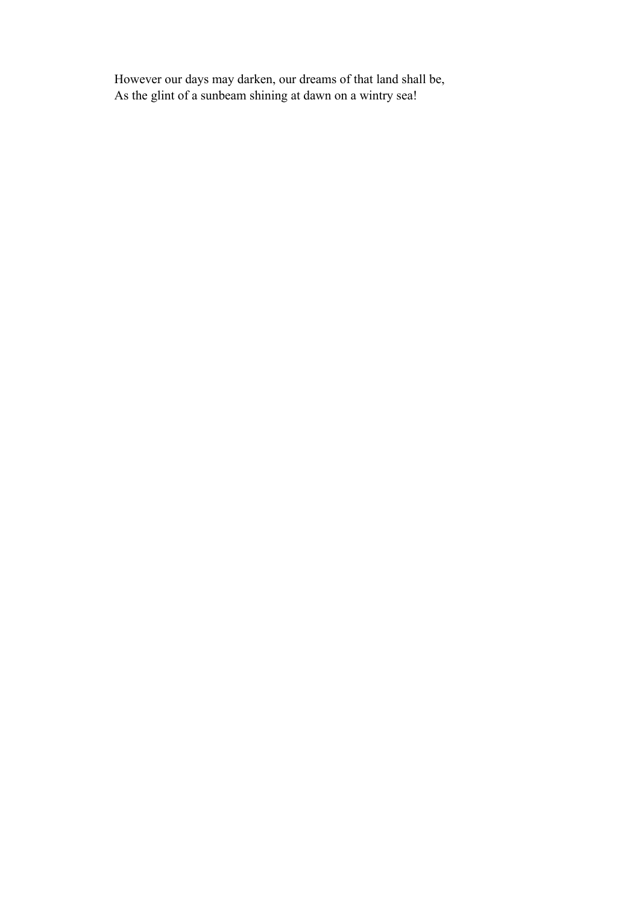However our days may darken, our dreams of that land shall be, As the glint of a sunbeam shining at dawn on a wintry sea!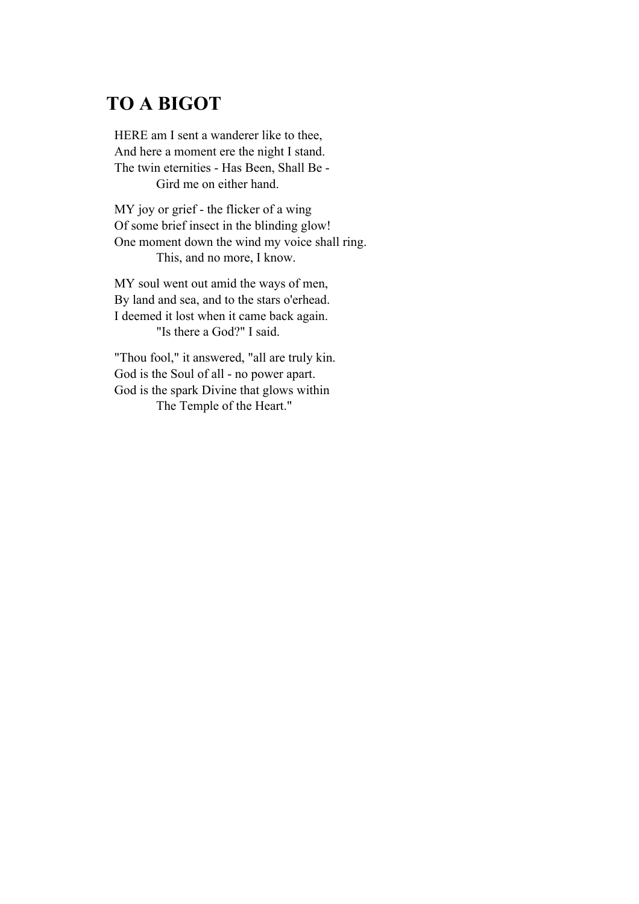# **TO A BIGOT**

HERE am I sent a wanderer like to thee, And here a moment ere the night I stand. The twin eternities - Has Been, Shall Be - Gird me on either hand.

MY joy or grief - the flicker of a wing Of some brief insect in the blinding glow! One moment down the wind my voice shall ring. This, and no more, I know.

MY soul went out amid the ways of men, By land and sea, and to the stars o'erhead. I deemed it lost when it came back again. "Is there a God?" I said.

"Thou fool," it answered, "all are truly kin. God is the Soul of all - no power apart. God is the spark Divine that glows within The Temple of the Heart."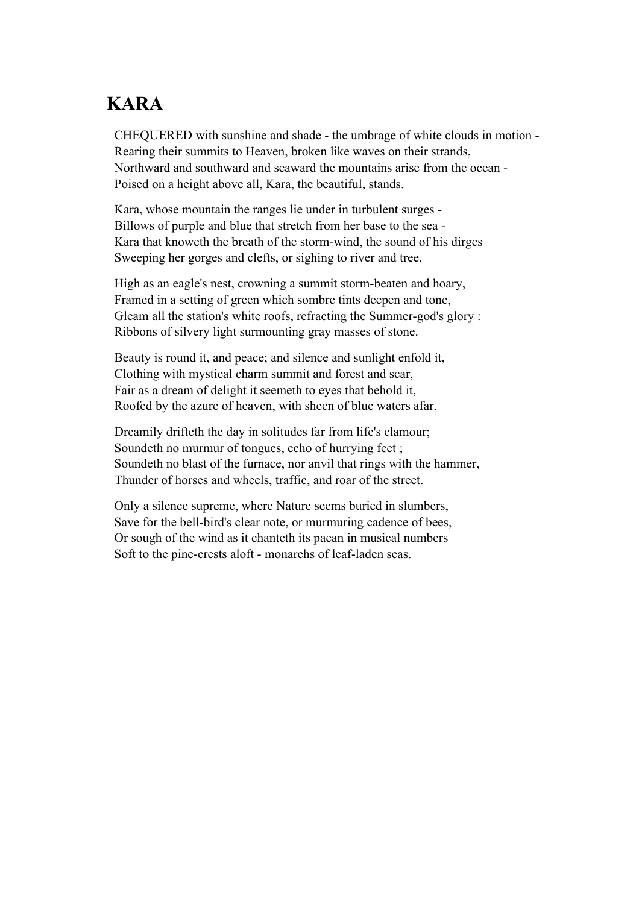# **KARA**

CHEQUERED with sunshine and shade - the umbrage of white clouds in motion - Rearing their summits to Heaven, broken like waves on their strands, Northward and southward and seaward the mountains arise from the ocean - Poised on a height above all, Kara, the beautiful, stands.

Kara, whose mountain the ranges lie under in turbulent surges - Billows of purple and blue that stretch from her base to the sea - Kara that knoweth the breath of the storm-wind, the sound of his dirges Sweeping her gorges and clefts, or sighing to river and tree.

High as an eagle's nest, crowning a summit storm-beaten and hoary, Framed in a setting of green which sombre tints deepen and tone, Gleam all the station's white roofs, refracting the Summer-god's glory : Ribbons of silvery light surmounting gray masses of stone.

Beauty is round it, and peace; and silence and sunlight enfold it, Clothing with mystical charm summit and forest and scar, Fair as a dream of delight it seemeth to eyes that behold it, Roofed by the azure of heaven, with sheen of blue waters afar.

Dreamily drifteth the day in solitudes far from life's clamour; Soundeth no murmur of tongues, echo of hurrying feet ; Soundeth no blast of the furnace, nor anvil that rings with the hammer, Thunder of horses and wheels, traffic, and roar of the street.

Only a silence supreme, where Nature seems buried in slumbers, Save for the bell-bird's clear note, or murmuring cadence of bees, Or sough of the wind as it chanteth its paean in musical numbers Soft to the pine-crests aloft - monarchs of leaf-laden seas.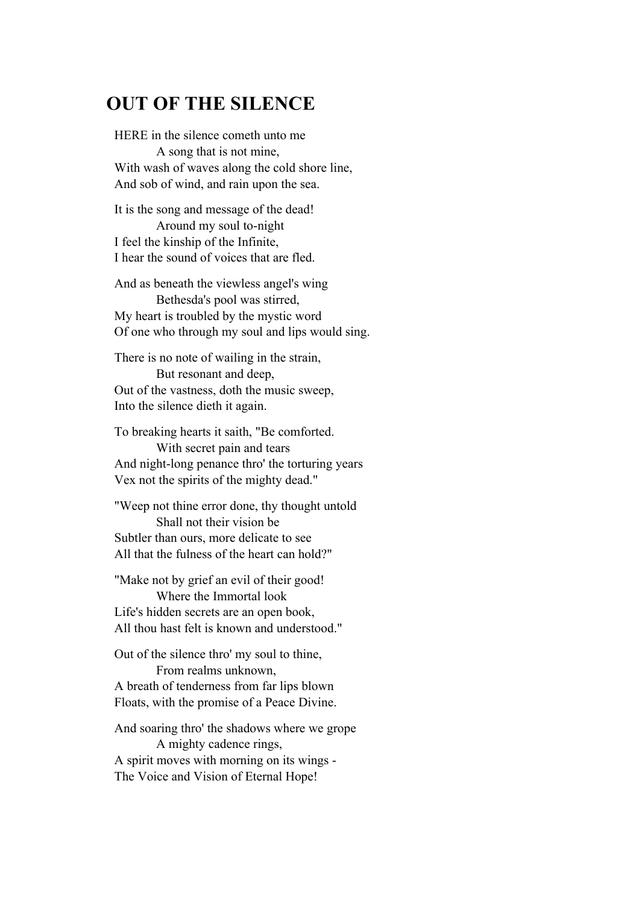# **OUT OF THE SILENCE**

HERE in the silence cometh unto me A song that is not mine, With wash of waves along the cold shore line, And sob of wind, and rain upon the sea.

It is the song and message of the dead! Around my soul to-night I feel the kinship of the Infinite, I hear the sound of voices that are fled.

And as beneath the viewless angel's wing Bethesda's pool was stirred, My heart is troubled by the mystic word Of one who through my soul and lips would sing.

There is no note of wailing in the strain, But resonant and deep, Out of the vastness, doth the music sweep, Into the silence dieth it again.

To breaking hearts it saith, "Be comforted. With secret pain and tears And night-long penance thro' the torturing years Vex not the spirits of the mighty dead."

"Weep not thine error done, thy thought untold Shall not their vision be Subtler than ours, more delicate to see All that the fulness of the heart can hold?"

"Make not by grief an evil of their good! Where the Immortal look Life's hidden secrets are an open book, All thou hast felt is known and understood."

Out of the silence thro' my soul to thine, From realms unknown, A breath of tenderness from far lips blown Floats, with the promise of a Peace Divine.

And soaring thro' the shadows where we grope A mighty cadence rings, A spirit moves with morning on its wings - The Voice and Vision of Eternal Hope!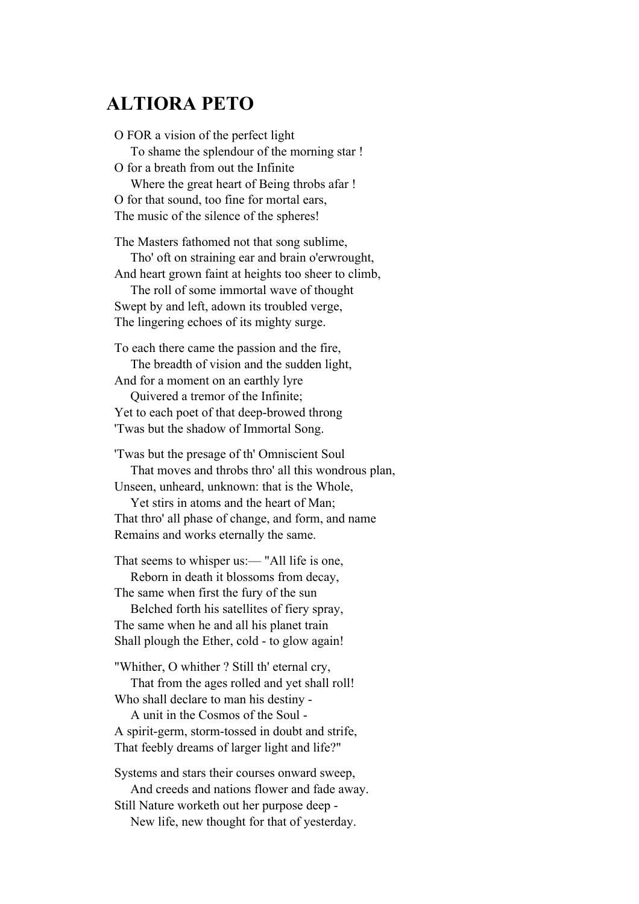#### **ALTIORA PETO**

O FOR a vision of the perfect light To shame the splendour of the morning star ! O for a breath from out the Infinite Where the great heart of Being throbs afar ! O for that sound, too fine for mortal ears, The music of the silence of the spheres! The Masters fathomed not that song sublime,

 Tho' oft on straining ear and brain o'erwrought, And heart grown faint at heights too sheer to climb,

 The roll of some immortal wave of thought Swept by and left, adown its troubled verge, The lingering echoes of its mighty surge.

To each there came the passion and the fire, The breadth of vision and the sudden light,

And for a moment on an earthly lyre Quivered a tremor of the Infinite;

Yet to each poet of that deep-browed throng 'Twas but the shadow of Immortal Song.

'Twas but the presage of th' Omniscient Soul That moves and throbs thro' all this wondrous plan, Unseen, unheard, unknown: that is the Whole,

 Yet stirs in atoms and the heart of Man; That thro' all phase of change, and form, and name Remains and works eternally the same.

That seems to whisper us:— "All life is one,

 Reborn in death it blossoms from decay, The same when first the fury of the sun

 Belched forth his satellites of fiery spray, The same when he and all his planet train Shall plough the Ether, cold - to glow again!

"Whither, O whither ? Still th' eternal cry, That from the ages rolled and yet shall roll! Who shall declare to man his destiny -

 A unit in the Cosmos of the Soul - A spirit-germ, storm-tossed in doubt and strife, That feebly dreams of larger light and life?"

Systems and stars their courses onward sweep, And creeds and nations flower and fade away. Still Nature worketh out her purpose deep -

New life, new thought for that of yesterday.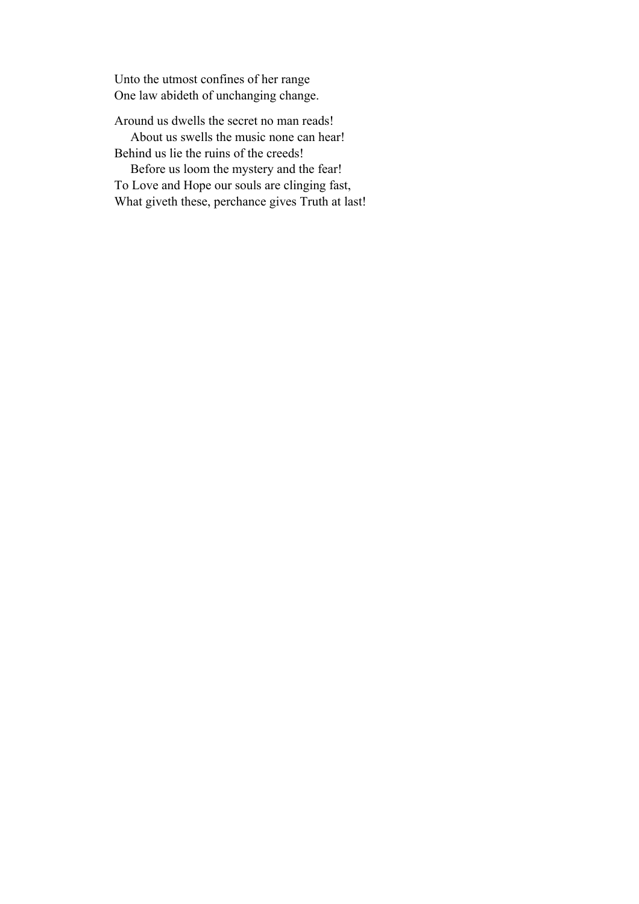Unto the utmost confines of her range One law abideth of unchanging change.

Around us dwells the secret no man reads!

 About us swells the music none can hear! Behind us lie the ruins of the creeds!

 Before us loom the mystery and the fear! To Love and Hope our souls are clinging fast, What giveth these, perchance gives Truth at last!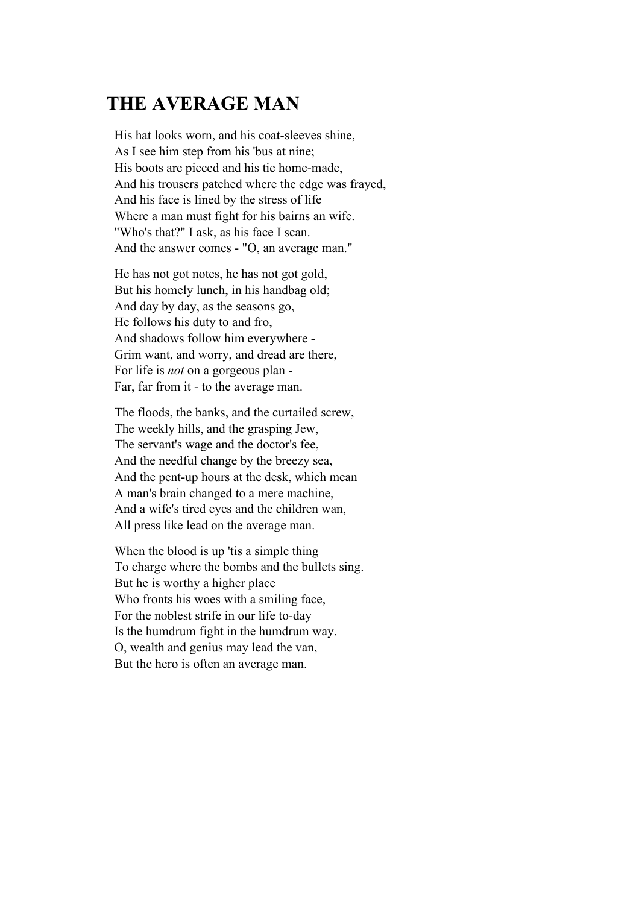### **THE AVERAGE MAN**

His hat looks worn, and his coat-sleeves shine, As I see him step from his 'bus at nine; His boots are pieced and his tie home-made, And his trousers patched where the edge was frayed, And his face is lined by the stress of life Where a man must fight for his bairns an wife. "Who's that?" I ask, as his face I scan. And the answer comes - "O, an average man."

He has not got notes, he has not got gold, But his homely lunch, in his handbag old; And day by day, as the seasons go, He follows his duty to and fro, And shadows follow him everywhere - Grim want, and worry, and dread are there, For life is *not* on a gorgeous plan - Far, far from it - to the average man.

The floods, the banks, and the curtailed screw, The weekly hills, and the grasping Jew, The servant's wage and the doctor's fee, And the needful change by the breezy sea, And the pent-up hours at the desk, which mean A man's brain changed to a mere machine, And a wife's tired eyes and the children wan, All press like lead on the average man.

When the blood is up 'tis a simple thing To charge where the bombs and the bullets sing. But he is worthy a higher place Who fronts his woes with a smiling face, For the noblest strife in our life to-day Is the humdrum fight in the humdrum way. O, wealth and genius may lead the van, But the hero is often an average man.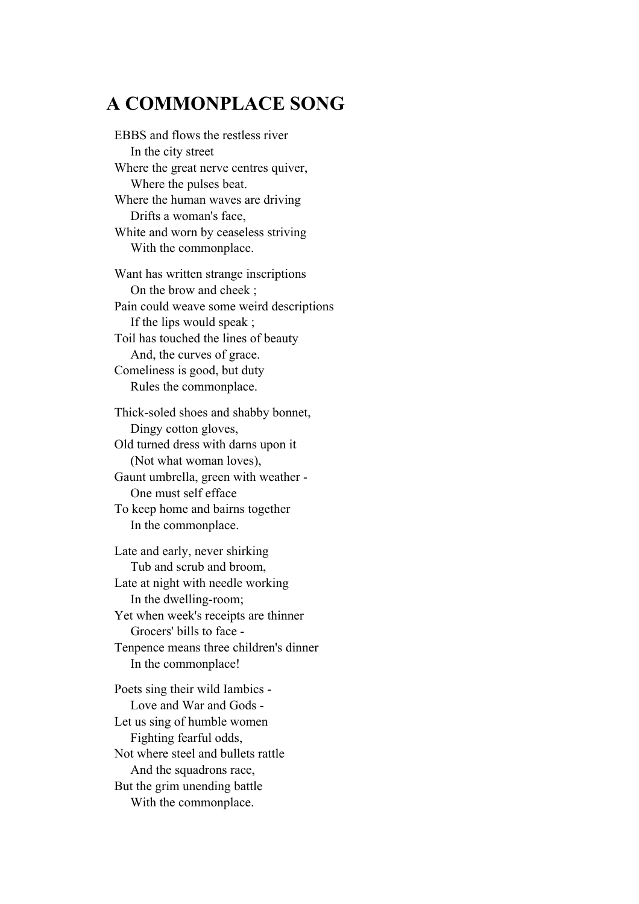# **A COMMONPLACE SONG**

EBBS and flows the restless river In the city street Where the great nerve centres quiver, Where the pulses beat. Where the human waves are driving Drifts a woman's face, White and worn by ceaseless striving With the commonplace. Want has written strange inscriptions On the brow and cheek ; Pain could weave some weird descriptions If the lips would speak ; Toil has touched the lines of beauty And, the curves of grace. Comeliness is good, but duty Rules the commonplace.

Thick-soled shoes and shabby bonnet, Dingy cotton gloves, Old turned dress with darns upon it (Not what woman loves), Gaunt umbrella, green with weather - One must self efface To keep home and bairns together In the commonplace.

Late and early, never shirking Tub and scrub and broom, Late at night with needle working In the dwelling-room; Yet when week's receipts are thinner Grocers' bills to face - Tenpence means three children's dinner In the commonplace!

Poets sing their wild Iambics - Love and War and Gods - Let us sing of humble women Fighting fearful odds, Not where steel and bullets rattle And the squadrons race, But the grim unending battle With the commonplace.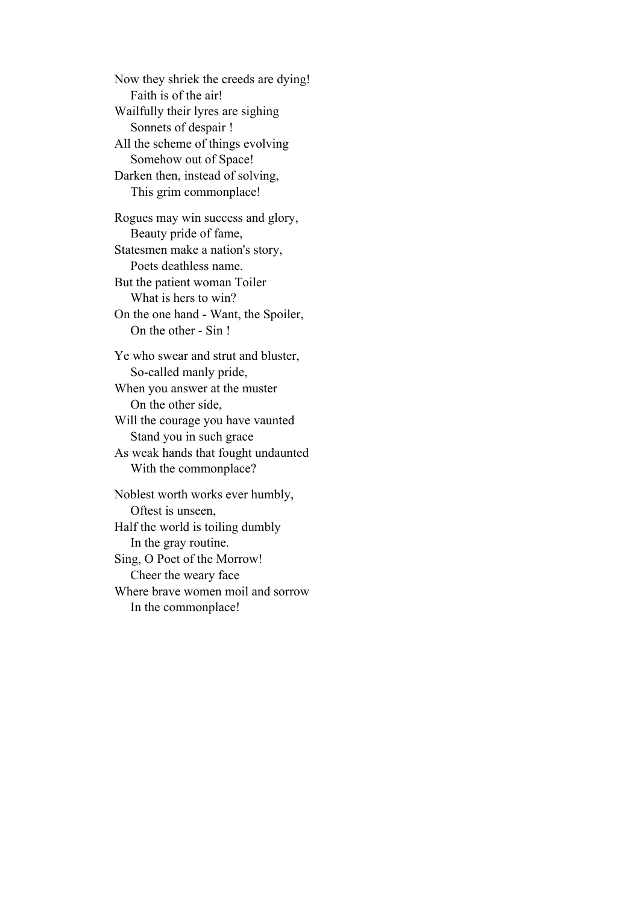Now they shriek the creeds are dying! Faith is of the air! Wailfully their lyres are sighing Sonnets of despair ! All the scheme of things evolving Somehow out of Space! Darken then, instead of solving, This grim commonplace!

Rogues may win success and glory, Beauty pride of fame, Statesmen make a nation's story, Poets deathless name. But the patient woman Toiler What is hers to win? On the one hand - Want, the Spoiler, On the other - Sin !

Ye who swear and strut and bluster, So-called manly pride, When you answer at the muster On the other side, Will the courage you have vaunted Stand you in such grace

As weak hands that fought undaunted With the commonplace?

Noblest worth works ever humbly, Oftest is unseen, Half the world is toiling dumbly In the gray routine. Sing, O Poet of the Morrow! Cheer the weary face Where brave women moil and sorrow In the commonplace!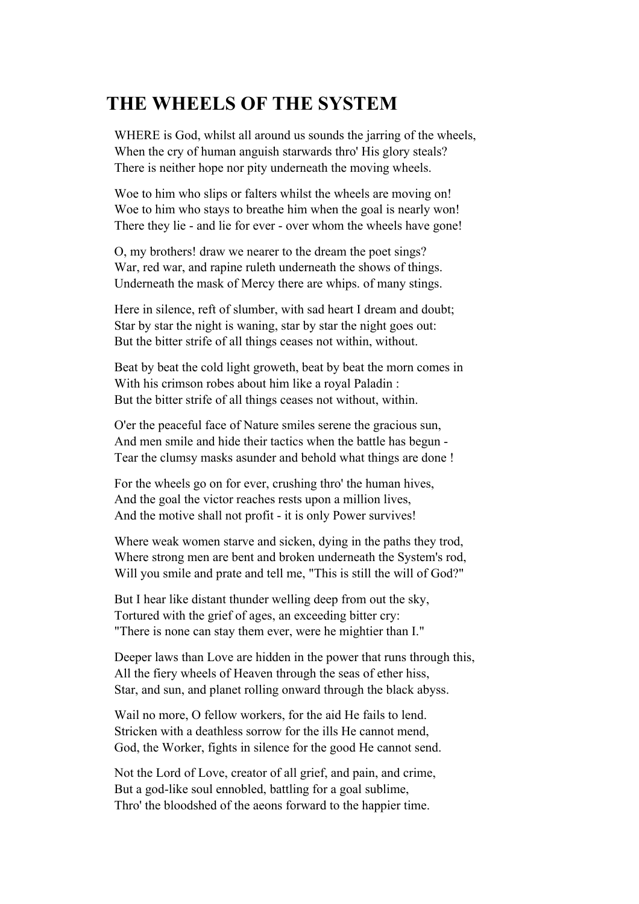# **THE WHEELS OF THE SYSTEM**

WHERE is God, whilst all around us sounds the jarring of the wheels, When the cry of human anguish starwards thro' His glory steals? There is neither hope nor pity underneath the moving wheels.

Woe to him who slips or falters whilst the wheels are moving on! Woe to him who stays to breathe him when the goal is nearly won! There they lie - and lie for ever - over whom the wheels have gone!

O, my brothers! draw we nearer to the dream the poet sings? War, red war, and rapine ruleth underneath the shows of things. Underneath the mask of Mercy there are whips. of many stings.

Here in silence, reft of slumber, with sad heart I dream and doubt; Star by star the night is waning, star by star the night goes out: But the bitter strife of all things ceases not within, without.

Beat by beat the cold light groweth, beat by beat the morn comes in With his crimson robes about him like a royal Paladin : But the bitter strife of all things ceases not without, within.

O'er the peaceful face of Nature smiles serene the gracious sun, And men smile and hide their tactics when the battle has begun - Tear the clumsy masks asunder and behold what things are done !

For the wheels go on for ever, crushing thro' the human hives, And the goal the victor reaches rests upon a million lives, And the motive shall not profit - it is only Power survives!

Where weak women starve and sicken, dying in the paths they trod, Where strong men are bent and broken underneath the System's rod, Will you smile and prate and tell me, "This is still the will of God?"

But I hear like distant thunder welling deep from out the sky, Tortured with the grief of ages, an exceeding bitter cry: "There is none can stay them ever, were he mightier than I."

Deeper laws than Love are hidden in the power that runs through this, All the fiery wheels of Heaven through the seas of ether hiss, Star, and sun, and planet rolling onward through the black abyss.

Wail no more, O fellow workers, for the aid He fails to lend. Stricken with a deathless sorrow for the ills He cannot mend, God, the Worker, fights in silence for the good He cannot send.

Not the Lord of Love, creator of all grief, and pain, and crime, But a god-like soul ennobled, battling for a goal sublime, Thro' the bloodshed of the aeons forward to the happier time.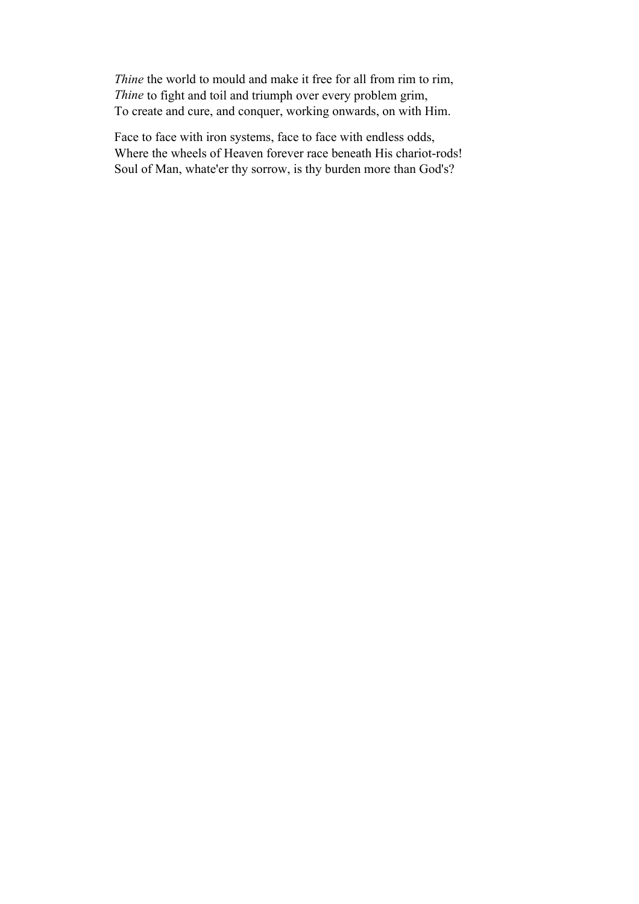*Thine* the world to mould and make it free for all from rim to rim, *Thine* to fight and toil and triumph over every problem grim, To create and cure, and conquer, working onwards, on with Him.

Face to face with iron systems, face to face with endless odds, Where the wheels of Heaven forever race beneath His chariot-rods! Soul of Man, whate'er thy sorrow, is thy burden more than God's?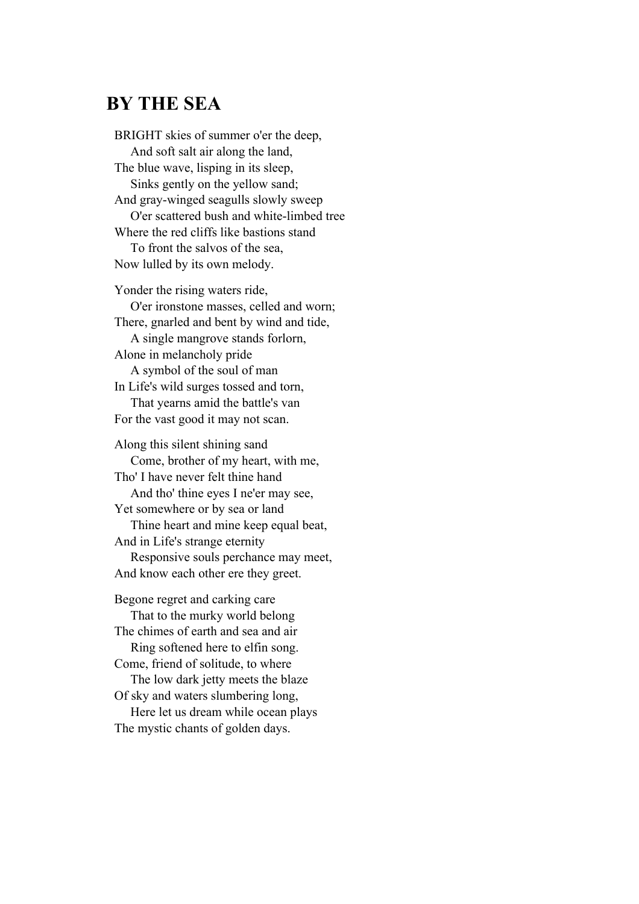### **BY THE SEA**

BRIGHT skies of summer o'er the deep, And soft salt air along the land, The blue wave, lisping in its sleep, Sinks gently on the yellow sand; And gray-winged seagulls slowly sweep O'er scattered bush and white-limbed tree Where the red cliffs like bastions stand To front the salvos of the sea, Now lulled by its own melody. Yonder the rising waters ride, O'er ironstone masses, celled and worn; There, gnarled and bent by wind and tide, A single mangrove stands forlorn, Alone in melancholy pride A symbol of the soul of man In Life's wild surges tossed and torn, That yearns amid the battle's van For the vast good it may not scan. Along this silent shining sand Come, brother of my heart, with me, Tho' I have never felt thine hand And tho' thine eyes I ne'er may see, Yet somewhere or by sea or land Thine heart and mine keep equal beat, And in Life's strange eternity

 Responsive souls perchance may meet, And know each other ere they greet.

Begone regret and carking care That to the murky world belong The chimes of earth and sea and air Ring softened here to elfin song. Come, friend of solitude, to where The low dark jetty meets the blaze Of sky and waters slumbering long, Here let us dream while ocean plays The mystic chants of golden days.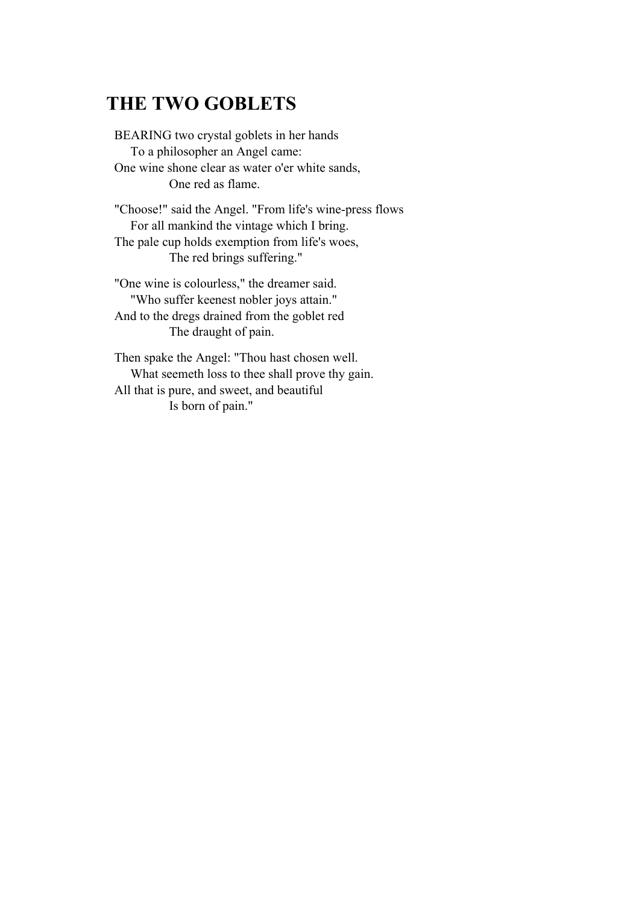# **THE TWO GOBLETS**

BEARING two crystal goblets in her hands To a philosopher an Angel came: One wine shone clear as water o'er white sands, One red as flame.

"Choose!" said the Angel. "From life's wine-press flows For all mankind the vintage which I bring. The pale cup holds exemption from life's woes, The red brings suffering."

"One wine is colourless," the dreamer said. "Who suffer keenest nobler joys attain." And to the dregs drained from the goblet red The draught of pain.

Then spake the Angel: "Thou hast chosen well. What seemeth loss to thee shall prove thy gain. All that is pure, and sweet, and beautiful Is born of pain."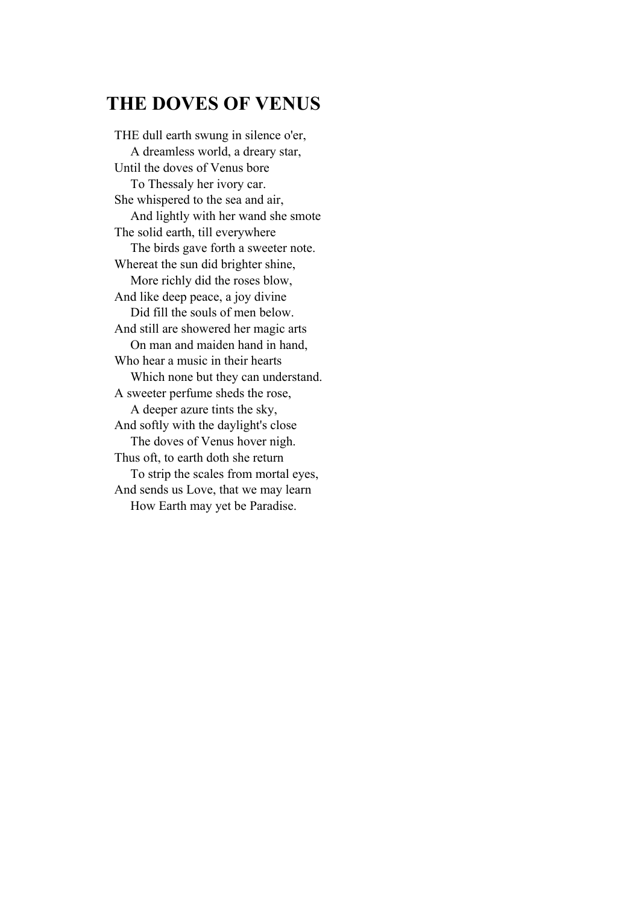# **THE DOVES OF VENUS**

THE dull earth swung in silence o'er, A dreamless world, a dreary star, Until the doves of Venus bore To Thessaly her ivory car. She whispered to the sea and air, And lightly with her wand she smote The solid earth, till everywhere The birds gave forth a sweeter note. Whereat the sun did brighter shine, More richly did the roses blow, And like deep peace, a joy divine Did fill the souls of men below. And still are showered her magic arts On man and maiden hand in hand, Who hear a music in their hearts Which none but they can understand. A sweeter perfume sheds the rose, A deeper azure tints the sky, And softly with the daylight's close The doves of Venus hover nigh. Thus oft, to earth doth she return To strip the scales from mortal eyes, And sends us Love, that we may learn How Earth may yet be Paradise.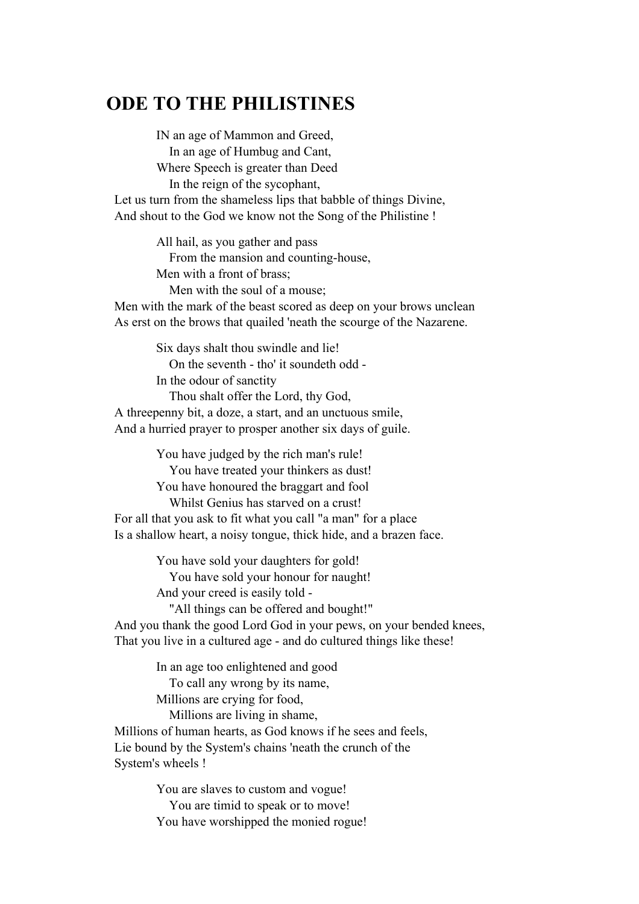# **ODE TO THE PHILISTINES**

 IN an age of Mammon and Greed, In an age of Humbug and Cant, Where Speech is greater than Deed In the reign of the sycophant, Let us turn from the shameless lips that babble of things Divine, And shout to the God we know not the Song of the Philistine !

> All hail, as you gather and pass From the mansion and counting-house, Men with a front of brass;

 Men with the soul of a mouse; Men with the mark of the beast scored as deep on your brows unclean As erst on the brows that quailed 'neath the scourge of the Nazarene.

 Six days shalt thou swindle and lie! On the seventh - tho' it soundeth odd - In the odour of sanctity Thou shalt offer the Lord, thy God, A threepenny bit, a doze, a start, and an unctuous smile, And a hurried prayer to prosper another six days of guile.

 You have judged by the rich man's rule! You have treated your thinkers as dust! You have honoured the braggart and fool Whilst Genius has starved on a crust! For all that you ask to fit what you call "a man" for a place Is a shallow heart, a noisy tongue, thick hide, and a brazen face.

> You have sold your daughters for gold! You have sold your honour for naught! And your creed is easily told -

 "All things can be offered and bought!" And you thank the good Lord God in your pews, on your bended knees,

That you live in a cultured age - and do cultured things like these!

 In an age too enlightened and good To call any wrong by its name, Millions are crying for food,

Millions are living in shame,

Millions of human hearts, as God knows if he sees and feels, Lie bound by the System's chains 'neath the crunch of the System's wheels !

> You are slaves to custom and vogue! You are timid to speak or to move! You have worshipped the monied rogue!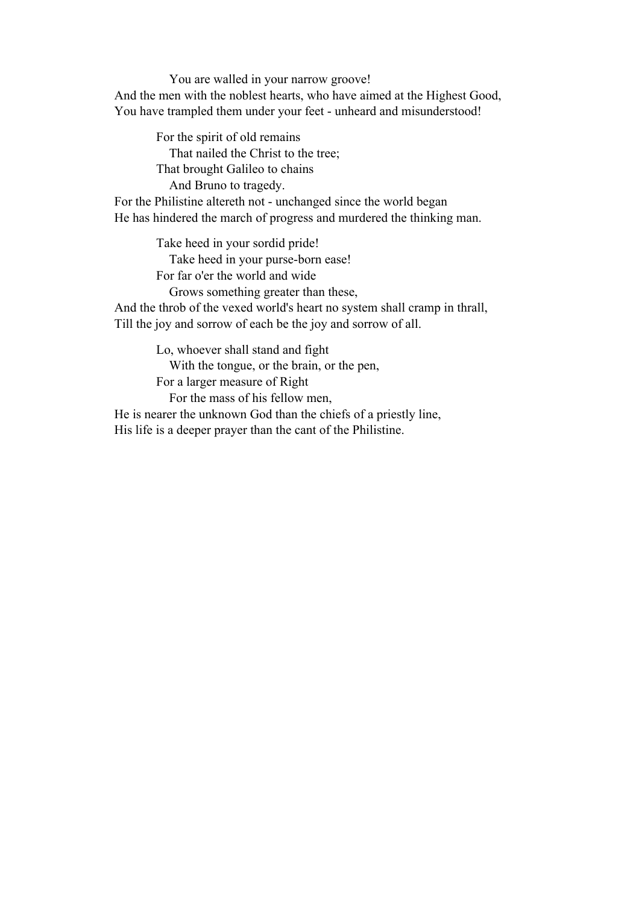You are walled in your narrow groove! And the men with the noblest hearts, who have aimed at the Highest Good, You have trampled them under your feet - unheard and misunderstood!

 For the spirit of old remains That nailed the Christ to the tree; That brought Galileo to chains And Bruno to tragedy. For the Philistine altereth not - unchanged since the world began He has hindered the march of progress and murdered the thinking man.

> Take heed in your sordid pride! Take heed in your purse-born ease! For far o'er the world and wide

 Grows something greater than these, And the throb of the vexed world's heart no system shall cramp in thrall,

Till the joy and sorrow of each be the joy and sorrow of all.

Lo, whoever shall stand and fight

With the tongue, or the brain, or the pen,

For a larger measure of Right

For the mass of his fellow men,

He is nearer the unknown God than the chiefs of a priestly line, His life is a deeper prayer than the cant of the Philistine.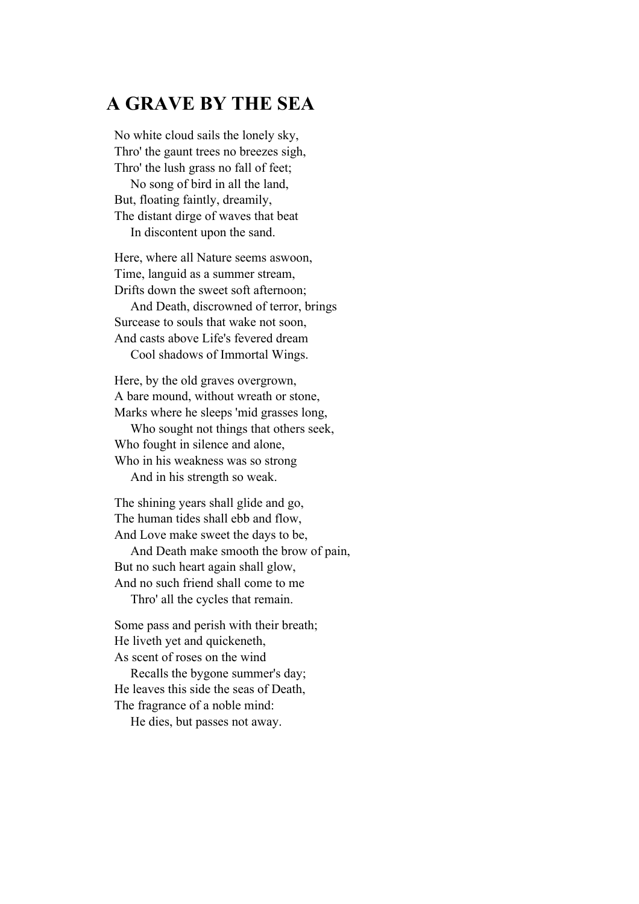### **A GRAVE BY THE SEA**

No white cloud sails the lonely sky, Thro' the gaunt trees no breezes sigh, Thro' the lush grass no fall of feet; No song of bird in all the land, But, floating faintly, dreamily, The distant dirge of waves that beat In discontent upon the sand.

Here, where all Nature seems aswoon, Time, languid as a summer stream, Drifts down the sweet soft afternoon;

 And Death, discrowned of terror, brings Surcease to souls that wake not soon, And casts above Life's fevered dream Cool shadows of Immortal Wings.

Here, by the old graves overgrown, A bare mound, without wreath or stone, Marks where he sleeps 'mid grasses long,

 Who sought not things that others seek, Who fought in silence and alone, Who in his weakness was so strong

And in his strength so weak.

The shining years shall glide and go, The human tides shall ebb and flow, And Love make sweet the days to be,

 And Death make smooth the brow of pain, But no such heart again shall glow, And no such friend shall come to me Thro' all the cycles that remain.

Some pass and perish with their breath; He liveth yet and quickeneth, As scent of roses on the wind

 Recalls the bygone summer's day; He leaves this side the seas of Death, The fragrance of a noble mind:

He dies, but passes not away.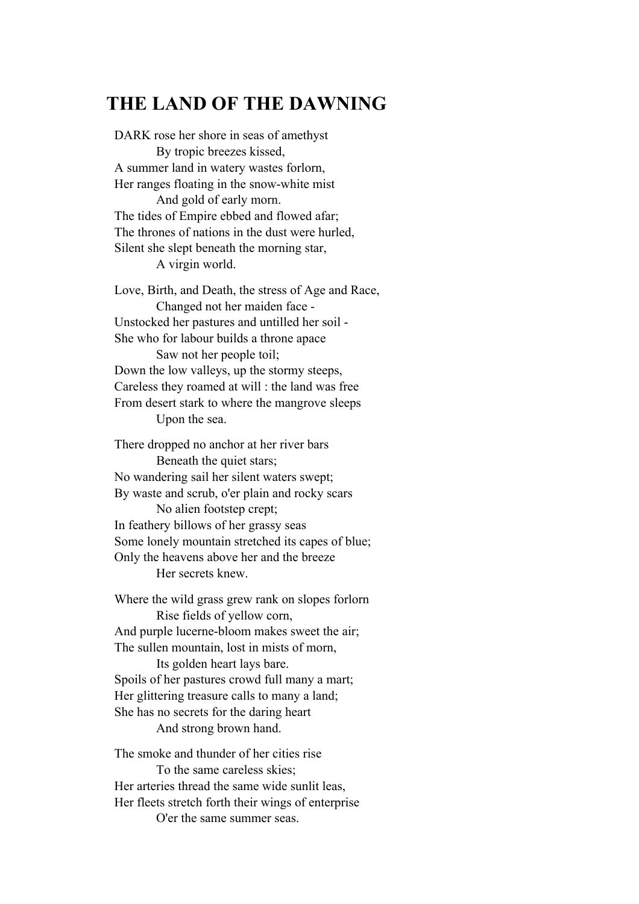### **THE LAND OF THE DAWNING**

DARK rose her shore in seas of amethyst By tropic breezes kissed, A summer land in watery wastes forlorn, Her ranges floating in the snow-white mist And gold of early morn. The tides of Empire ebbed and flowed afar; The thrones of nations in the dust were hurled, Silent she slept beneath the morning star, A virgin world. Love, Birth, and Death, the stress of Age and Race, Changed not her maiden face - Unstocked her pastures and untilled her soil - She who for labour builds a throne apace Saw not her people toil; Down the low valleys, up the stormy steeps, Careless they roamed at will : the land was free

From desert stark to where the mangrove sleeps Upon the sea.

There dropped no anchor at her river bars Beneath the quiet stars; No wandering sail her silent waters swept; By waste and scrub, o'er plain and rocky scars No alien footstep crept; In feathery billows of her grassy seas Some lonely mountain stretched its capes of blue; Only the heavens above her and the breeze Her secrets knew.

Where the wild grass grew rank on slopes forlorn Rise fields of yellow corn, And purple lucerne-bloom makes sweet the air; The sullen mountain, lost in mists of morn,

 Its golden heart lays bare. Spoils of her pastures crowd full many a mart; Her glittering treasure calls to many a land; She has no secrets for the daring heart And strong brown hand.

The smoke and thunder of her cities rise To the same careless skies; Her arteries thread the same wide sunlit leas, Her fleets stretch forth their wings of enterprise O'er the same summer seas.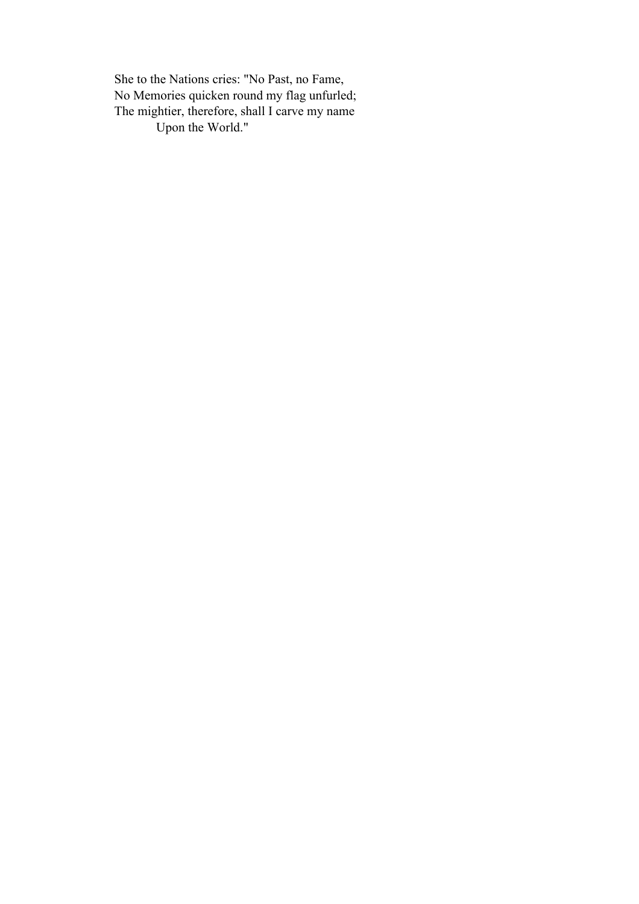She to the Nations cries: "No Past, no Fame, No Memories quicken round my flag unfurled; The mightier, therefore, shall I carve my name Upon the World."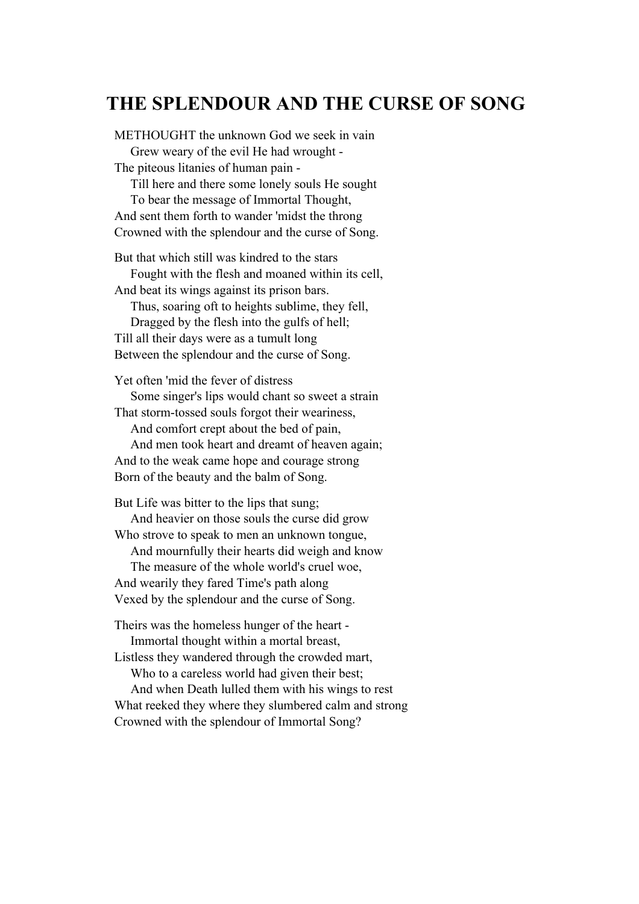# **THE SPLENDOUR AND THE CURSE OF SONG**

METHOUGHT the unknown God we seek in vain Grew weary of the evil He had wrought - The piteous litanies of human pain - Till here and there some lonely souls He sought To bear the message of Immortal Thought, And sent them forth to wander 'midst the throng Crowned with the splendour and the curse of Song. But that which still was kindred to the stars

 Fought with the flesh and moaned within its cell, And beat its wings against its prison bars. Thus, soaring oft to heights sublime, they fell, Dragged by the flesh into the gulfs of hell; Till all their days were as a tumult long Between the splendour and the curse of Song.

Yet often 'mid the fever of distress Some singer's lips would chant so sweet a strain That storm-tossed souls forgot their weariness,

 And comfort crept about the bed of pain, And men took heart and dreamt of heaven again; And to the weak came hope and courage strong

Born of the beauty and the balm of Song.

But Life was bitter to the lips that sung;

 And heavier on those souls the curse did grow Who strove to speak to men an unknown tongue,

And mournfully their hearts did weigh and know

 The measure of the whole world's cruel woe, And wearily they fared Time's path along Vexed by the splendour and the curse of Song.

Theirs was the homeless hunger of the heart - Immortal thought within a mortal breast,

Listless they wandered through the crowded mart, Who to a careless world had given their best;

 And when Death lulled them with his wings to rest What reeked they where they slumbered calm and strong Crowned with the splendour of Immortal Song?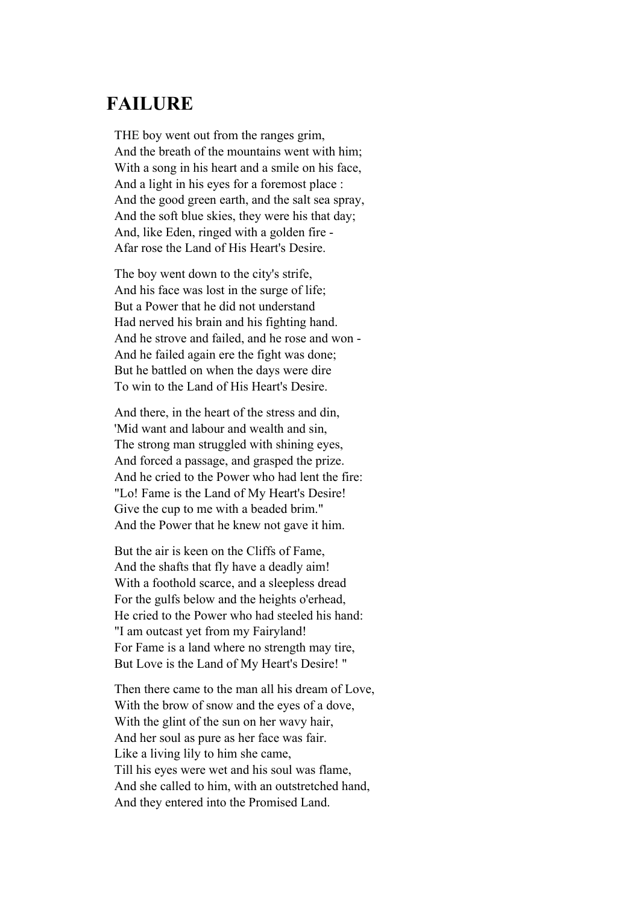## **FAILURE**

THE boy went out from the ranges grim, And the breath of the mountains went with him; With a song in his heart and a smile on his face, And a light in his eyes for a foremost place : And the good green earth, and the salt sea spray, And the soft blue skies, they were his that day; And, like Eden, ringed with a golden fire - Afar rose the Land of His Heart's Desire.

The boy went down to the city's strife, And his face was lost in the surge of life; But a Power that he did not understand Had nerved his brain and his fighting hand. And he strove and failed, and he rose and won - And he failed again ere the fight was done; But he battled on when the days were dire To win to the Land of His Heart's Desire.

And there, in the heart of the stress and din, 'Mid want and labour and wealth and sin, The strong man struggled with shining eyes, And forced a passage, and grasped the prize. And he cried to the Power who had lent the fire: "Lo! Fame is the Land of My Heart's Desire! Give the cup to me with a beaded brim." And the Power that he knew not gave it him.

But the air is keen on the Cliffs of Fame, And the shafts that fly have a deadly aim! With a foothold scarce, and a sleepless dread For the gulfs below and the heights o'erhead, He cried to the Power who had steeled his hand: "I am outcast yet from my Fairyland! For Fame is a land where no strength may tire, But Love is the Land of My Heart's Desire! "

Then there came to the man all his dream of Love, With the brow of snow and the eyes of a dove, With the glint of the sun on her wavy hair, And her soul as pure as her face was fair. Like a living lily to him she came, Till his eyes were wet and his soul was flame, And she called to him, with an outstretched hand, And they entered into the Promised Land.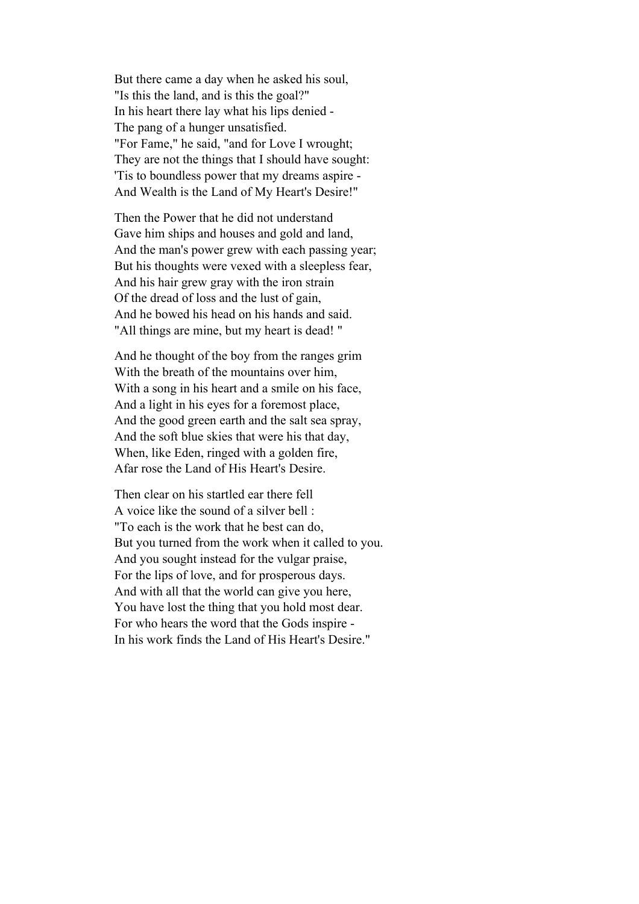But there came a day when he asked his soul, "Is this the land, and is this the goal?" In his heart there lay what his lips denied - The pang of a hunger unsatisfied. "For Fame," he said, "and for Love I wrought; They are not the things that I should have sought: 'Tis to boundless power that my dreams aspire - And Wealth is the Land of My Heart's Desire!"

Then the Power that he did not understand Gave him ships and houses and gold and land, And the man's power grew with each passing year; But his thoughts were vexed with a sleepless fear, And his hair grew gray with the iron strain Of the dread of loss and the lust of gain, And he bowed his head on his hands and said. "All things are mine, but my heart is dead! "

And he thought of the boy from the ranges grim With the breath of the mountains over him, With a song in his heart and a smile on his face, And a light in his eyes for a foremost place, And the good green earth and the salt sea spray, And the soft blue skies that were his that day, When, like Eden, ringed with a golden fire, Afar rose the Land of His Heart's Desire.

Then clear on his startled ear there fell A voice like the sound of a silver bell : "To each is the work that he best can do, But you turned from the work when it called to you. And you sought instead for the vulgar praise, For the lips of love, and for prosperous days. And with all that the world can give you here, You have lost the thing that you hold most dear. For who hears the word that the Gods inspire - In his work finds the Land of His Heart's Desire."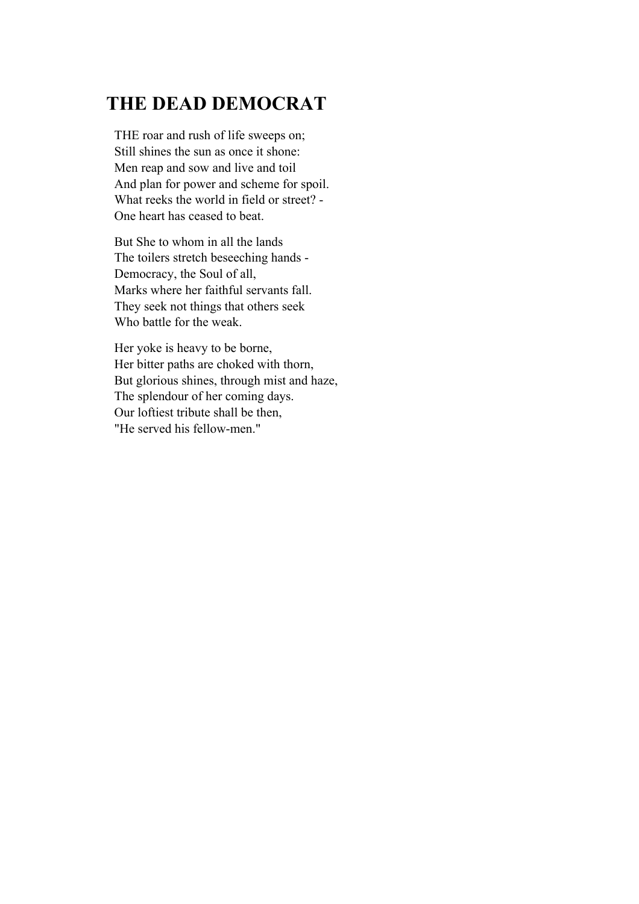# **THE DEAD DEMOCRAT**

THE roar and rush of life sweeps on; Still shines the sun as once it shone: Men reap and sow and live and toil And plan for power and scheme for spoil. What reeks the world in field or street? - One heart has ceased to beat.

But She to whom in all the lands The toilers stretch beseeching hands - Democracy, the Soul of all, Marks where her faithful servants fall. They seek not things that others seek Who battle for the weak.

Her yoke is heavy to be borne, Her bitter paths are choked with thorn, But glorious shines, through mist and haze, The splendour of her coming days. Our loftiest tribute shall be then, "He served his fellow-men."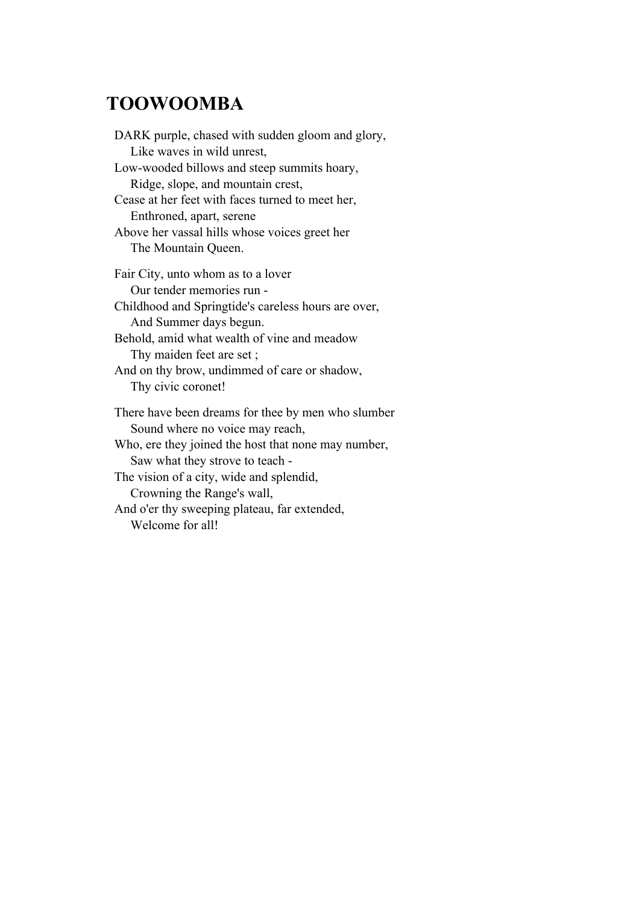## **TOOWOOMBA**

DARK purple, chased with sudden gloom and glory, Like waves in wild unrest, Low-wooded billows and steep summits hoary, Ridge, slope, and mountain crest, Cease at her feet with faces turned to meet her, Enthroned, apart, serene Above her vassal hills whose voices greet her The Mountain Queen. Fair City, unto whom as to a lover Our tender memories run - Childhood and Springtide's careless hours are over, And Summer days begun. Behold, amid what wealth of vine and meadow Thy maiden feet are set ; And on thy brow, undimmed of care or shadow, Thy civic coronet! There have been dreams for thee by men who slumber Sound where no voice may reach, Who, ere they joined the host that none may number, Saw what they strove to teach - The vision of a city, wide and splendid, Crowning the Range's wall, And o'er thy sweeping plateau, far extended, Welcome for all!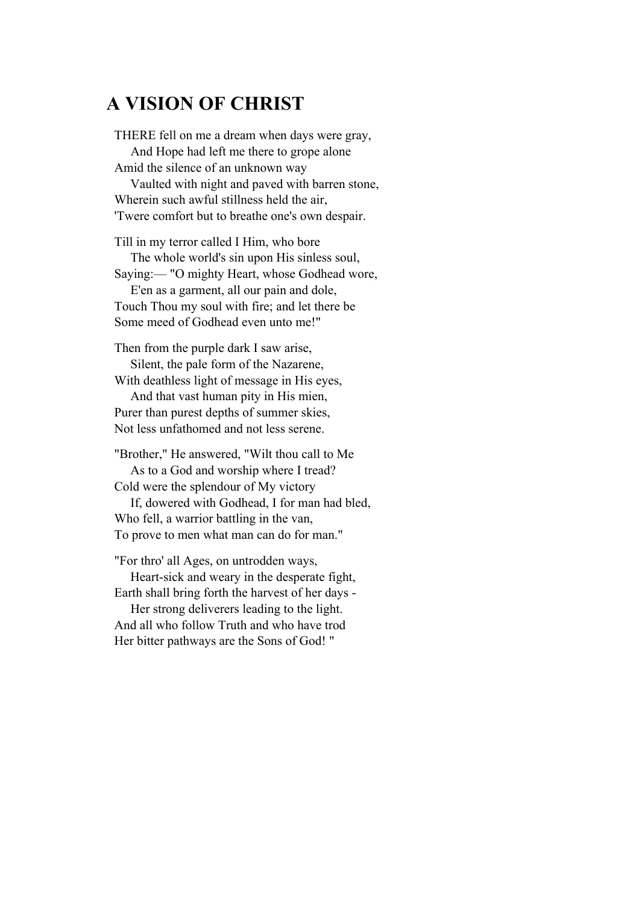### **A VISION OF CHRIST**

THERE fell on me a dream when days were gray, And Hope had left me there to grope alone Amid the silence of an unknown way Vaulted with night and paved with barren stone, Wherein such awful stillness held the air, 'Twere comfort but to breathe one's own despair. Till in my terror called I Him, who bore The whole world's sin upon His sinless soul, Saying:— "O mighty Heart, whose Godhead wore, E'en as a garment, all our pain and dole, Touch Thou my soul with fire; and let there be Some meed of Godhead even unto me!"

Then from the purple dark I saw arise, Silent, the pale form of the Nazarene, With deathless light of message in His eyes,

 And that vast human pity in His mien, Purer than purest depths of summer skies, Not less unfathomed and not less serene.

"Brother," He answered, "Wilt thou call to Me As to a God and worship where I tread? Cold were the splendour of My victory

 If, dowered with Godhead, I for man had bled, Who fell, a warrior battling in the van, To prove to men what man can do for man."

"For thro' all Ages, on untrodden ways, Heart-sick and weary in the desperate fight,

Earth shall bring forth the harvest of her days - Her strong deliverers leading to the light. And all who follow Truth and who have trod Her bitter pathways are the Sons of God! "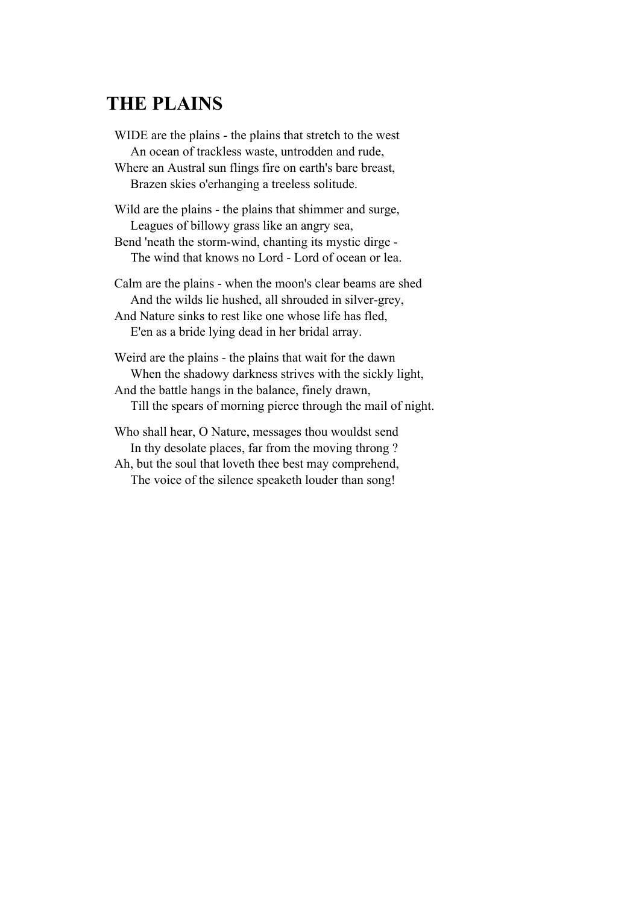## **THE PLAINS**

WIDE are the plains - the plains that stretch to the west An ocean of trackless waste, untrodden and rude, Where an Austral sun flings fire on earth's bare breast, Brazen skies o'erhanging a treeless solitude.

Wild are the plains - the plains that shimmer and surge, Leagues of billowy grass like an angry sea, Bend 'neath the storm-wind, chanting its mystic dirge -

The wind that knows no Lord - Lord of ocean or lea.

Calm are the plains - when the moon's clear beams are shed And the wilds lie hushed, all shrouded in silver-grey, And Nature sinks to rest like one whose life has fled, E'en as a bride lying dead in her bridal array.

Weird are the plains - the plains that wait for the dawn When the shadowy darkness strives with the sickly light, And the battle hangs in the balance, finely drawn, Till the spears of morning pierce through the mail of night.

Who shall hear, O Nature, messages thou wouldst send In thy desolate places, far from the moving throng ? Ah, but the soul that loveth thee best may comprehend, The voice of the silence speaketh louder than song!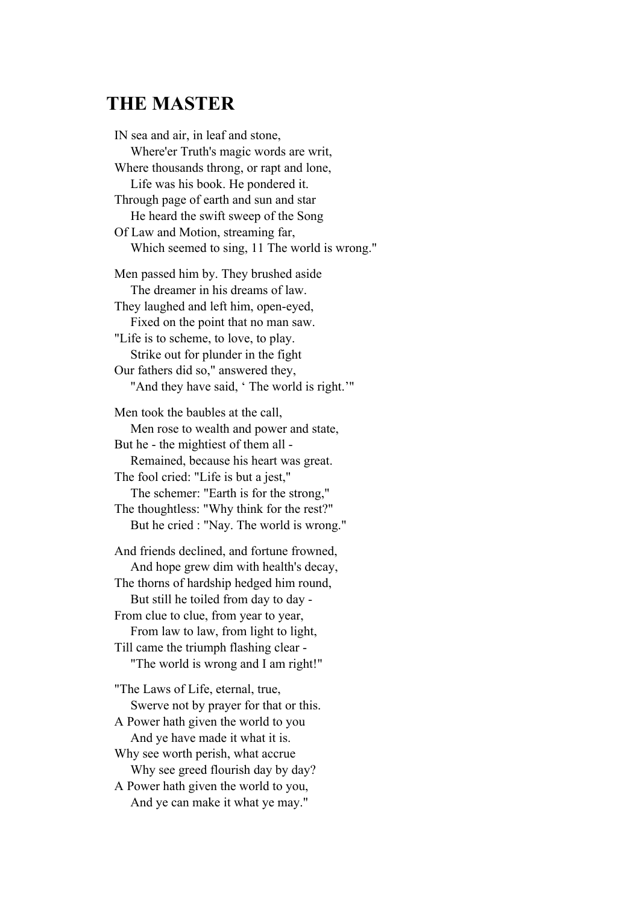## **THE MASTER**

IN sea and air, in leaf and stone, Where'er Truth's magic words are writ, Where thousands throng, or rapt and lone, Life was his book. He pondered it. Through page of earth and sun and star He heard the swift sweep of the Song Of Law and Motion, streaming far, Which seemed to sing, 11 The world is wrong." Men passed him by. They brushed aside The dreamer in his dreams of law. They laughed and left him, open-eyed, Fixed on the point that no man saw. "Life is to scheme, to love, to play. Strike out for plunder in the fight Our fathers did so," answered they, "And they have said, 'The world is right.'" Men took the baubles at the call, Men rose to wealth and power and state, But he - the mightiest of them all - Remained, because his heart was great. The fool cried: "Life is but a jest," The schemer: "Earth is for the strong," The thoughtless: "Why think for the rest?" But he cried : "Nay. The world is wrong." And friends declined, and fortune frowned, And hope grew dim with health's decay, The thorns of hardship hedged him round, But still he toiled from day to day - From clue to clue, from year to year, From law to law, from light to light, Till came the triumph flashing clear - "The world is wrong and I am right!" "The Laws of Life, eternal, true, Swerve not by prayer for that or this. A Power hath given the world to you And ye have made it what it is. Why see worth perish, what accrue Why see greed flourish day by day? A Power hath given the world to you, And ye can make it what ye may."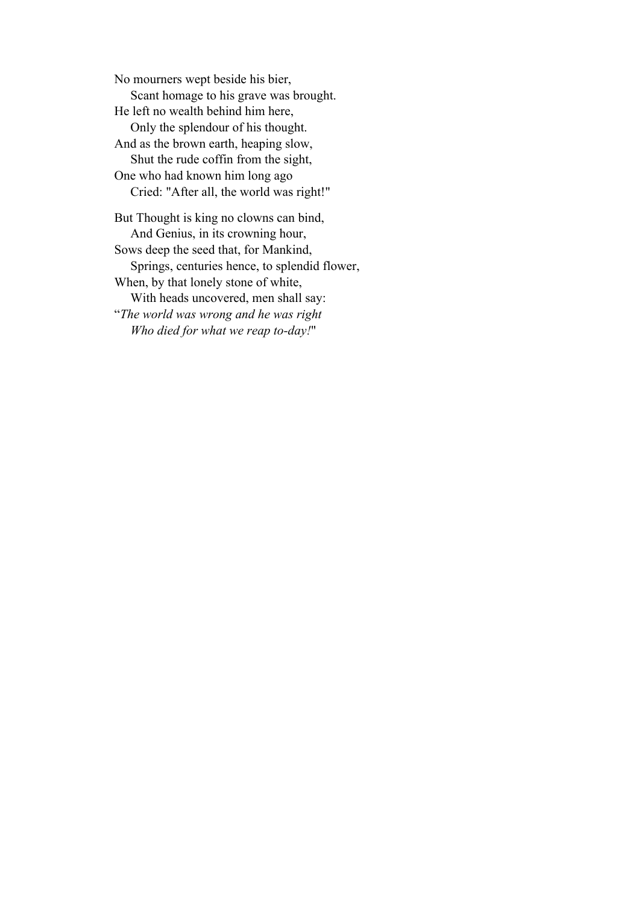No mourners wept beside his bier, Scant homage to his grave was brought. He left no wealth behind him here, Only the splendour of his thought. And as the brown earth, heaping slow, Shut the rude coffin from the sight, One who had known him long ago Cried: "After all, the world was right!" But Thought is king no clowns can bind, And Genius, in its crowning hour, Sows deep the seed that, for Mankind, Springs, centuries hence, to splendid flower, When, by that lonely stone of white, With heads uncovered, men shall say: "*The world was wrong and he was right*

*Who died for what we reap to-day!*"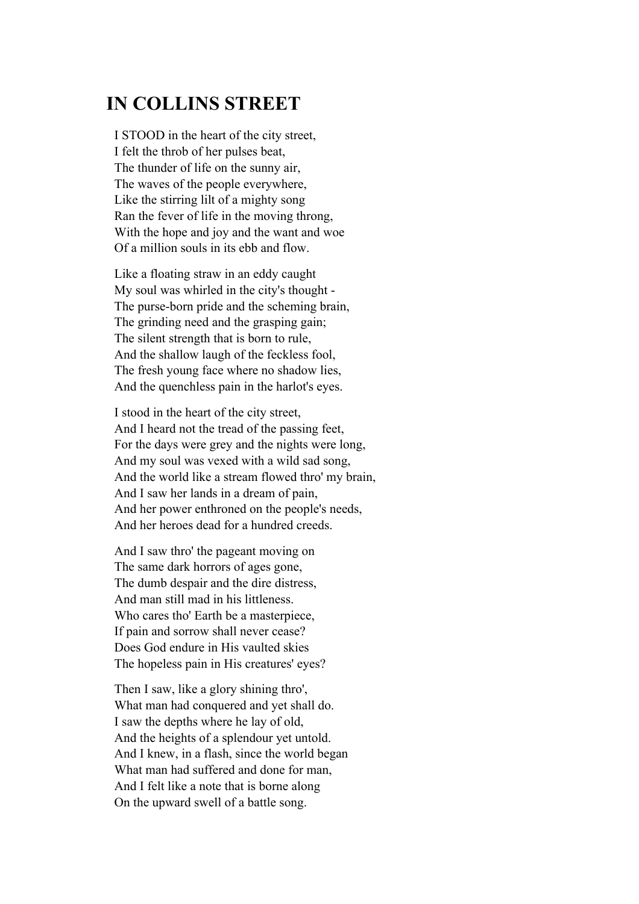## **IN COLLINS STREET**

I STOOD in the heart of the city street, I felt the throb of her pulses beat, The thunder of life on the sunny air, The waves of the people everywhere, Like the stirring lilt of a mighty song Ran the fever of life in the moving throng, With the hope and joy and the want and woe Of a million souls in its ebb and flow.

Like a floating straw in an eddy caught My soul was whirled in the city's thought - The purse-born pride and the scheming brain, The grinding need and the grasping gain; The silent strength that is born to rule, And the shallow laugh of the feckless fool, The fresh young face where no shadow lies, And the quenchless pain in the harlot's eyes.

I stood in the heart of the city street, And I heard not the tread of the passing feet, For the days were grey and the nights were long, And my soul was vexed with a wild sad song, And the world like a stream flowed thro' my brain, And I saw her lands in a dream of pain, And her power enthroned on the people's needs, And her heroes dead for a hundred creeds.

And I saw thro' the pageant moving on The same dark horrors of ages gone, The dumb despair and the dire distress, And man still mad in his littleness. Who cares tho' Earth be a masterpiece, If pain and sorrow shall never cease? Does God endure in His vaulted skies The hopeless pain in His creatures' eyes?

Then I saw, like a glory shining thro', What man had conquered and yet shall do. I saw the depths where he lay of old, And the heights of a splendour yet untold. And I knew, in a flash, since the world began What man had suffered and done for man, And I felt like a note that is borne along On the upward swell of a battle song.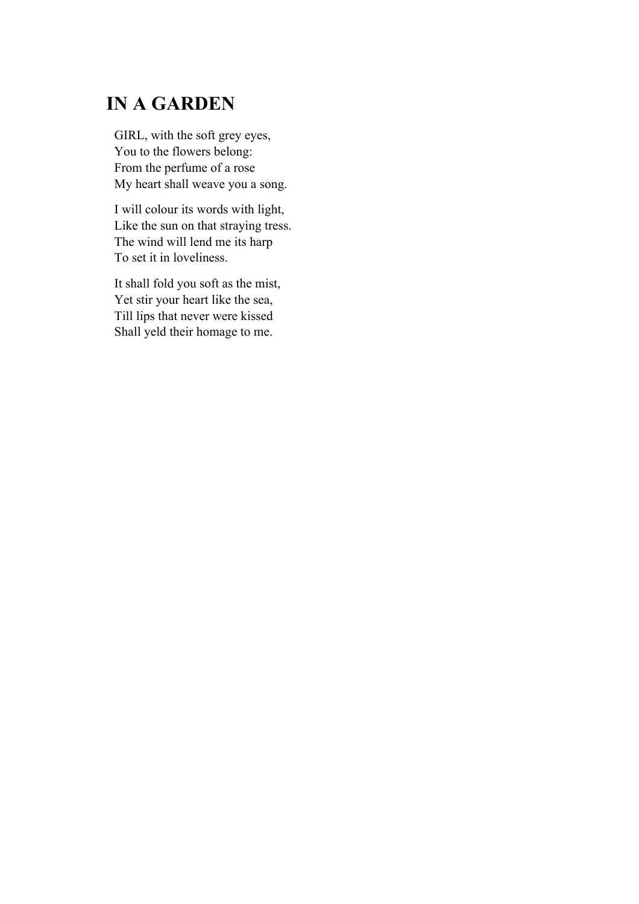# **IN A GARDEN**

GIRL, with the soft grey eyes, You to the flowers belong: From the perfume of a rose My heart shall weave you a song.

I will colour its words with light, Like the sun on that straying tress. The wind will lend me its harp To set it in loveliness.

It shall fold you soft as the mist, Yet stir your heart like the sea, Till lips that never were kissed Shall yeld their homage to me.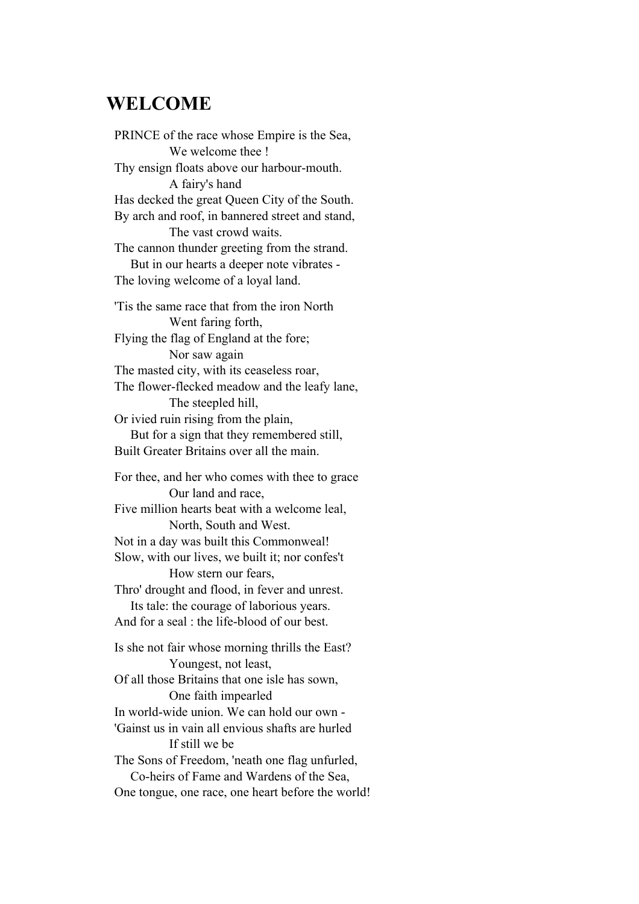#### **WELCOME**

PRINCE of the race whose Empire is the Sea, We welcome thee ! Thy ensign floats above our harbour-mouth. A fairy's hand Has decked the great Queen City of the South. By arch and roof, in bannered street and stand, The vast crowd waits. The cannon thunder greeting from the strand. But in our hearts a deeper note vibrates - The loving welcome of a loyal land. 'Tis the same race that from the iron North Went faring forth, Flying the flag of England at the fore; Nor saw again The masted city, with its ceaseless roar, The flower-flecked meadow and the leafy lane, The steepled hill, Or ivied ruin rising from the plain, But for a sign that they remembered still, Built Greater Britains over all the main. For thee, and her who comes with thee to grace Our land and race,

Five million hearts beat with a welcome leal, North, South and West. Not in a day was built this Commonweal!

Slow, with our lives, we built it; nor confes't How stern our fears,

Thro' drought and flood, in fever and unrest.

 Its tale: the courage of laborious years. And for a seal  $\cdot$  the life-blood of our best.

Is she not fair whose morning thrills the East? Youngest, not least, Of all those Britains that one isle has sown, One faith impearled In world-wide union. We can hold our own - 'Gainst us in vain all envious shafts are hurled If still we be The Sons of Freedom, 'neath one flag unfurled, Co-heirs of Fame and Wardens of the Sea, One tongue, one race, one heart before the world!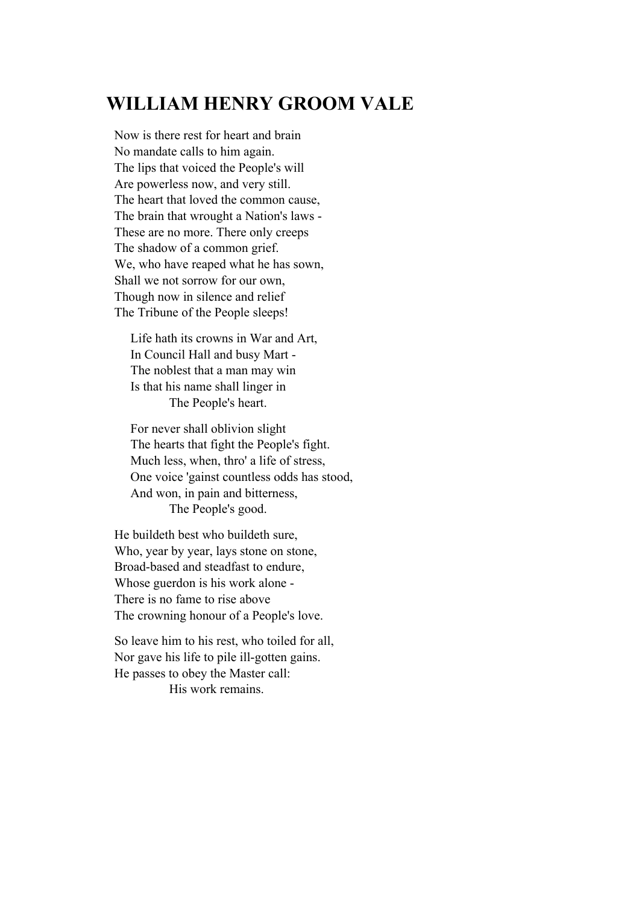## **WILLIAM HENRY GROOM VALE**

Now is there rest for heart and brain No mandate calls to him again. The lips that voiced the People's will Are powerless now, and very still. The heart that loved the common cause, The brain that wrought a Nation's laws - These are no more. There only creeps The shadow of a common grief. We, who have reaped what he has sown, Shall we not sorrow for our own, Though now in silence and relief The Tribune of the People sleeps!

 Life hath its crowns in War and Art, In Council Hall and busy Mart - The noblest that a man may win Is that his name shall linger in The People's heart.

 For never shall oblivion slight The hearts that fight the People's fight. Much less, when, thro' a life of stress, One voice 'gainst countless odds has stood, And won, in pain and bitterness, The People's good.

He buildeth best who buildeth sure, Who, year by year, lays stone on stone, Broad-based and steadfast to endure, Whose guerdon is his work alone - There is no fame to rise above The crowning honour of a People's love.

So leave him to his rest, who toiled for all, Nor gave his life to pile ill-gotten gains. He passes to obey the Master call: His work remains.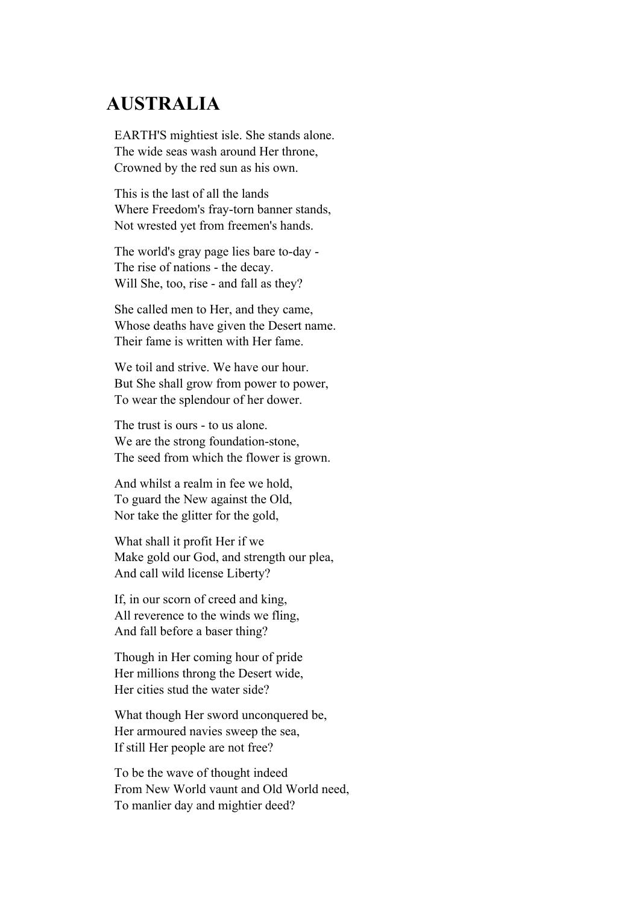## **AUSTRALIA**

EARTH'S mightiest isle. She stands alone. The wide seas wash around Her throne, Crowned by the red sun as his own.

This is the last of all the lands Where Freedom's fray-torn banner stands, Not wrested yet from freemen's hands.

The world's gray page lies bare to-day - The rise of nations - the decay. Will She, too, rise - and fall as they?

She called men to Her, and they came, Whose deaths have given the Desert name. Their fame is written with Her fame.

We toil and strive. We have our hour. But She shall grow from power to power, To wear the splendour of her dower.

The trust is ours - to us alone. We are the strong foundation-stone, The seed from which the flower is grown.

And whilst a realm in fee we hold, To guard the New against the Old, Nor take the glitter for the gold,

What shall it profit Her if we Make gold our God, and strength our plea, And call wild license Liberty?

If, in our scorn of creed and king, All reverence to the winds we fling, And fall before a baser thing?

Though in Her coming hour of pride Her millions throng the Desert wide, Her cities stud the water side?

What though Her sword unconquered be, Her armoured navies sweep the sea, If still Her people are not free?

To be the wave of thought indeed From New World vaunt and Old World need, To manlier day and mightier deed?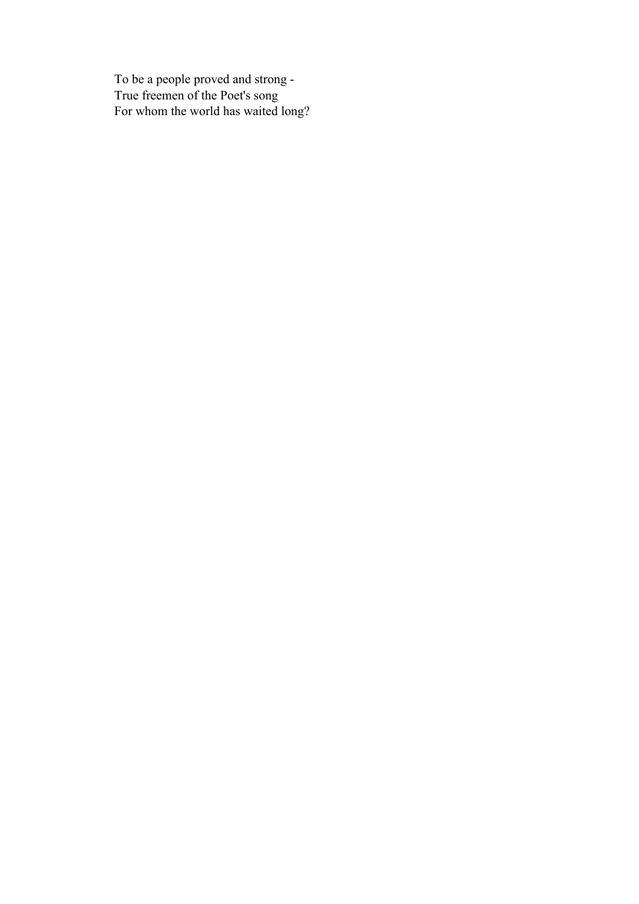To be a people proved and strong - True freemen of the Poet's song For whom the world has waited long?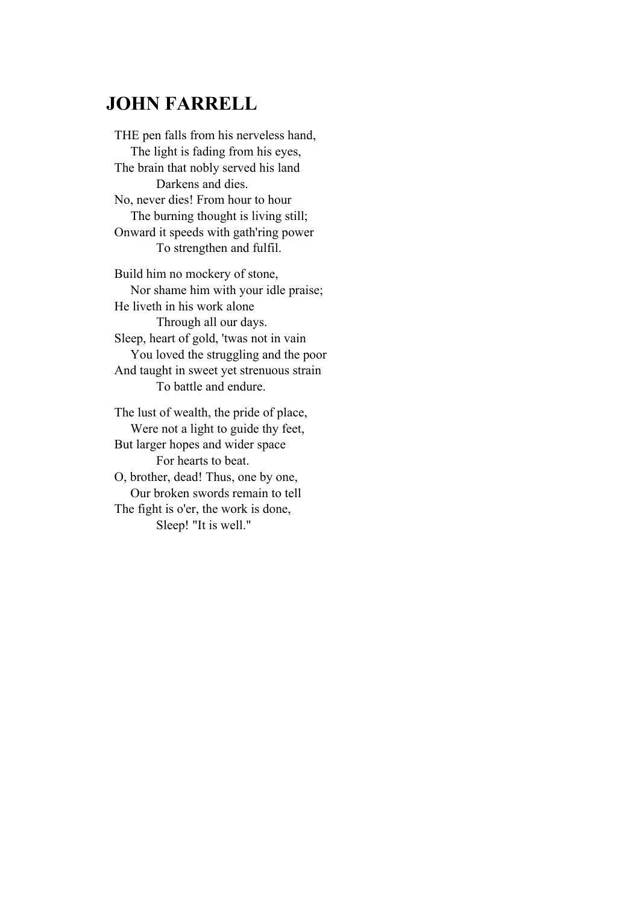## **JOHN FARRELL**

THE pen falls from his nerveless hand, The light is fading from his eyes, The brain that nobly served his land Darkens and dies. No, never dies! From hour to hour The burning thought is living still; Onward it speeds with gath'ring power To strengthen and fulfil.

Build him no mockery of stone, Nor shame him with your idle praise; He liveth in his work alone Through all our days. Sleep, heart of gold, 'twas not in vain You loved the struggling and the poor And taught in sweet yet strenuous strain To battle and endure.

The lust of wealth, the pride of place, Were not a light to guide thy feet, But larger hopes and wider space For hearts to beat. O, brother, dead! Thus, one by one, Our broken swords remain to tell The fight is o'er, the work is done, Sleep! "It is well."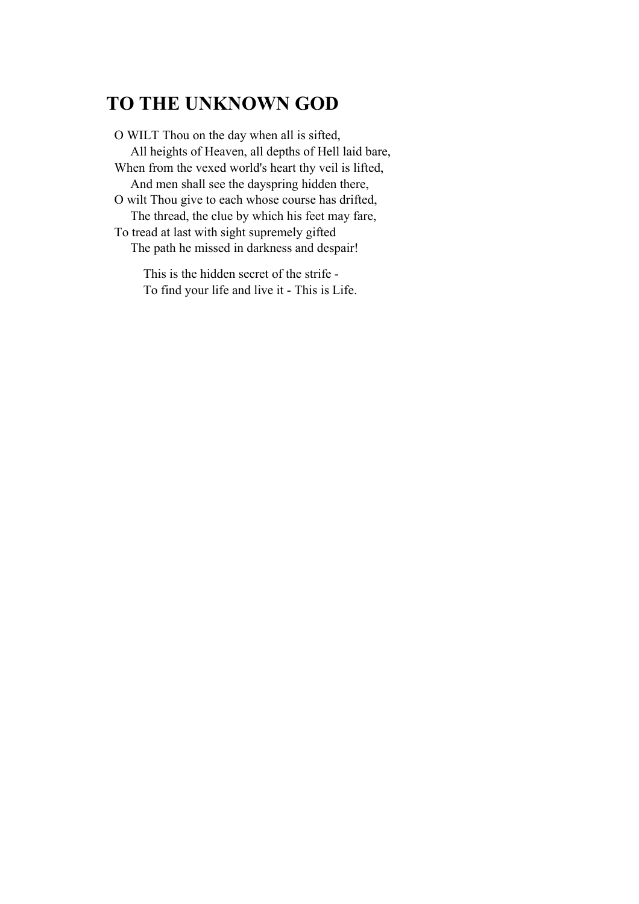# **TO THE UNKNOWN GOD**

O WILT Thou on the day when all is sifted, All heights of Heaven, all depths of Hell laid bare, When from the vexed world's heart thy veil is lifted, And men shall see the dayspring hidden there, O wilt Thou give to each whose course has drifted, The thread, the clue by which his feet may fare, To tread at last with sight supremely gifted The path he missed in darkness and despair!

> This is the hidden secret of the strife - To find your life and live it - This is Life.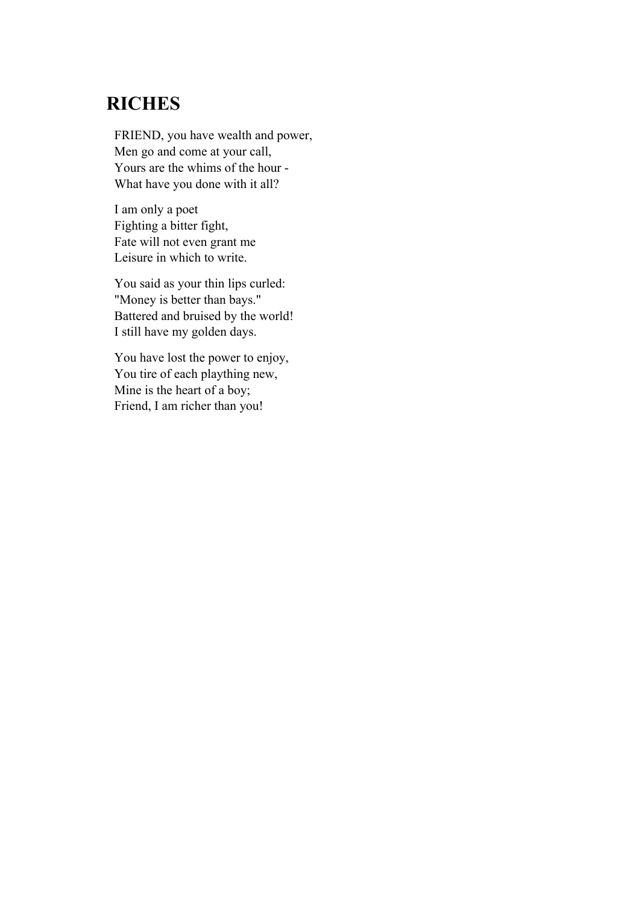## **RICHES**

FRIEND, you have wealth and power, Men go and come at your call, Yours are the whims of the hour - What have you done with it all?

I am only a poet Fighting a bitter fight, Fate will not even grant me Leisure in which to write.

You said as your thin lips curled: "Money is better than bays." Battered and bruised by the world! I still have my golden days.

You have lost the power to enjoy, You tire of each plaything new, Mine is the heart of a boy; Friend, I am richer than you!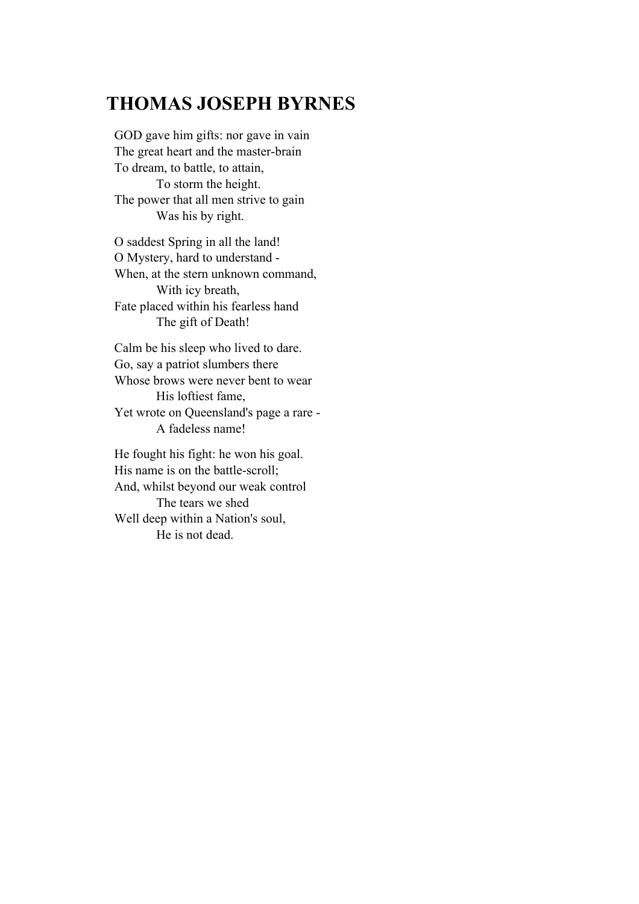## **THOMAS JOSEPH BYRNES**

GOD gave him gifts: nor gave in vain The great heart and the master-brain To dream, to battle, to attain, To storm the height. The power that all men strive to gain Was his by right.

O saddest Spring in all the land! O Mystery, hard to understand - When, at the stern unknown command, With icy breath, Fate placed within his fearless hand The gift of Death!

Calm be his sleep who lived to dare. Go, say a patriot slumbers there Whose brows were never bent to wear His loftiest fame, Yet wrote on Queensland's page a rare - A fadeless name!

He fought his fight: he won his goal. His name is on the battle-scroll; And, whilst beyond our weak control The tears we shed Well deep within a Nation's soul, He is not dead.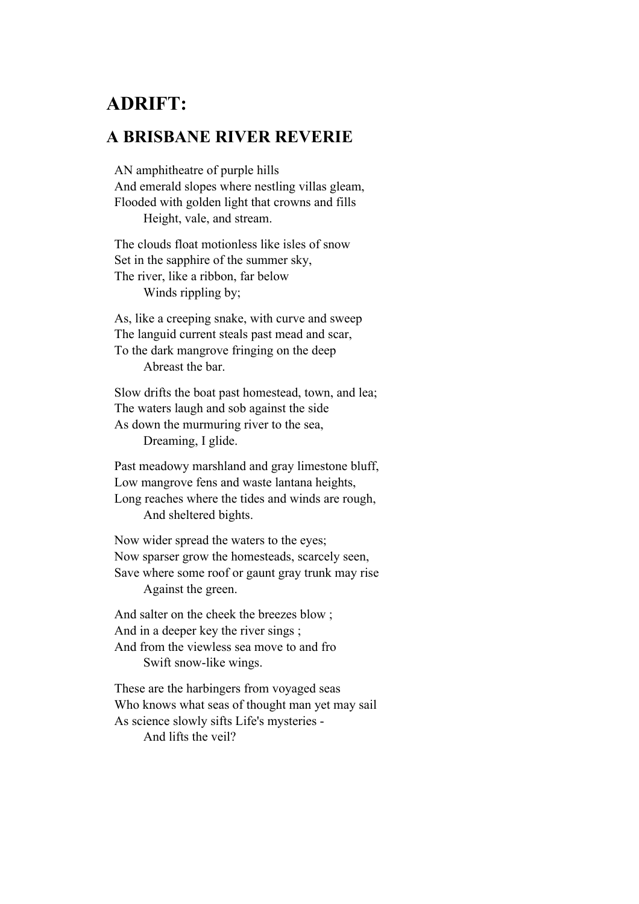## **ADRIFT:**

#### **A BRISBANE RIVER REVERIE**

AN amphitheatre of purple hills And emerald slopes where nestling villas gleam, Flooded with golden light that crowns and fills Height, vale, and stream.

The clouds float motionless like isles of snow Set in the sapphire of the summer sky, The river, like a ribbon, far below Winds rippling by;

As, like a creeping snake, with curve and sweep The languid current steals past mead and scar, To the dark mangrove fringing on the deep Abreast the bar.

Slow drifts the boat past homestead, town, and lea; The waters laugh and sob against the side As down the murmuring river to the sea, Dreaming, I glide.

Past meadowy marshland and gray limestone bluff, Low mangrove fens and waste lantana heights, Long reaches where the tides and winds are rough, And sheltered bights.

Now wider spread the waters to the eyes; Now sparser grow the homesteads, scarcely seen, Save where some roof or gaunt gray trunk may rise Against the green.

And salter on the cheek the breezes blow ; And in a deeper key the river sings ; And from the viewless sea move to and fro Swift snow-like wings.

These are the harbingers from voyaged seas Who knows what seas of thought man yet may sail As science slowly sifts Life's mysteries - And lifts the veil?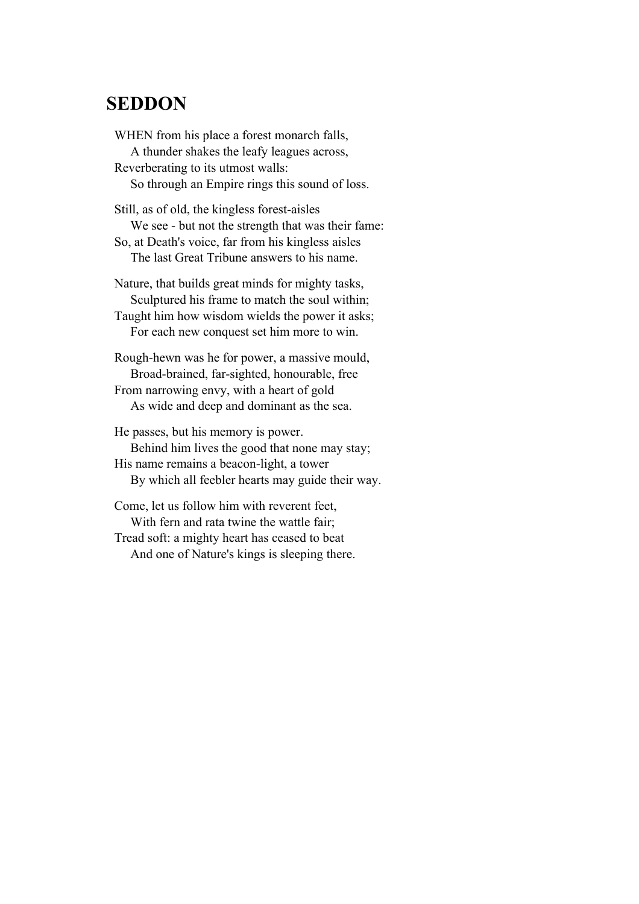#### **SEDDON**

WHEN from his place a forest monarch falls, A thunder shakes the leafy leagues across, Reverberating to its utmost walls: So through an Empire rings this sound of loss. Still, as of old, the kingless forest-aisles

 We see - but not the strength that was their fame: So, at Death's voice, far from his kingless aisles The last Great Tribune answers to his name.

Nature, that builds great minds for mighty tasks, Sculptured his frame to match the soul within; Taught him how wisdom wields the power it asks; For each new conquest set him more to win.

Rough-hewn was he for power, a massive mould, Broad-brained, far-sighted, honourable, free From narrowing envy, with a heart of gold As wide and deep and dominant as the sea.

He passes, but his memory is power. Behind him lives the good that none may stay; His name remains a beacon-light, a tower By which all feebler hearts may guide their way.

Come, let us follow him with reverent feet, With fern and rata twine the wattle fair; Tread soft: a mighty heart has ceased to beat And one of Nature's kings is sleeping there.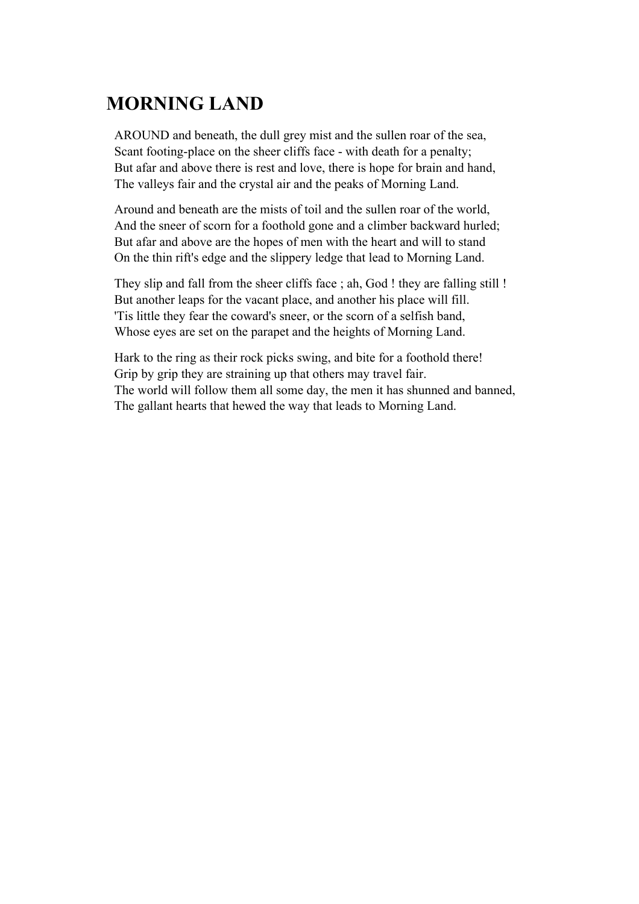# **MORNING LAND**

AROUND and beneath, the dull grey mist and the sullen roar of the sea, Scant footing-place on the sheer cliffs face - with death for a penalty; But afar and above there is rest and love, there is hope for brain and hand, The valleys fair and the crystal air and the peaks of Morning Land.

Around and beneath are the mists of toil and the sullen roar of the world, And the sneer of scorn for a foothold gone and a climber backward hurled; But afar and above are the hopes of men with the heart and will to stand On the thin rift's edge and the slippery ledge that lead to Morning Land.

They slip and fall from the sheer cliffs face ; ah, God ! they are falling still ! But another leaps for the vacant place, and another his place will fill. 'Tis little they fear the coward's sneer, or the scorn of a selfish band, Whose eyes are set on the parapet and the heights of Morning Land.

Hark to the ring as their rock picks swing, and bite for a foothold there! Grip by grip they are straining up that others may travel fair. The world will follow them all some day, the men it has shunned and banned, The gallant hearts that hewed the way that leads to Morning Land.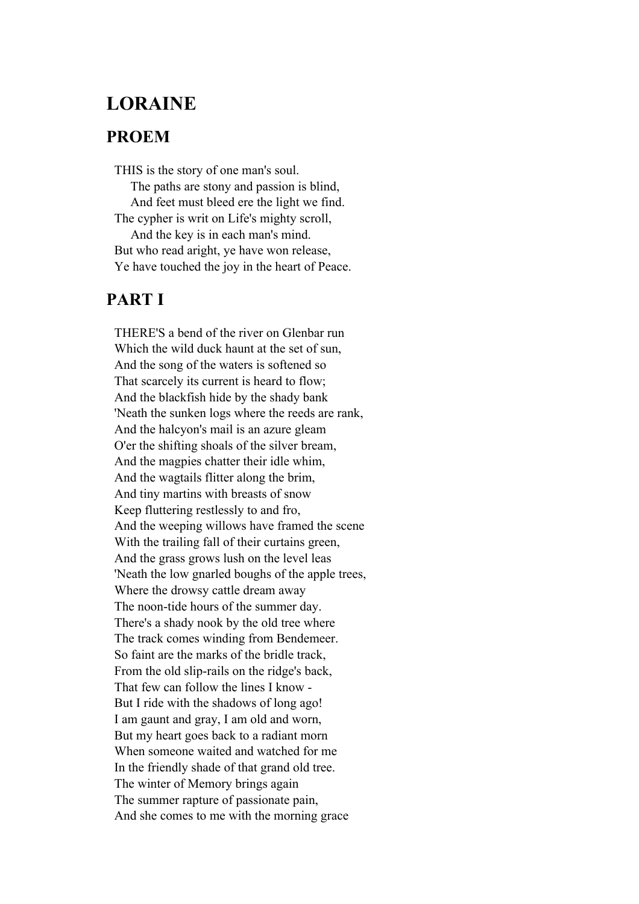### **LORAINE**

#### **PROEM**

THIS is the story of one man's soul. The paths are stony and passion is blind, And feet must bleed ere the light we find. The cypher is writ on Life's mighty scroll, And the key is in each man's mind. But who read aright, ye have won release, Ye have touched the joy in the heart of Peace.

#### **PART I**

THERE'S a bend of the river on Glenbar run Which the wild duck haunt at the set of sun, And the song of the waters is softened so That scarcely its current is heard to flow; And the blackfish hide by the shady bank 'Neath the sunken logs where the reeds are rank, And the halcyon's mail is an azure gleam O'er the shifting shoals of the silver bream, And the magpies chatter their idle whim, And the wagtails flitter along the brim, And tiny martins with breasts of snow Keep fluttering restlessly to and fro, And the weeping willows have framed the scene With the trailing fall of their curtains green, And the grass grows lush on the level leas 'Neath the low gnarled boughs of the apple trees, Where the drowsy cattle dream away The noon-tide hours of the summer day. There's a shady nook by the old tree where The track comes winding from Bendemeer. So faint are the marks of the bridle track, From the old slip-rails on the ridge's back, That few can follow the lines I know - But I ride with the shadows of long ago! I am gaunt and gray, I am old and worn, But my heart goes back to a radiant morn When someone waited and watched for me In the friendly shade of that grand old tree. The winter of Memory brings again The summer rapture of passionate pain, And she comes to me with the morning grace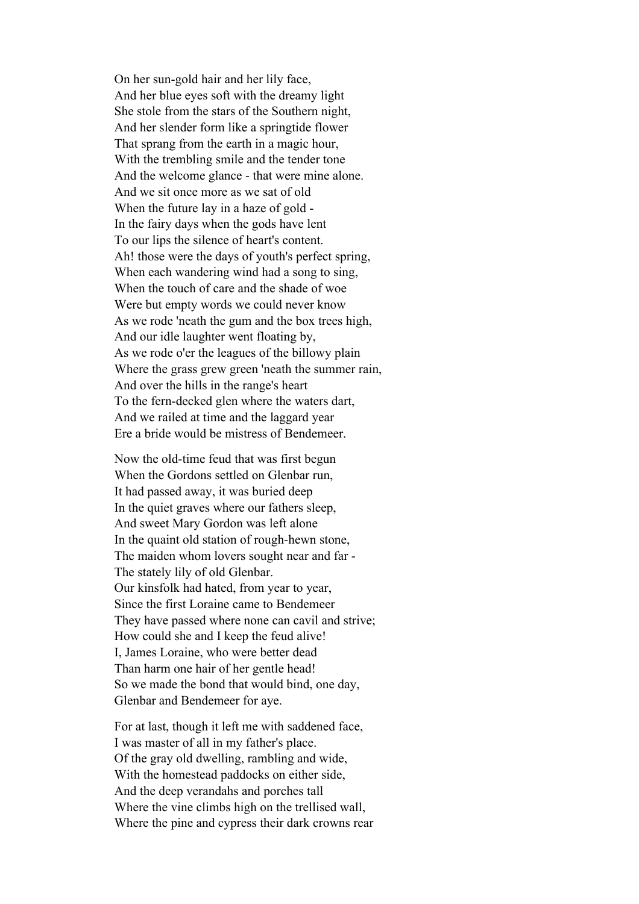On her sun-gold hair and her lily face, And her blue eyes soft with the dreamy light She stole from the stars of the Southern night, And her slender form like a springtide flower That sprang from the earth in a magic hour, With the trembling smile and the tender tone And the welcome glance - that were mine alone. And we sit once more as we sat of old When the future lay in a haze of gold - In the fairy days when the gods have lent To our lips the silence of heart's content. Ah! those were the days of youth's perfect spring, When each wandering wind had a song to sing, When the touch of care and the shade of woe Were but empty words we could never know As we rode 'neath the gum and the box trees high, And our idle laughter went floating by, As we rode o'er the leagues of the billowy plain Where the grass grew green 'neath the summer rain, And over the hills in the range's heart To the fern-decked glen where the waters dart, And we railed at time and the laggard year Ere a bride would be mistress of Bendemeer.

Now the old-time feud that was first begun When the Gordons settled on Glenbar run, It had passed away, it was buried deep In the quiet graves where our fathers sleep, And sweet Mary Gordon was left alone In the quaint old station of rough-hewn stone, The maiden whom lovers sought near and far - The stately lily of old Glenbar. Our kinsfolk had hated, from year to year, Since the first Loraine came to Bendemeer They have passed where none can cavil and strive; How could she and I keep the feud alive! I, James Loraine, who were better dead Than harm one hair of her gentle head! So we made the bond that would bind, one day, Glenbar and Bendemeer for aye.

For at last, though it left me with saddened face, I was master of all in my father's place. Of the gray old dwelling, rambling and wide, With the homestead paddocks on either side, And the deep verandahs and porches tall Where the vine climbs high on the trellised wall, Where the pine and cypress their dark crowns rear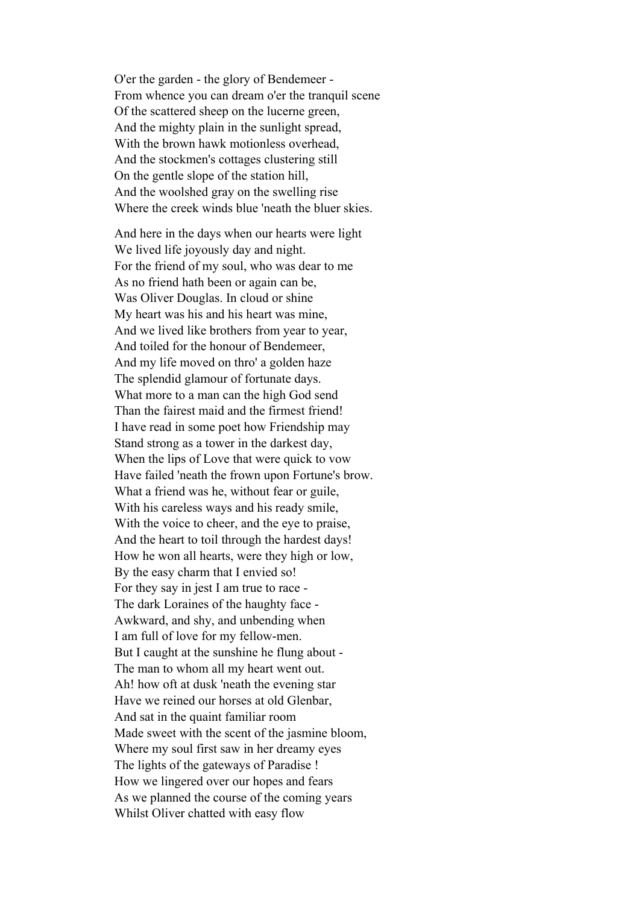O'er the garden - the glory of Bendemeer - From whence you can dream o'er the tranquil scene Of the scattered sheep on the lucerne green, And the mighty plain in the sunlight spread, With the brown hawk motionless overhead, And the stockmen's cottages clustering still On the gentle slope of the station hill, And the woolshed gray on the swelling rise Where the creek winds blue 'neath the bluer skies.

And here in the days when our hearts were light We lived life joyously day and night. For the friend of my soul, who was dear to me As no friend hath been or again can be, Was Oliver Douglas. In cloud or shine My heart was his and his heart was mine, And we lived like brothers from year to year, And toiled for the honour of Bendemeer, And my life moved on thro' a golden haze The splendid glamour of fortunate days. What more to a man can the high God send Than the fairest maid and the firmest friend! I have read in some poet how Friendship may Stand strong as a tower in the darkest day, When the lips of Love that were quick to vow Have failed 'neath the frown upon Fortune's brow. What a friend was he, without fear or guile, With his careless ways and his ready smile, With the voice to cheer, and the eye to praise, And the heart to toil through the hardest days! How he won all hearts, were they high or low, By the easy charm that I envied so! For they say in jest I am true to race - The dark Loraines of the haughty face - Awkward, and shy, and unbending when I am full of love for my fellow-men. But I caught at the sunshine he flung about - The man to whom all my heart went out. Ah! how oft at dusk 'neath the evening star Have we reined our horses at old Glenbar, And sat in the quaint familiar room Made sweet with the scent of the jasmine bloom, Where my soul first saw in her dreamy eyes The lights of the gateways of Paradise ! How we lingered over our hopes and fears As we planned the course of the coming years Whilst Oliver chatted with easy flow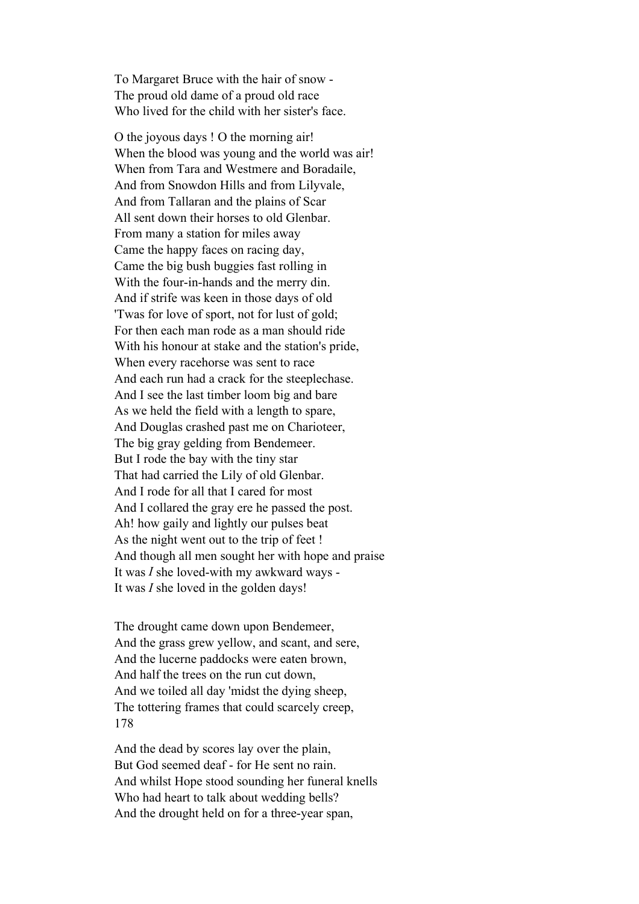To Margaret Bruce with the hair of snow - The proud old dame of a proud old race Who lived for the child with her sister's face.

O the joyous days ! O the morning air! When the blood was young and the world was air! When from Tara and Westmere and Boradaile, And from Snowdon Hills and from Lilyvale, And from Tallaran and the plains of Scar All sent down their horses to old Glenbar. From many a station for miles away Came the happy faces on racing day, Came the big bush buggies fast rolling in With the four-in-hands and the merry din. And if strife was keen in those days of old 'Twas for love of sport, not for lust of gold; For then each man rode as a man should ride With his honour at stake and the station's pride, When every racehorse was sent to race And each run had a crack for the steeplechase. And I see the last timber loom big and bare As we held the field with a length to spare, And Douglas crashed past me on Charioteer, The big gray gelding from Bendemeer. But I rode the bay with the tiny star That had carried the Lily of old Glenbar. And I rode for all that I cared for most And I collared the gray ere he passed the post. Ah! how gaily and lightly our pulses beat As the night went out to the trip of feet ! And though all men sought her with hope and praise It was *I* she loved-with my awkward ways - It was *I* she loved in the golden days!

The drought came down upon Bendemeer, And the grass grew yellow, and scant, and sere, And the lucerne paddocks were eaten brown, And half the trees on the run cut down, And we toiled all day 'midst the dying sheep, The tottering frames that could scarcely creep, 178

And the dead by scores lay over the plain, But God seemed deaf - for He sent no rain. And whilst Hope stood sounding her funeral knells Who had heart to talk about wedding bells? And the drought held on for a three-year span,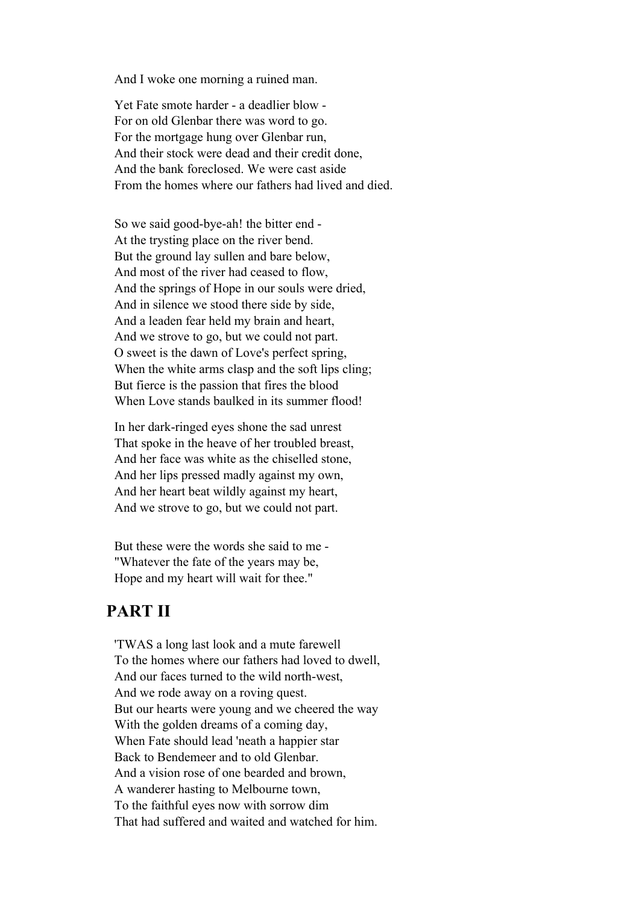And I woke one morning a ruined man.

Yet Fate smote harder - a deadlier blow - For on old Glenbar there was word to go. For the mortgage hung over Glenbar run, And their stock were dead and their credit done, And the bank foreclosed. We were cast aside From the homes where our fathers had lived and died.

So we said good-bye-ah! the bitter end - At the trysting place on the river bend. But the ground lay sullen and bare below, And most of the river had ceased to flow, And the springs of Hope in our souls were dried, And in silence we stood there side by side, And a leaden fear held my brain and heart, And we strove to go, but we could not part. O sweet is the dawn of Love's perfect spring, When the white arms clasp and the soft lips cling; But fierce is the passion that fires the blood When Love stands baulked in its summer flood!

In her dark-ringed eyes shone the sad unrest That spoke in the heave of her troubled breast, And her face was white as the chiselled stone, And her lips pressed madly against my own, And her heart beat wildly against my heart, And we strove to go, but we could not part.

But these were the words she said to me - "Whatever the fate of the years may be, Hope and my heart will wait for thee."

#### **PART II**

'TWAS a long last look and a mute farewell To the homes where our fathers had loved to dwell, And our faces turned to the wild north-west, And we rode away on a roving quest. But our hearts were young and we cheered the way With the golden dreams of a coming day, When Fate should lead 'neath a happier star Back to Bendemeer and to old Glenbar. And a vision rose of one bearded and brown, A wanderer hasting to Melbourne town, To the faithful eyes now with sorrow dim That had suffered and waited and watched for him.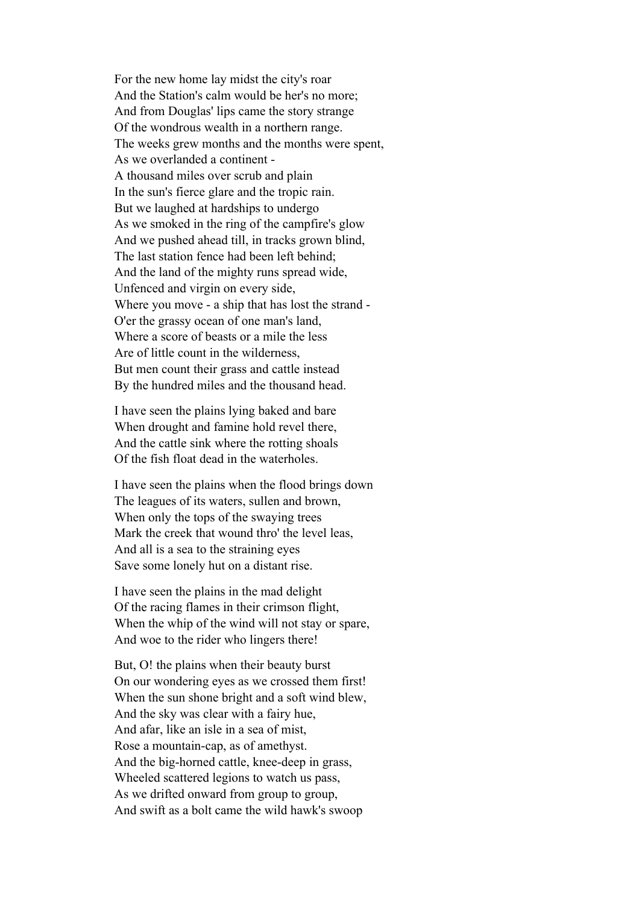For the new home lay midst the city's roar And the Station's calm would be her's no more; And from Douglas' lips came the story strange Of the wondrous wealth in a northern range. The weeks grew months and the months were spent, As we overlanded a continent - A thousand miles over scrub and plain In the sun's fierce glare and the tropic rain. But we laughed at hardships to undergo As we smoked in the ring of the campfire's glow And we pushed ahead till, in tracks grown blind, The last station fence had been left behind; And the land of the mighty runs spread wide, Unfenced and virgin on every side, Where you move - a ship that has lost the strand - O'er the grassy ocean of one man's land, Where a score of beasts or a mile the less Are of little count in the wilderness, But men count their grass and cattle instead By the hundred miles and the thousand head.

I have seen the plains lying baked and bare When drought and famine hold revel there, And the cattle sink where the rotting shoals Of the fish float dead in the waterholes.

I have seen the plains when the flood brings down The leagues of its waters, sullen and brown, When only the tops of the swaying trees Mark the creek that wound thro' the level leas, And all is a sea to the straining eyes Save some lonely hut on a distant rise.

I have seen the plains in the mad delight Of the racing flames in their crimson flight, When the whip of the wind will not stay or spare, And woe to the rider who lingers there!

But, O! the plains when their beauty burst On our wondering eyes as we crossed them first! When the sun shone bright and a soft wind blew, And the sky was clear with a fairy hue, And afar, like an isle in a sea of mist, Rose a mountain-cap, as of amethyst. And the big-horned cattle, knee-deep in grass, Wheeled scattered legions to watch us pass, As we drifted onward from group to group, And swift as a bolt came the wild hawk's swoop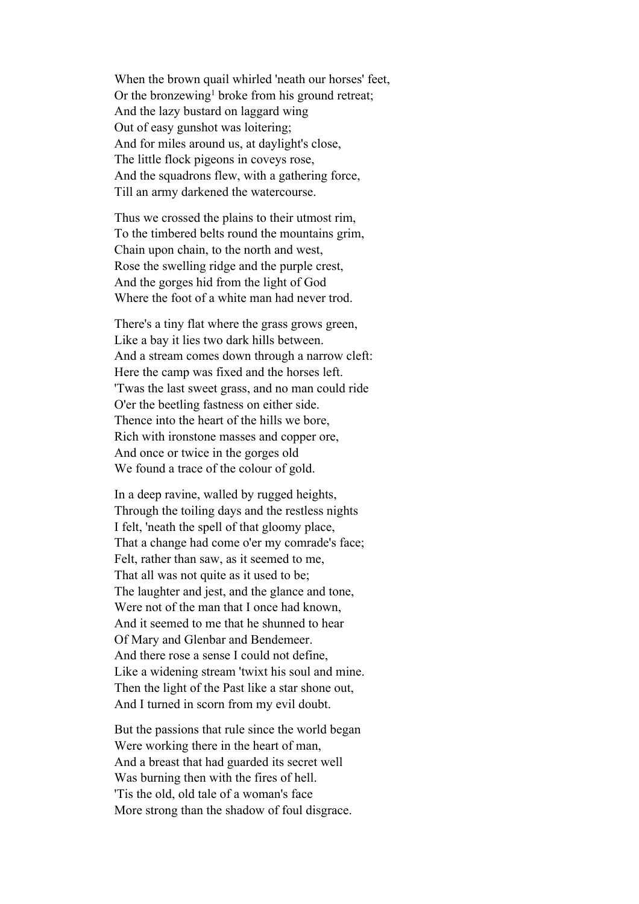When the brown quail whirled 'neath our horses' feet, Or the bronzewing<sup>1</sup> broke from his ground retreat; And the lazy bustard on laggard wing Out of easy gunshot was loitering; And for miles around us, at daylight's close, The little flock pigeons in coveys rose, And the squadrons flew, with a gathering force, Till an army darkened the watercourse.

Thus we crossed the plains to their utmost rim, To the timbered belts round the mountains grim, Chain upon chain, to the north and west, Rose the swelling ridge and the purple crest, And the gorges hid from the light of God Where the foot of a white man had never trod.

There's a tiny flat where the grass grows green, Like a bay it lies two dark hills between. And a stream comes down through a narrow cleft: Here the camp was fixed and the horses left. 'Twas the last sweet grass, and no man could ride O'er the beetling fastness on either side. Thence into the heart of the hills we bore, Rich with ironstone masses and copper ore, And once or twice in the gorges old We found a trace of the colour of gold.

In a deep ravine, walled by rugged heights, Through the toiling days and the restless nights I felt, 'neath the spell of that gloomy place, That a change had come o'er my comrade's face; Felt, rather than saw, as it seemed to me, That all was not quite as it used to be; The laughter and jest, and the glance and tone, Were not of the man that I once had known, And it seemed to me that he shunned to hear Of Mary and Glenbar and Bendemeer. And there rose a sense I could not define, Like a widening stream 'twixt his soul and mine. Then the light of the Past like a star shone out, And I turned in scorn from my evil doubt.

But the passions that rule since the world began Were working there in the heart of man, And a breast that had guarded its secret well Was burning then with the fires of hell. 'Tis the old, old tale of a woman's face More strong than the shadow of foul disgrace.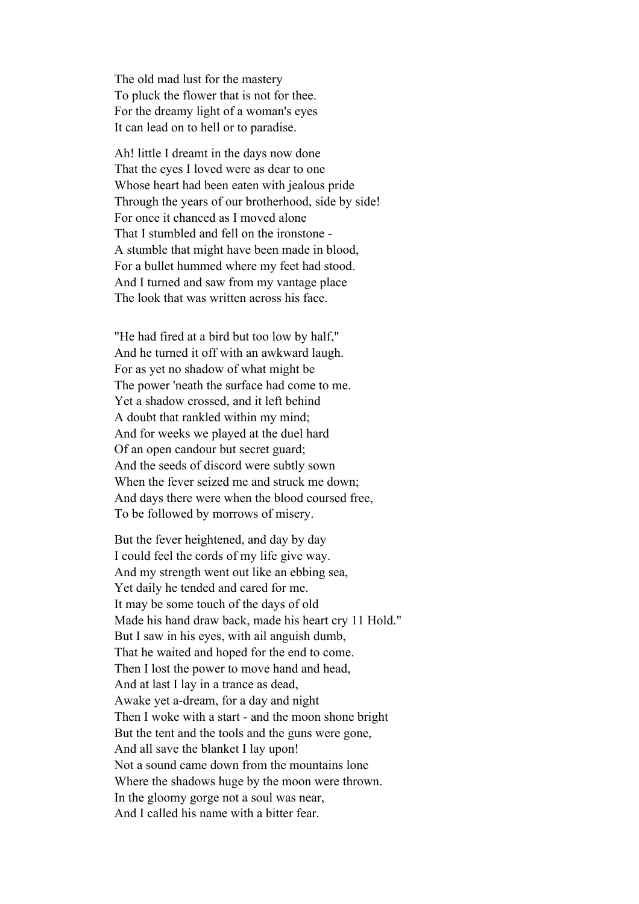The old mad lust for the mastery To pluck the flower that is not for thee. For the dreamy light of a woman's eyes It can lead on to hell or to paradise.

Ah! little I dreamt in the days now done That the eyes I loved were as dear to one Whose heart had been eaten with jealous pride Through the years of our brotherhood, side by side! For once it chanced as I moved alone That I stumbled and fell on the ironstone - A stumble that might have been made in blood, For a bullet hummed where my feet had stood. And I turned and saw from my vantage place The look that was written across his face.

"He had fired at a bird but too low by half," And he turned it off with an awkward laugh. For as yet no shadow of what might be The power 'neath the surface had come to me. Yet a shadow crossed, and it left behind A doubt that rankled within my mind; And for weeks we played at the duel hard Of an open candour but secret guard; And the seeds of discord were subtly sown When the fever seized me and struck me down; And days there were when the blood coursed free, To be followed by morrows of misery.

But the fever heightened, and day by day I could feel the cords of my life give way. And my strength went out like an ebbing sea, Yet daily he tended and cared for me. It may be some touch of the days of old Made his hand draw back, made his heart cry 11 Hold." But I saw in his eyes, with ail anguish dumb, That he waited and hoped for the end to come. Then I lost the power to move hand and head, And at last I lay in a trance as dead, Awake yet a-dream, for a day and night Then I woke with a start - and the moon shone bright But the tent and the tools and the guns were gone, And all save the blanket I lay upon! Not a sound came down from the mountains lone Where the shadows huge by the moon were thrown. In the gloomy gorge not a soul was near, And I called his name with a bitter fear.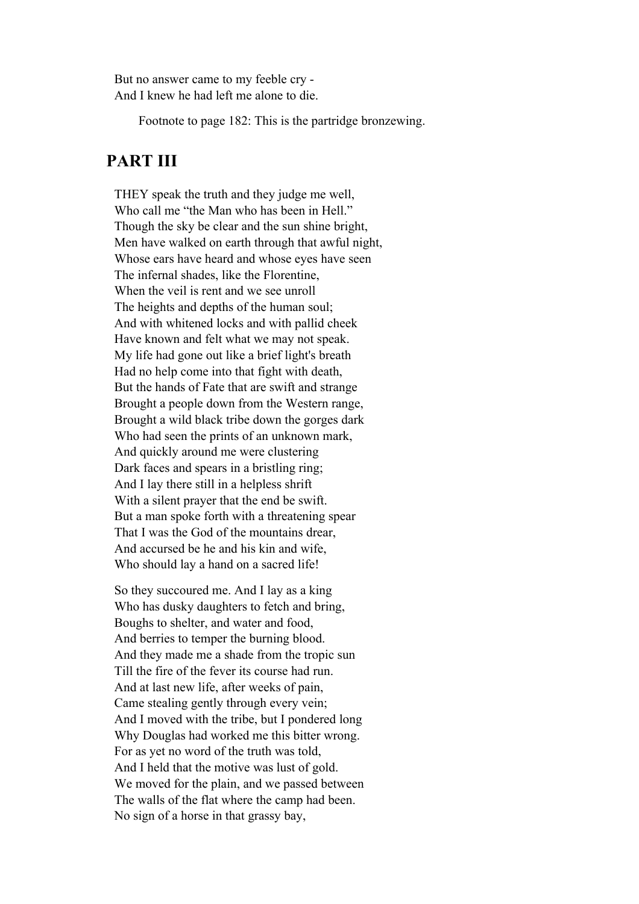But no answer came to my feeble cry - And I knew he had left me alone to die.

Footnote to page 182: This is the partridge bronzewing.

#### **PART III**

THEY speak the truth and they judge me well, Who call me "the Man who has been in Hell." Though the sky be clear and the sun shine bright, Men have walked on earth through that awful night, Whose ears have heard and whose eyes have seen The infernal shades, like the Florentine, When the veil is rent and we see unroll The heights and depths of the human soul; And with whitened locks and with pallid cheek Have known and felt what we may not speak. My life had gone out like a brief light's breath Had no help come into that fight with death, But the hands of Fate that are swift and strange Brought a people down from the Western range, Brought a wild black tribe down the gorges dark Who had seen the prints of an unknown mark, And quickly around me were clustering Dark faces and spears in a bristling ring; And I lay there still in a helpless shrift With a silent prayer that the end be swift. But a man spoke forth with a threatening spear That I was the God of the mountains drear, And accursed be he and his kin and wife, Who should lay a hand on a sacred life!

So they succoured me. And I lay as a king Who has dusky daughters to fetch and bring, Boughs to shelter, and water and food, And berries to temper the burning blood. And they made me a shade from the tropic sun Till the fire of the fever its course had run. And at last new life, after weeks of pain, Came stealing gently through every vein; And I moved with the tribe, but I pondered long Why Douglas had worked me this bitter wrong. For as yet no word of the truth was told, And I held that the motive was lust of gold. We moved for the plain, and we passed between The walls of the flat where the camp had been. No sign of a horse in that grassy bay,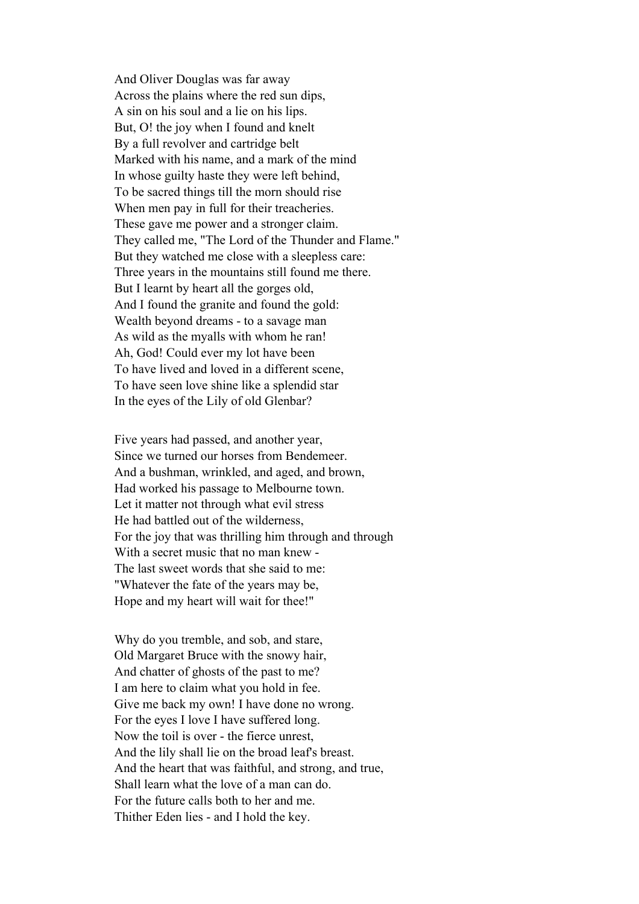And Oliver Douglas was far away Across the plains where the red sun dips, A sin on his soul and a lie on his lips. But, O! the joy when I found and knelt By a full revolver and cartridge belt Marked with his name, and a mark of the mind In whose guilty haste they were left behind, To be sacred things till the morn should rise When men pay in full for their treacheries. These gave me power and a stronger claim. They called me, "The Lord of the Thunder and Flame." But they watched me close with a sleepless care: Three years in the mountains still found me there. But I learnt by heart all the gorges old, And I found the granite and found the gold: Wealth beyond dreams - to a savage man As wild as the myalls with whom he ran! Ah, God! Could ever my lot have been To have lived and loved in a different scene, To have seen love shine like a splendid star In the eyes of the Lily of old Glenbar?

Five years had passed, and another year, Since we turned our horses from Bendemeer. And a bushman, wrinkled, and aged, and brown, Had worked his passage to Melbourne town. Let it matter not through what evil stress He had battled out of the wilderness, For the joy that was thrilling him through and through With a secret music that no man knew - The last sweet words that she said to me: "Whatever the fate of the years may be, Hope and my heart will wait for thee!"

Why do you tremble, and sob, and stare, Old Margaret Bruce with the snowy hair, And chatter of ghosts of the past to me? I am here to claim what you hold in fee. Give me back my own! I have done no wrong. For the eyes I love I have suffered long. Now the toil is over - the fierce unrest, And the lily shall lie on the broad leaf's breast. And the heart that was faithful, and strong, and true, Shall learn what the love of a man can do. For the future calls both to her and me. Thither Eden lies - and I hold the key.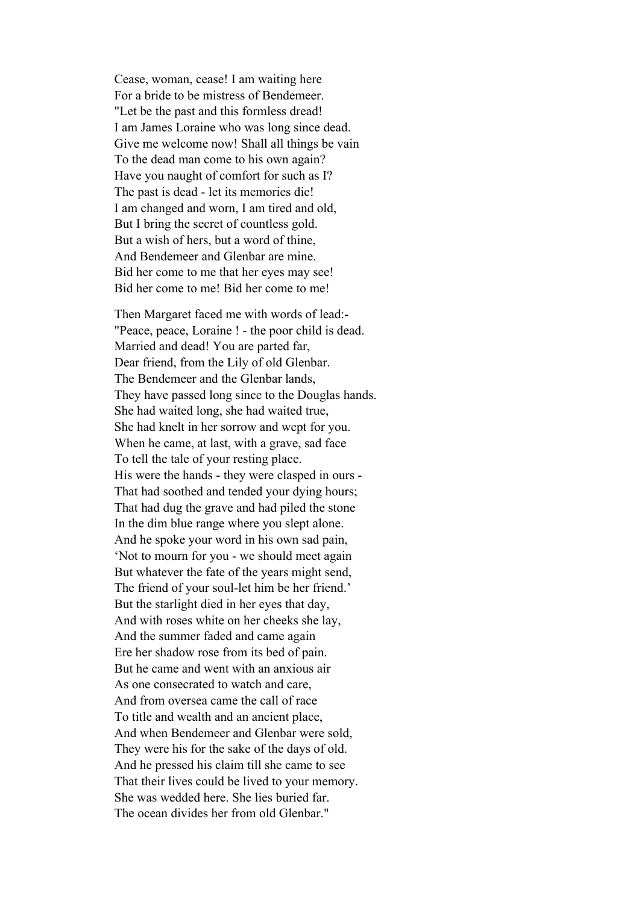Cease, woman, cease! I am waiting here For a bride to be mistress of Bendemeer. "Let be the past and this formless dread! I am James Loraine who was long since dead. Give me welcome now! Shall all things be vain To the dead man come to his own again? Have you naught of comfort for such as I? The past is dead - let its memories die! I am changed and worn, I am tired and old, But I bring the secret of countless gold. But a wish of hers, but a word of thine, And Bendemeer and Glenbar are mine. Bid her come to me that her eyes may see! Bid her come to me! Bid her come to me!

Then Margaret faced me with words of lead:- "Peace, peace, Loraine ! - the poor child is dead. Married and dead! You are parted far, Dear friend, from the Lily of old Glenbar. The Bendemeer and the Glenbar lands, They have passed long since to the Douglas hands. She had waited long, she had waited true, She had knelt in her sorrow and wept for you. When he came, at last, with a grave, sad face To tell the tale of your resting place. His were the hands - they were clasped in ours - That had soothed and tended your dying hours; That had dug the grave and had piled the stone In the dim blue range where you slept alone. And he spoke your word in his own sad pain, 'Not to mourn for you - we should meet again But whatever the fate of the years might send, The friend of your soul-let him be her friend.' But the starlight died in her eyes that day, And with roses white on her cheeks she lay, And the summer faded and came again Ere her shadow rose from its bed of pain. But he came and went with an anxious air As one consecrated to watch and care, And from oversea came the call of race To title and wealth and an ancient place, And when Bendemeer and Glenbar were sold, They were his for the sake of the days of old. And he pressed his claim till she came to see That their lives could be lived to your memory. She was wedded here. She lies buried far. The ocean divides her from old Glenbar."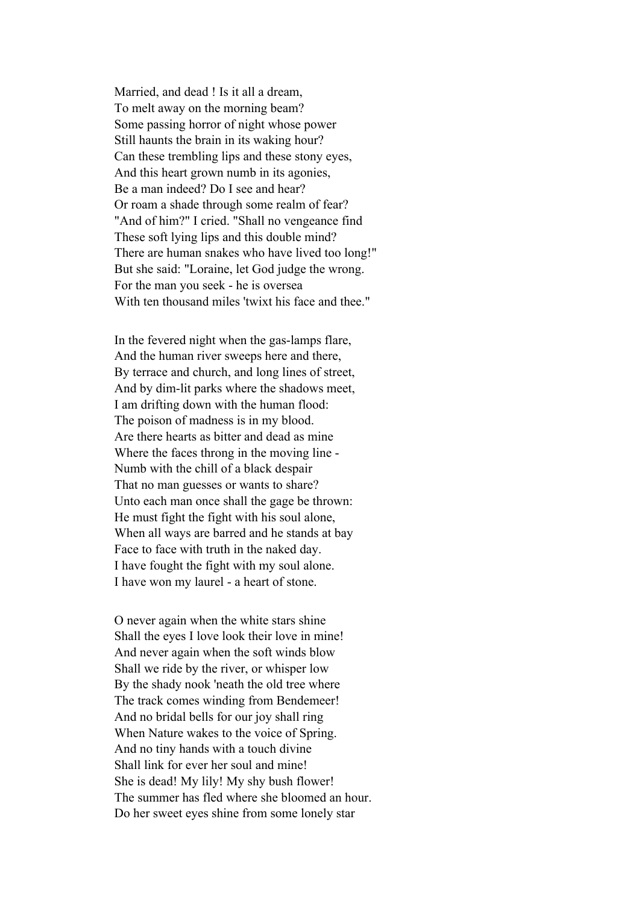Married, and dead ! Is it all a dream, To melt away on the morning beam? Some passing horror of night whose power Still haunts the brain in its waking hour? Can these trembling lips and these stony eyes, And this heart grown numb in its agonies, Be a man indeed? Do I see and hear? Or roam a shade through some realm of fear? "And of him?" I cried. "Shall no vengeance find These soft lying lips and this double mind? There are human snakes who have lived too long!" But she said: "Loraine, let God judge the wrong. For the man you seek - he is oversea With ten thousand miles 'twixt his face and thee."

In the fevered night when the gas-lamps flare, And the human river sweeps here and there, By terrace and church, and long lines of street, And by dim-lit parks where the shadows meet, I am drifting down with the human flood: The poison of madness is in my blood. Are there hearts as bitter and dead as mine Where the faces throng in the moving line - Numb with the chill of a black despair That no man guesses or wants to share? Unto each man once shall the gage be thrown: He must fight the fight with his soul alone, When all ways are barred and he stands at bay Face to face with truth in the naked day. I have fought the fight with my soul alone. I have won my laurel - a heart of stone.

O never again when the white stars shine Shall the eyes I love look their love in mine! And never again when the soft winds blow Shall we ride by the river, or whisper low By the shady nook 'neath the old tree where The track comes winding from Bendemeer! And no bridal bells for our joy shall ring When Nature wakes to the voice of Spring. And no tiny hands with a touch divine Shall link for ever her soul and mine! She is dead! My lily! My shy bush flower! The summer has fled where she bloomed an hour. Do her sweet eyes shine from some lonely star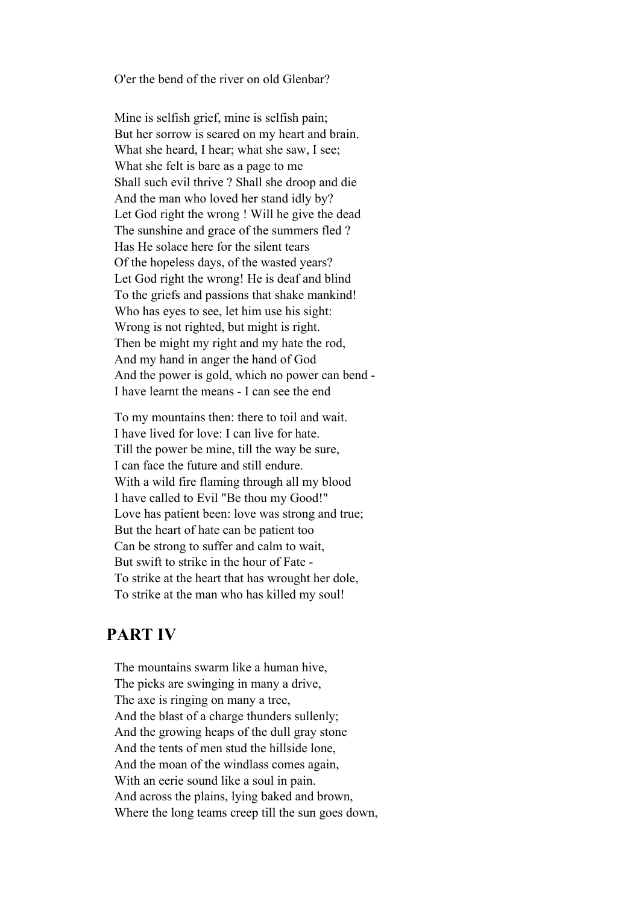O'er the bend of the river on old Glenbar?

Mine is selfish grief, mine is selfish pain; But her sorrow is seared on my heart and brain. What she heard, I hear; what she saw, I see; What she felt is bare as a page to me Shall such evil thrive ? Shall she droop and die And the man who loved her stand idly by? Let God right the wrong ! Will he give the dead The sunshine and grace of the summers fled ? Has He solace here for the silent tears Of the hopeless days, of the wasted years? Let God right the wrong! He is deaf and blind To the griefs and passions that shake mankind! Who has eyes to see, let him use his sight: Wrong is not righted, but might is right. Then be might my right and my hate the rod, And my hand in anger the hand of God And the power is gold, which no power can bend - I have learnt the means - I can see the end

To my mountains then: there to toil and wait. I have lived for love: I can live for hate. Till the power be mine, till the way be sure, I can face the future and still endure. With a wild fire flaming through all my blood I have called to Evil "Be thou my Good!" Love has patient been: love was strong and true; But the heart of hate can be patient too Can be strong to suffer and calm to wait, But swift to strike in the hour of Fate - To strike at the heart that has wrought her dole, To strike at the man who has killed my soul!

#### **PART IV**

The mountains swarm like a human hive, The picks are swinging in many a drive, The axe is ringing on many a tree, And the blast of a charge thunders sullenly; And the growing heaps of the dull gray stone And the tents of men stud the hillside lone, And the moan of the windlass comes again, With an eerie sound like a soul in pain. And across the plains, lying baked and brown, Where the long teams creep till the sun goes down,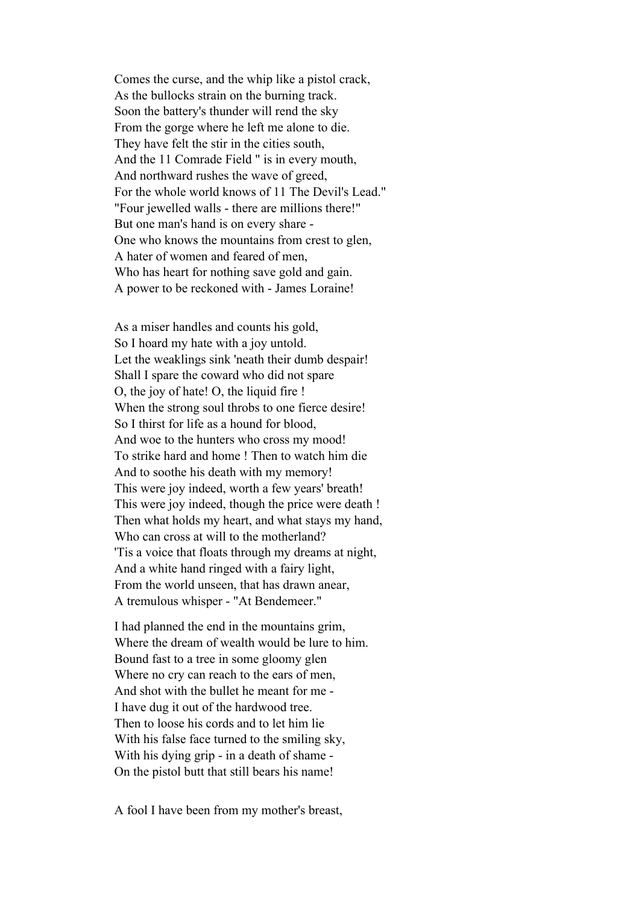Comes the curse, and the whip like a pistol crack, As the bullocks strain on the burning track. Soon the battery's thunder will rend the sky From the gorge where he left me alone to die. They have felt the stir in the cities south, And the 11 Comrade Field " is in every mouth, And northward rushes the wave of greed, For the whole world knows of 11 The Devil's Lead." "Four jewelled walls - there are millions there!" But one man's hand is on every share - One who knows the mountains from crest to glen, A hater of women and feared of men, Who has heart for nothing save gold and gain. A power to be reckoned with - James Loraine!

As a miser handles and counts his gold, So I hoard my hate with a joy untold. Let the weaklings sink 'neath their dumb despair! Shall I spare the coward who did not spare O, the joy of hate! O, the liquid fire ! When the strong soul throbs to one fierce desire! So I thirst for life as a hound for blood, And woe to the hunters who cross my mood! To strike hard and home ! Then to watch him die And to soothe his death with my memory! This were joy indeed, worth a few years' breath! This were joy indeed, though the price were death ! Then what holds my heart, and what stays my hand, Who can cross at will to the motherland? 'Tis a voice that floats through my dreams at night, And a white hand ringed with a fairy light, From the world unseen, that has drawn anear, A tremulous whisper - "At Bendemeer."

I had planned the end in the mountains grim, Where the dream of wealth would be lure to him. Bound fast to a tree in some gloomy glen Where no cry can reach to the ears of men, And shot with the bullet he meant for me - I have dug it out of the hardwood tree. Then to loose his cords and to let him lie With his false face turned to the smiling sky, With his dying grip - in a death of shame - On the pistol butt that still bears his name!

A fool I have been from my mother's breast,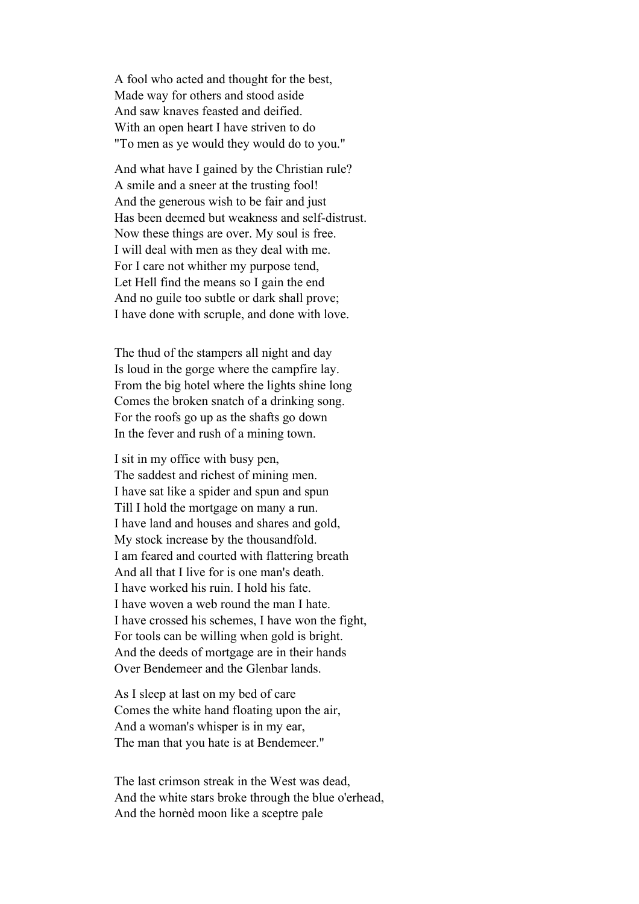A fool who acted and thought for the best, Made way for others and stood aside And saw knaves feasted and deified. With an open heart I have striven to do "To men as ye would they would do to you."

And what have I gained by the Christian rule? A smile and a sneer at the trusting fool! And the generous wish to be fair and just Has been deemed but weakness and self-distrust. Now these things are over. My soul is free. I will deal with men as they deal with me. For I care not whither my purpose tend, Let Hell find the means so I gain the end And no guile too subtle or dark shall prove; I have done with scruple, and done with love.

The thud of the stampers all night and day Is loud in the gorge where the campfire lay. From the big hotel where the lights shine long Comes the broken snatch of a drinking song. For the roofs go up as the shafts go down In the fever and rush of a mining town.

I sit in my office with busy pen, The saddest and richest of mining men. I have sat like a spider and spun and spun Till I hold the mortgage on many a run. I have land and houses and shares and gold, My stock increase by the thousandfold. I am feared and courted with flattering breath And all that I live for is one man's death. I have worked his ruin. I hold his fate. I have woven a web round the man I hate. I have crossed his schemes, I have won the fight, For tools can be willing when gold is bright. And the deeds of mortgage are in their hands Over Bendemeer and the Glenbar lands.

As I sleep at last on my bed of care Comes the white hand floating upon the air, And a woman's whisper is in my ear, The man that you hate is at Bendemeer."

The last crimson streak in the West was dead, And the white stars broke through the blue o'erhead, And the hornèd moon like a sceptre pale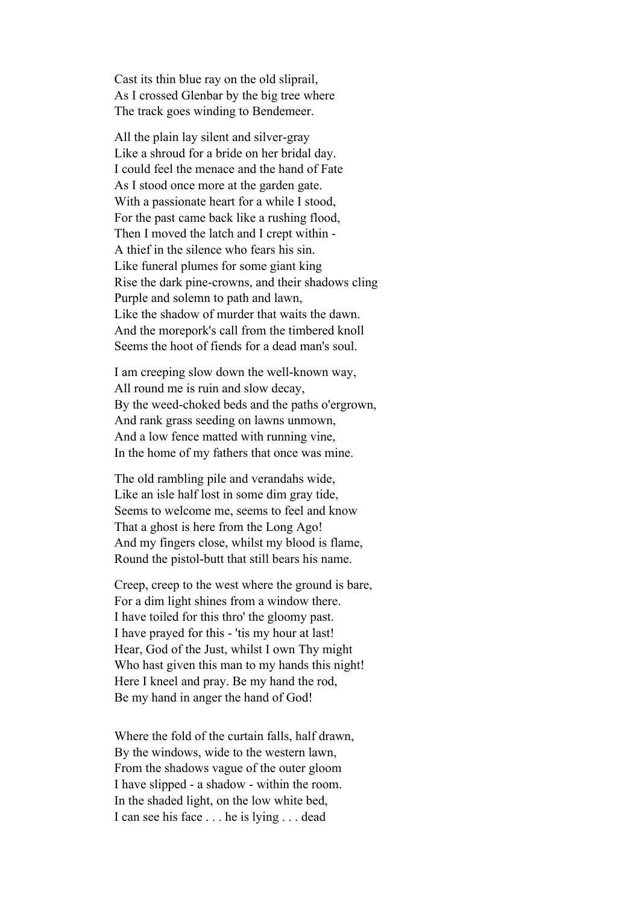Cast its thin blue ray on the old sliprail, As I crossed Glenbar by the big tree where The track goes winding to Bendemeer.

All the plain lay silent and silver-gray Like a shroud for a bride on her bridal day. I could feel the menace and the hand of Fate As I stood once more at the garden gate. With a passionate heart for a while I stood, For the past came back like a rushing flood, Then I moved the latch and I crept within - A thief in the silence who fears his sin. Like funeral plumes for some giant king Rise the dark pine-crowns, and their shadows cling Purple and solemn to path and lawn, Like the shadow of murder that waits the dawn. And the morepork's call from the timbered knoll Seems the hoot of fiends for a dead man's soul.

I am creeping slow down the well-known way, All round me is ruin and slow decay, By the weed-choked beds and the paths o'ergrown, And rank grass seeding on lawns unmown, And a low fence matted with running vine, In the home of my fathers that once was mine.

The old rambling pile and verandahs wide, Like an isle half lost in some dim gray tide, Seems to welcome me, seems to feel and know That a ghost is here from the Long Ago! And my fingers close, whilst my blood is flame, Round the pistol-butt that still bears his name.

Creep, creep to the west where the ground is bare, For a dim light shines from a window there. I have toiled for this thro' the gloomy past. I have prayed for this - 'tis my hour at last! Hear, God of the Just, whilst I own Thy might Who hast given this man to my hands this night! Here I kneel and pray. Be my hand the rod, Be my hand in anger the hand of God!

Where the fold of the curtain falls, half drawn, By the windows, wide to the western lawn, From the shadows vague of the outer gloom I have slipped - a shadow - within the room. In the shaded light, on the low white bed, I can see his face . . . he is lying . . . dead